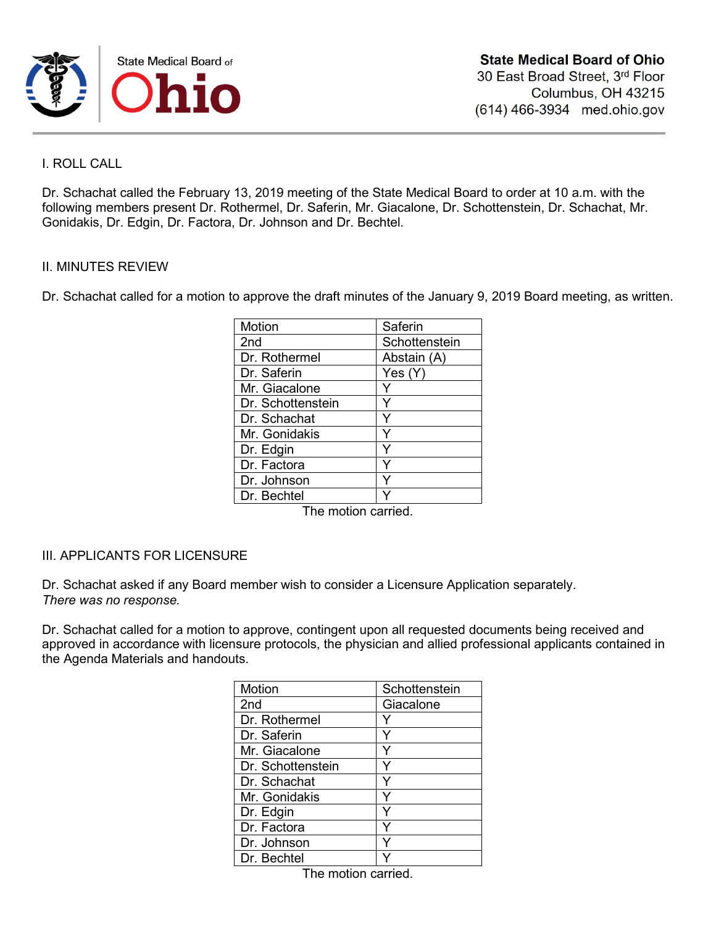

## I. ROLL CALL

Dr. Schachat called the February 13, 2019 meeting of the State Medical Board to order at 10 a.m. with the following members present Dr. Rothermel, Dr. Saferin, Mr. Giacalone, Dr. Schottenstein, Dr. Schachat, Mr. Gonidakis, Dr. Edgin, Dr. Factora, Dr. Johnson and Dr. Bechtel.

### II. MINUTES REVIEW

Dr. Schachat called for a motion to approve the draft minutes of the January 9, 2019 Board meeting, as written.

| Motion            | Saferin       |
|-------------------|---------------|
| 2nd               | Schottenstein |
| Dr. Rothermel     | Abstain (A)   |
| Dr. Saferin       | Yes(Y)        |
| Mr. Giacalone     |               |
| Dr. Schottenstein | Y             |
| Dr. Schachat      | Y             |
| Mr. Gonidakis     |               |
| Dr. Edgin         |               |
| Dr. Factora       |               |
| Dr. Johnson       |               |
| Dr. Bechtel       |               |

The motion carried.

## III. APPLICANTS FOR LICENSURE

Dr. Schachat asked if any Board member wish to consider a Licensure Application separately. *There was no response.*

Dr. Schachat called for a motion to approve, contingent upon all requested documents being received and approved in accordance with licensure protocols, the physician and allied professional applicants contained in the Agenda Materials and handouts.

| Motion            | Schottenstein |
|-------------------|---------------|
| 2 <sub>nd</sub>   | Giacalone     |
| Dr. Rothermel     |               |
| Dr. Saferin       |               |
| Mr. Giacalone     |               |
| Dr. Schottenstein |               |
| Dr. Schachat      |               |
| Mr. Gonidakis     |               |
| Dr. Edgin         |               |
| Dr. Factora       |               |
| Dr. Johnson       |               |
| Dr. Bechtel       |               |

The motion carried.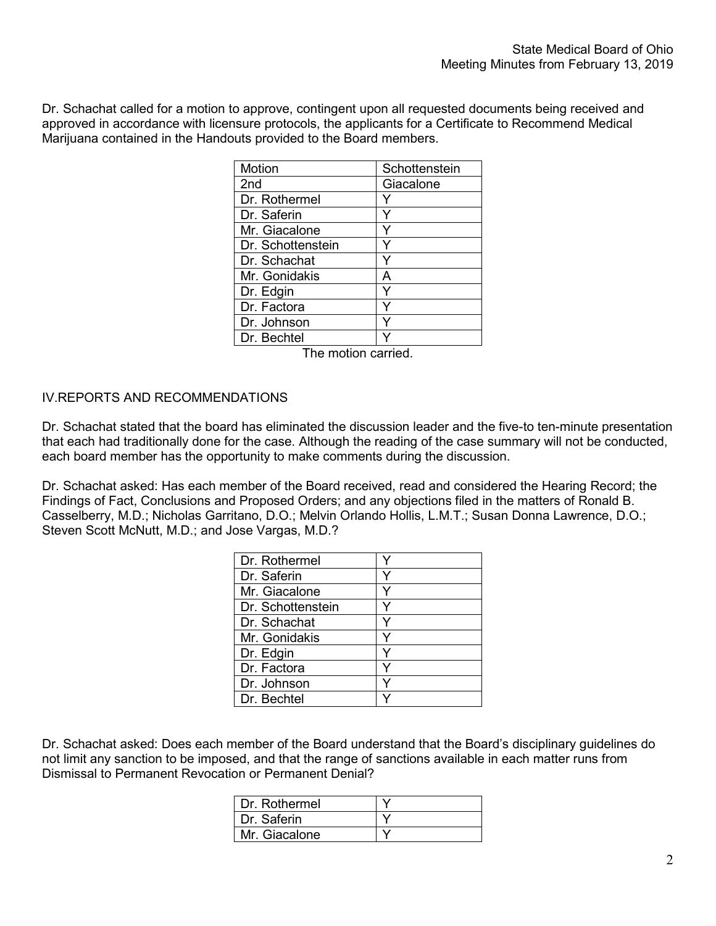Dr. Schachat called for a motion to approve, contingent upon all requested documents being received and approved in accordance with licensure protocols, the applicants for a Certificate to Recommend Medical Marijuana contained in the Handouts provided to the Board members.

| Schottenstein |
|---------------|
| Giacalone     |
|               |
|               |
|               |
|               |
|               |
| А             |
|               |
|               |
|               |
|               |
|               |

The motion carried.

## IV.REPORTS AND RECOMMENDATIONS

Dr. Schachat stated that the board has eliminated the discussion leader and the five-to ten-minute presentation that each had traditionally done for the case. Although the reading of the case summary will not be conducted, each board member has the opportunity to make comments during the discussion.

Dr. Schachat asked: Has each member of the Board received, read and considered the Hearing Record; the Findings of Fact, Conclusions and Proposed Orders; and any objections filed in the matters of Ronald B. Casselberry, M.D.; Nicholas Garritano, D.O.; Melvin Orlando Hollis, L.M.T.; Susan Donna Lawrence, D.O.; Steven Scott McNutt, M.D.; and Jose Vargas, M.D.?

| Dr. Rothermel     |   |
|-------------------|---|
| Dr. Saferin       |   |
| Mr. Giacalone     | v |
| Dr. Schottenstein |   |
| Dr. Schachat      |   |
| Mr. Gonidakis     | v |
| Dr. Edgin         |   |
| Dr. Factora       |   |
| Dr. Johnson       |   |
| Dr. Bechtel       |   |

Dr. Schachat asked: Does each member of the Board understand that the Board's disciplinary guidelines do not limit any sanction to be imposed, and that the range of sanctions available in each matter runs from Dismissal to Permanent Revocation or Permanent Denial?

| Dr. Rothermel |  |
|---------------|--|
| Dr. Saferin   |  |
| Mr. Giacalone |  |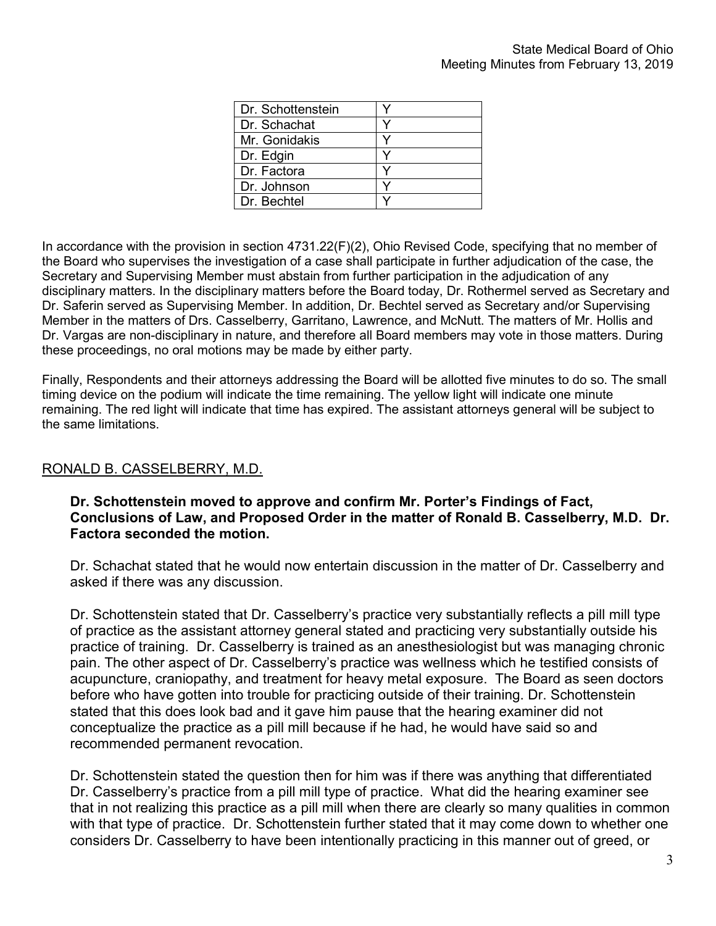| Dr. Schottenstein |  |
|-------------------|--|
| Dr. Schachat      |  |
| Mr. Gonidakis     |  |
| Dr. Edgin         |  |
| Dr. Factora       |  |
| Dr. Johnson       |  |
| Dr. Bechtel       |  |

In accordance with the provision in section 4731.22(F)(2), Ohio Revised Code, specifying that no member of the Board who supervises the investigation of a case shall participate in further adjudication of the case, the Secretary and Supervising Member must abstain from further participation in the adjudication of any disciplinary matters. In the disciplinary matters before the Board today, Dr. Rothermel served as Secretary and Dr. Saferin served as Supervising Member. In addition, Dr. Bechtel served as Secretary and/or Supervising Member in the matters of Drs. Casselberry, Garritano, Lawrence, and McNutt. The matters of Mr. Hollis and Dr. Vargas are non-disciplinary in nature, and therefore all Board members may vote in those matters. During these proceedings, no oral motions may be made by either party.

Finally, Respondents and their attorneys addressing the Board will be allotted five minutes to do so. The small timing device on the podium will indicate the time remaining. The yellow light will indicate one minute remaining. The red light will indicate that time has expired. The assistant attorneys general will be subject to the same limitations.

# RONALD B. CASSELBERRY, M.D.

# **Dr. Schottenstein moved to approve and confirm Mr. Porter's Findings of Fact, Conclusions of Law, and Proposed Order in the matter of Ronald B. Casselberry, M.D. Dr. Factora seconded the motion.**

Dr. Schachat stated that he would now entertain discussion in the matter of Dr. Casselberry and asked if there was any discussion.

Dr. Schottenstein stated that Dr. Casselberry's practice very substantially reflects a pill mill type of practice as the assistant attorney general stated and practicing very substantially outside his practice of training. Dr. Casselberry is trained as an anesthesiologist but was managing chronic pain. The other aspect of Dr. Casselberry's practice was wellness which he testified consists of acupuncture, craniopathy, and treatment for heavy metal exposure. The Board as seen doctors before who have gotten into trouble for practicing outside of their training. Dr. Schottenstein stated that this does look bad and it gave him pause that the hearing examiner did not conceptualize the practice as a pill mill because if he had, he would have said so and recommended permanent revocation.

Dr. Schottenstein stated the question then for him was if there was anything that differentiated Dr. Casselberry's practice from a pill mill type of practice. What did the hearing examiner see that in not realizing this practice as a pill mill when there are clearly so many qualities in common with that type of practice. Dr. Schottenstein further stated that it may come down to whether one considers Dr. Casselberry to have been intentionally practicing in this manner out of greed, or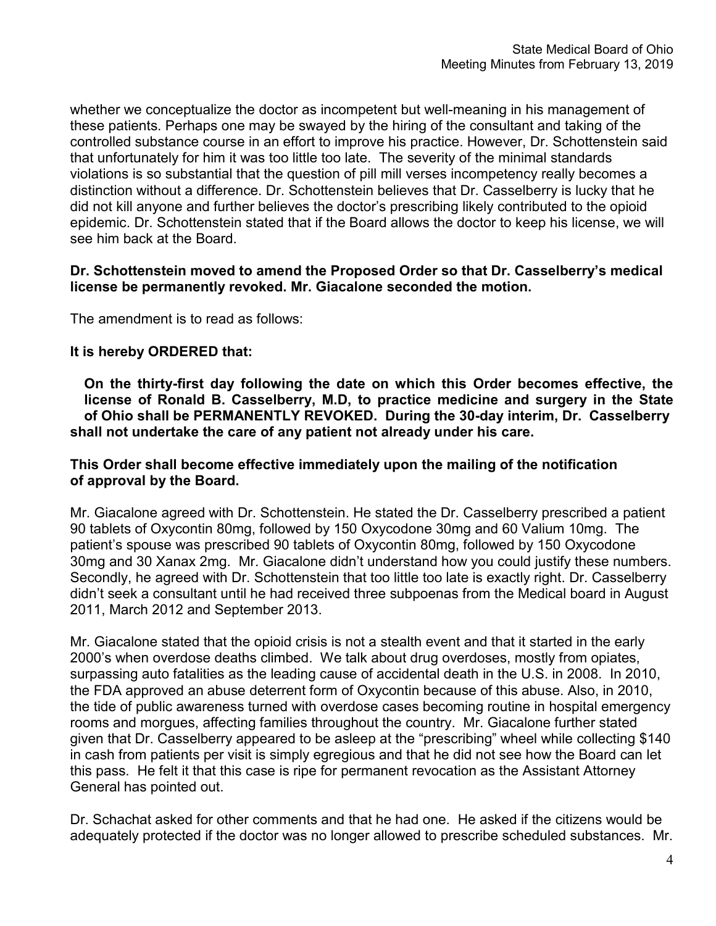whether we conceptualize the doctor as incompetent but well-meaning in his management of these patients. Perhaps one may be swayed by the hiring of the consultant and taking of the controlled substance course in an effort to improve his practice. However, Dr. Schottenstein said that unfortunately for him it was too little too late. The severity of the minimal standards violations is so substantial that the question of pill mill verses incompetency really becomes a distinction without a difference. Dr. Schottenstein believes that Dr. Casselberry is lucky that he did not kill anyone and further believes the doctor's prescribing likely contributed to the opioid epidemic. Dr. Schottenstein stated that if the Board allows the doctor to keep his license, we will see him back at the Board.

# **Dr. Schottenstein moved to amend the Proposed Order so that Dr. Casselberry's medical license be permanently revoked. Mr. Giacalone seconded the motion.**

The amendment is to read as follows:

# **It is hereby ORDERED that:**

**On the thirty-first day following the date on which this Order becomes effective, the license of Ronald B. Casselberry, M.D, to practice medicine and surgery in the State of Ohio shall be PERMANENTLY REVOKED. During the 30-day interim, Dr. Casselberry shall not undertake the care of any patient not already under his care.**

# **This Order shall become effective immediately upon the mailing of the notification of approval by the Board.**

Mr. Giacalone agreed with Dr. Schottenstein. He stated the Dr. Casselberry prescribed a patient 90 tablets of Oxycontin 80mg, followed by 150 Oxycodone 30mg and 60 Valium 10mg. The patient's spouse was prescribed 90 tablets of Oxycontin 80mg, followed by 150 Oxycodone 30mg and 30 Xanax 2mg. Mr. Giacalone didn't understand how you could justify these numbers. Secondly, he agreed with Dr. Schottenstein that too little too late is exactly right. Dr. Casselberry didn't seek a consultant until he had received three subpoenas from the Medical board in August 2011, March 2012 and September 2013.

Mr. Giacalone stated that the opioid crisis is not a stealth event and that it started in the early 2000's when overdose deaths climbed. We talk about drug overdoses, mostly from opiates, surpassing auto fatalities as the leading cause of accidental death in the U.S. in 2008. In 2010, the FDA approved an abuse deterrent form of Oxycontin because of this abuse. Also, in 2010, the tide of public awareness turned with overdose cases becoming routine in hospital emergency rooms and morgues, affecting families throughout the country. Mr. Giacalone further stated given that Dr. Casselberry appeared to be asleep at the "prescribing" wheel while collecting \$140 in cash from patients per visit is simply egregious and that he did not see how the Board can let this pass. He felt it that this case is ripe for permanent revocation as the Assistant Attorney General has pointed out.

Dr. Schachat asked for other comments and that he had one. He asked if the citizens would be adequately protected if the doctor was no longer allowed to prescribe scheduled substances. Mr.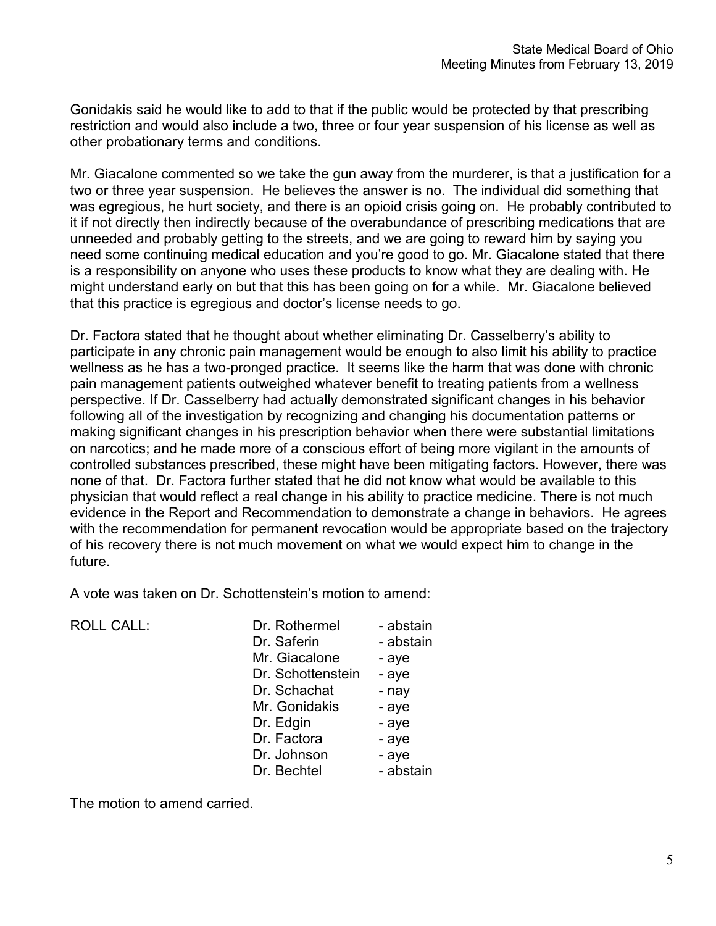Gonidakis said he would like to add to that if the public would be protected by that prescribing restriction and would also include a two, three or four year suspension of his license as well as other probationary terms and conditions.

Mr. Giacalone commented so we take the gun away from the murderer, is that a justification for a two or three year suspension. He believes the answer is no. The individual did something that was egregious, he hurt society, and there is an opioid crisis going on. He probably contributed to it if not directly then indirectly because of the overabundance of prescribing medications that are unneeded and probably getting to the streets, and we are going to reward him by saying you need some continuing medical education and you're good to go. Mr. Giacalone stated that there is a responsibility on anyone who uses these products to know what they are dealing with. He might understand early on but that this has been going on for a while. Mr. Giacalone believed that this practice is egregious and doctor's license needs to go.

Dr. Factora stated that he thought about whether eliminating Dr. Casselberry's ability to participate in any chronic pain management would be enough to also limit his ability to practice wellness as he has a two-pronged practice. It seems like the harm that was done with chronic pain management patients outweighed whatever benefit to treating patients from a wellness perspective. If Dr. Casselberry had actually demonstrated significant changes in his behavior following all of the investigation by recognizing and changing his documentation patterns or making significant changes in his prescription behavior when there were substantial limitations on narcotics; and he made more of a conscious effort of being more vigilant in the amounts of controlled substances prescribed, these might have been mitigating factors. However, there was none of that. Dr. Factora further stated that he did not know what would be available to this physician that would reflect a real change in his ability to practice medicine. There is not much evidence in the Report and Recommendation to demonstrate a change in behaviors. He agrees with the recommendation for permanent revocation would be appropriate based on the trajectory of his recovery there is not much movement on what we would expect him to change in the future.

A vote was taken on Dr. Schottenstein's motion to amend:

| Dr. Rothermel     | - abstain |
|-------------------|-----------|
| Dr. Saferin       | - abstain |
| Mr. Giacalone     | - aye     |
| Dr. Schottenstein | - aye     |
| Dr. Schachat      | - nay     |
| Mr. Gonidakis     | - aye     |
| Dr. Edgin         | - aye     |
| Dr. Factora       | - aye     |
| Dr. Johnson       | - aye     |
| Dr. Bechtel       | - abstain |
|                   |           |

The motion to amend carried.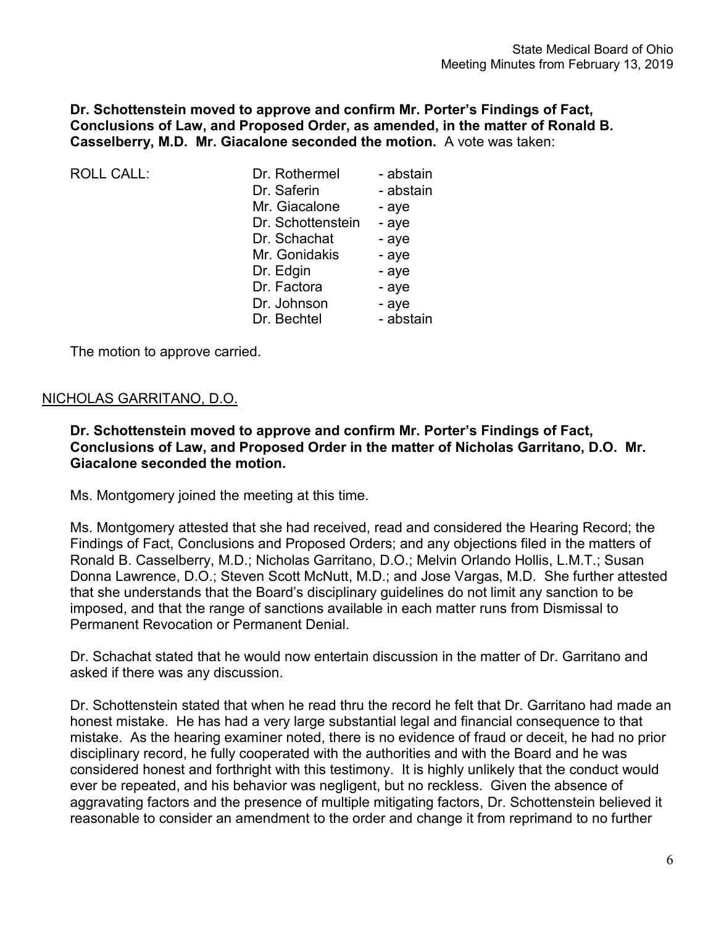**Dr. Schottenstein moved to approve and confirm Mr. Porter's Findings of Fact, Conclusions of Law, and Proposed Order, as amended, in the matter of Ronald B. Casselberry, M.D. Mr. Giacalone seconded the motion.** A vote was taken:

| Dr. Rothermel     | - abstain |
|-------------------|-----------|
| Dr. Saferin       | - abstain |
| Mr. Giacalone     | - aye     |
| Dr. Schottenstein | - aye     |
| Dr. Schachat      | - aye     |
| Mr. Gonidakis     | - aye     |
| Dr. Edgin         | - aye     |
| Dr. Factora       | - aye     |
| Dr. Johnson       | - aye     |
| Dr. Bechtel       | - abstain |
|                   |           |

The motion to approve carried.

# NICHOLAS GARRITANO, D.O.

**Dr. Schottenstein moved to approve and confirm Mr. Porter's Findings of Fact, Conclusions of Law, and Proposed Order in the matter of Nicholas Garritano, D.O. Mr. Giacalone seconded the motion.**

Ms. Montgomery joined the meeting at this time.

Ms. Montgomery attested that she had received, read and considered the Hearing Record; the Findings of Fact, Conclusions and Proposed Orders; and any objections filed in the matters of Ronald B. Casselberry, M.D.; Nicholas Garritano, D.O.; Melvin Orlando Hollis, L.M.T.; Susan Donna Lawrence, D.O.; Steven Scott McNutt, M.D.; and Jose Vargas, M.D. She further attested that she understands that the Board's disciplinary guidelines do not limit any sanction to be imposed, and that the range of sanctions available in each matter runs from Dismissal to Permanent Revocation or Permanent Denial.

Dr. Schachat stated that he would now entertain discussion in the matter of Dr. Garritano and asked if there was any discussion.

Dr. Schottenstein stated that when he read thru the record he felt that Dr. Garritano had made an honest mistake. He has had a very large substantial legal and financial consequence to that mistake. As the hearing examiner noted, there is no evidence of fraud or deceit, he had no prior disciplinary record, he fully cooperated with the authorities and with the Board and he was considered honest and forthright with this testimony. It is highly unlikely that the conduct would ever be repeated, and his behavior was negligent, but no reckless. Given the absence of aggravating factors and the presence of multiple mitigating factors, Dr. Schottenstein believed it reasonable to consider an amendment to the order and change it from reprimand to no further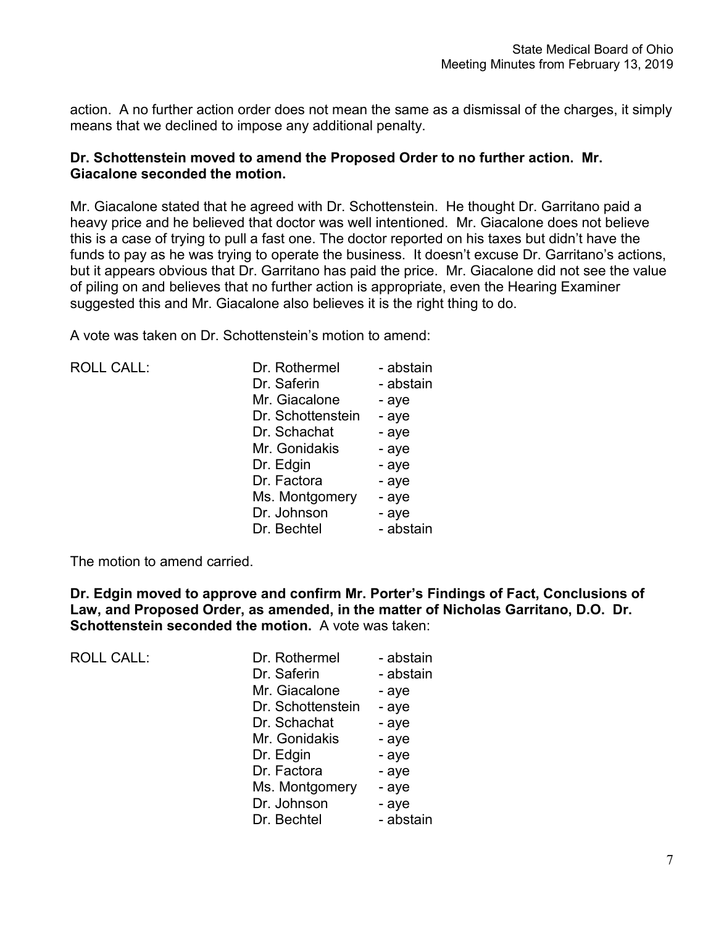action. A no further action order does not mean the same as a dismissal of the charges, it simply means that we declined to impose any additional penalty.

# **Dr. Schottenstein moved to amend the Proposed Order to no further action. Mr. Giacalone seconded the motion.**

Mr. Giacalone stated that he agreed with Dr. Schottenstein. He thought Dr. Garritano paid a heavy price and he believed that doctor was well intentioned. Mr. Giacalone does not believe this is a case of trying to pull a fast one. The doctor reported on his taxes but didn't have the funds to pay as he was trying to operate the business. It doesn't excuse Dr. Garritano's actions, but it appears obvious that Dr. Garritano has paid the price. Mr. Giacalone did not see the value of piling on and believes that no further action is appropriate, even the Hearing Examiner suggested this and Mr. Giacalone also believes it is the right thing to do.

A vote was taken on Dr. Schottenstein's motion to amend:

| <b>ROLL CALL:</b> | Dr. Rothermel     | - abstain |
|-------------------|-------------------|-----------|
|                   | Dr. Saferin       | - abstain |
|                   | Mr. Giacalone     | - aye     |
|                   | Dr. Schottenstein | - aye     |
|                   | Dr. Schachat      | - aye     |
|                   | Mr. Gonidakis     | - aye     |
|                   | Dr. Edgin         | - aye     |
|                   | Dr. Factora       | - aye     |
|                   | Ms. Montgomery    | - aye     |
|                   | Dr. Johnson       | - aye     |
|                   | Dr. Bechtel       | - abstain |
|                   |                   |           |

The motion to amend carried.

**Dr. Edgin moved to approve and confirm Mr. Porter's Findings of Fact, Conclusions of Law, and Proposed Order, as amended, in the matter of Nicholas Garritano, D.O. Dr. Schottenstein seconded the motion.** A vote was taken:

| <b>ROLL CALL:</b> | Dr. Rothermel     | - abstain |
|-------------------|-------------------|-----------|
|                   | Dr. Saferin       | - abstain |
|                   | Mr. Giacalone     | - aye     |
|                   | Dr. Schottenstein | - aye     |
|                   | Dr. Schachat      | - aye     |
|                   | Mr. Gonidakis     | - aye     |
|                   | Dr. Edgin         | - aye     |
|                   | Dr. Factora       | - aye     |
|                   | Ms. Montgomery    | - aye     |
|                   | Dr. Johnson       | - aye     |
|                   | Dr. Bechtel       | - abstain |
|                   |                   |           |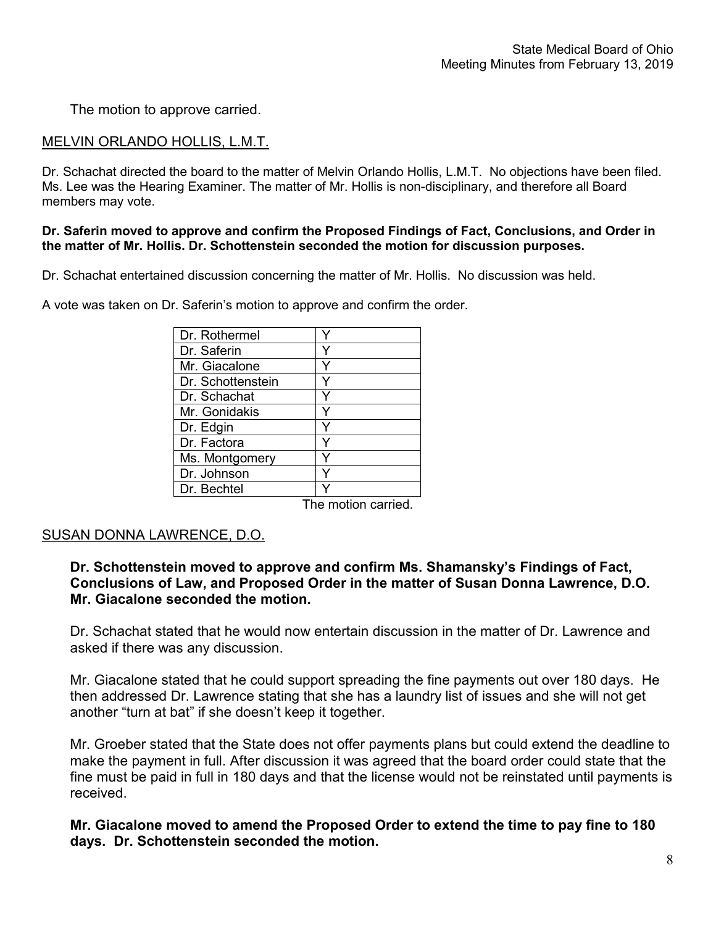The motion to approve carried.

# MELVIN ORLANDO HOLLIS, L.M.T.

Dr. Schachat directed the board to the matter of Melvin Orlando Hollis, L.M.T. No objections have been filed. Ms. Lee was the Hearing Examiner. The matter of Mr. Hollis is non-disciplinary, and therefore all Board members may vote.

### **Dr. Saferin moved to approve and confirm the Proposed Findings of Fact, Conclusions, and Order in the matter of Mr. Hollis. Dr. Schottenstein seconded the motion for discussion purposes.**

Dr. Schachat entertained discussion concerning the matter of Mr. Hollis. No discussion was held.

| Dr. Rothermel     |  |
|-------------------|--|
| Dr. Saferin       |  |
| Mr. Giacalone     |  |
| Dr. Schottenstein |  |
| Dr. Schachat      |  |
| Mr. Gonidakis     |  |
| Dr. Edgin         |  |
| Dr. Factora       |  |
| Ms. Montgomery    |  |
| Dr. Johnson       |  |
| Dr. Bechtel       |  |

A vote was taken on Dr. Saferin's motion to approve and confirm the order.

The motion carried.

# SUSAN DONNA LAWRENCE, D.O.

# **Dr. Schottenstein moved to approve and confirm Ms. Shamansky's Findings of Fact, Conclusions of Law, and Proposed Order in the matter of Susan Donna Lawrence, D.O. Mr. Giacalone seconded the motion.**

Dr. Schachat stated that he would now entertain discussion in the matter of Dr. Lawrence and asked if there was any discussion.

Mr. Giacalone stated that he could support spreading the fine payments out over 180 days. He then addressed Dr. Lawrence stating that she has a laundry list of issues and she will not get another "turn at bat" if she doesn't keep it together.

Mr. Groeber stated that the State does not offer payments plans but could extend the deadline to make the payment in full. After discussion it was agreed that the board order could state that the fine must be paid in full in 180 days and that the license would not be reinstated until payments is received.

**Mr. Giacalone moved to amend the Proposed Order to extend the time to pay fine to 180 days. Dr. Schottenstein seconded the motion.**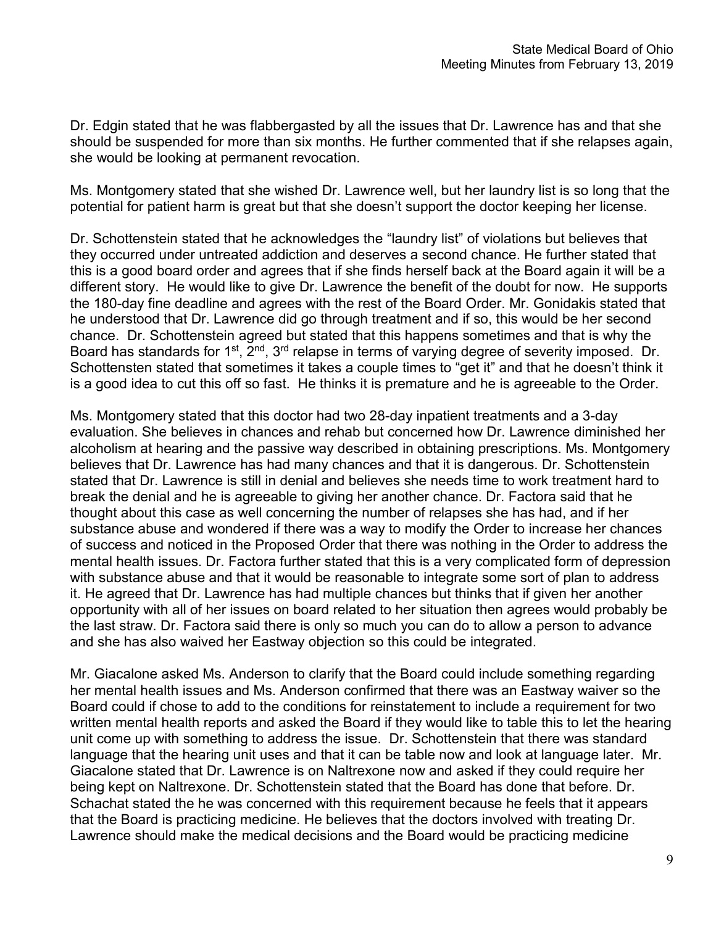Dr. Edgin stated that he was flabbergasted by all the issues that Dr. Lawrence has and that she should be suspended for more than six months. He further commented that if she relapses again, she would be looking at permanent revocation.

Ms. Montgomery stated that she wished Dr. Lawrence well, but her laundry list is so long that the potential for patient harm is great but that she doesn't support the doctor keeping her license.

Dr. Schottenstein stated that he acknowledges the "laundry list" of violations but believes that they occurred under untreated addiction and deserves a second chance. He further stated that this is a good board order and agrees that if she finds herself back at the Board again it will be a different story. He would like to give Dr. Lawrence the benefit of the doubt for now. He supports the 180-day fine deadline and agrees with the rest of the Board Order. Mr. Gonidakis stated that he understood that Dr. Lawrence did go through treatment and if so, this would be her second chance. Dr. Schottenstein agreed but stated that this happens sometimes and that is why the Board has standards for 1<sup>st</sup>, 2<sup>nd</sup>, 3<sup>rd</sup> relapse in terms of varying degree of severity imposed. Dr. Schottensten stated that sometimes it takes a couple times to "get it" and that he doesn't think it is a good idea to cut this off so fast. He thinks it is premature and he is agreeable to the Order.

Ms. Montgomery stated that this doctor had two 28-day inpatient treatments and a 3-day evaluation. She believes in chances and rehab but concerned how Dr. Lawrence diminished her alcoholism at hearing and the passive way described in obtaining prescriptions. Ms. Montgomery believes that Dr. Lawrence has had many chances and that it is dangerous. Dr. Schottenstein stated that Dr. Lawrence is still in denial and believes she needs time to work treatment hard to break the denial and he is agreeable to giving her another chance. Dr. Factora said that he thought about this case as well concerning the number of relapses she has had, and if her substance abuse and wondered if there was a way to modify the Order to increase her chances of success and noticed in the Proposed Order that there was nothing in the Order to address the mental health issues. Dr. Factora further stated that this is a very complicated form of depression with substance abuse and that it would be reasonable to integrate some sort of plan to address it. He agreed that Dr. Lawrence has had multiple chances but thinks that if given her another opportunity with all of her issues on board related to her situation then agrees would probably be the last straw. Dr. Factora said there is only so much you can do to allow a person to advance and she has also waived her Eastway objection so this could be integrated.

Mr. Giacalone asked Ms. Anderson to clarify that the Board could include something regarding her mental health issues and Ms. Anderson confirmed that there was an Eastway waiver so the Board could if chose to add to the conditions for reinstatement to include a requirement for two written mental health reports and asked the Board if they would like to table this to let the hearing unit come up with something to address the issue. Dr. Schottenstein that there was standard language that the hearing unit uses and that it can be table now and look at language later. Mr. Giacalone stated that Dr. Lawrence is on Naltrexone now and asked if they could require her being kept on Naltrexone. Dr. Schottenstein stated that the Board has done that before. Dr. Schachat stated the he was concerned with this requirement because he feels that it appears that the Board is practicing medicine. He believes that the doctors involved with treating Dr. Lawrence should make the medical decisions and the Board would be practicing medicine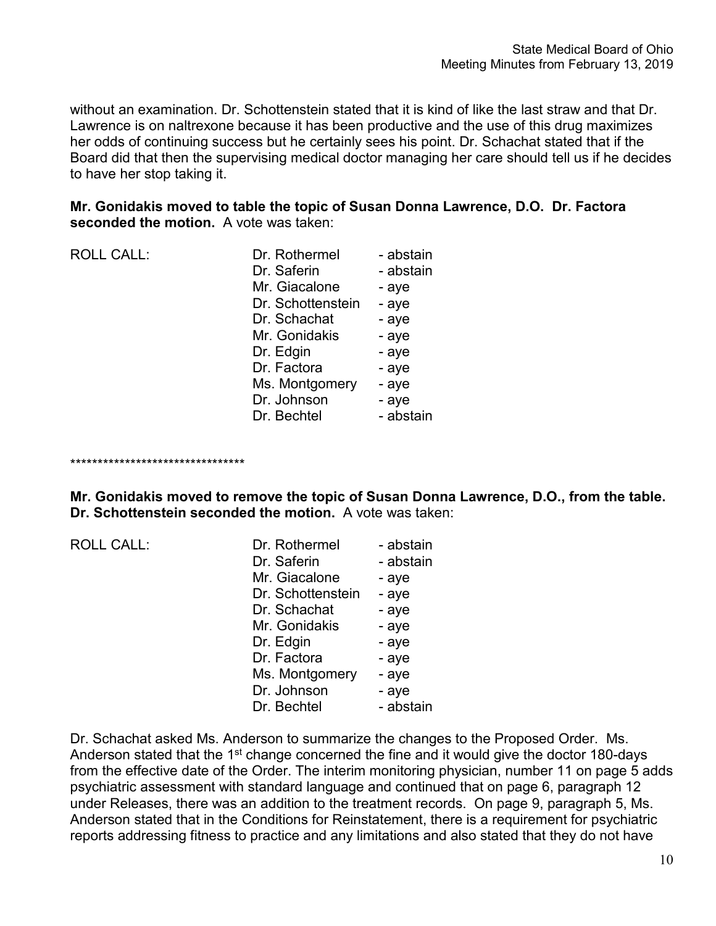without an examination. Dr. Schottenstein stated that it is kind of like the last straw and that Dr. Lawrence is on naltrexone because it has been productive and the use of this drug maximizes her odds of continuing success but he certainly sees his point. Dr. Schachat stated that if the Board did that then the supervising medical doctor managing her care should tell us if he decides to have her stop taking it.

**Mr. Gonidakis moved to table the topic of Susan Donna Lawrence, D.O. Dr. Factora seconded the motion.** A vote was taken:

| <b>ROLL CALL:</b> | Dr. Rothermel     | - abstain |
|-------------------|-------------------|-----------|
|                   | Dr. Saferin       | - abstain |
|                   | Mr. Giacalone     | - aye     |
|                   | Dr. Schottenstein | - aye     |
|                   | Dr. Schachat      | - aye     |
|                   | Mr. Gonidakis     | - aye     |
|                   | Dr. Edgin         | - aye     |
|                   | Dr. Factora       | - aye     |
|                   | Ms. Montgomery    | - aye     |
|                   | Dr. Johnson       | - aye     |
|                   | Dr. Bechtel       | - abstain |

\*\*\*\*\*\*\*\*\*\*\*\*\*\*\*\*\*\*\*\*\*\*\*\*\*\*\*\*\*\*\*\*

**Mr. Gonidakis moved to remove the topic of Susan Donna Lawrence, D.O., from the table. Dr. Schottenstein seconded the motion.** A vote was taken:

| <b>ROLL CALL:</b> |  |  |  |  |  |
|-------------------|--|--|--|--|--|
|-------------------|--|--|--|--|--|

| <b>ROLL CALL:</b> | Dr. Rothermel     | - abstain |
|-------------------|-------------------|-----------|
|                   | Dr. Saferin       | - abstain |
|                   | Mr. Giacalone     | - aye     |
|                   | Dr. Schottenstein | - aye     |
|                   | Dr. Schachat      | - aye     |
|                   | Mr. Gonidakis     | - aye     |
|                   | Dr. Edgin         | - aye     |
|                   | Dr. Factora       | - aye     |
|                   | Ms. Montgomery    | - aye     |
|                   | Dr. Johnson       | - aye     |
|                   | Dr. Bechtel       | - abstain |
|                   |                   |           |

Dr. Schachat asked Ms. Anderson to summarize the changes to the Proposed Order. Ms. Anderson stated that the 1<sup>st</sup> change concerned the fine and it would give the doctor 180-days from the effective date of the Order. The interim monitoring physician, number 11 on page 5 adds psychiatric assessment with standard language and continued that on page 6, paragraph 12 under Releases, there was an addition to the treatment records. On page 9, paragraph 5, Ms. Anderson stated that in the Conditions for Reinstatement, there is a requirement for psychiatric reports addressing fitness to practice and any limitations and also stated that they do not have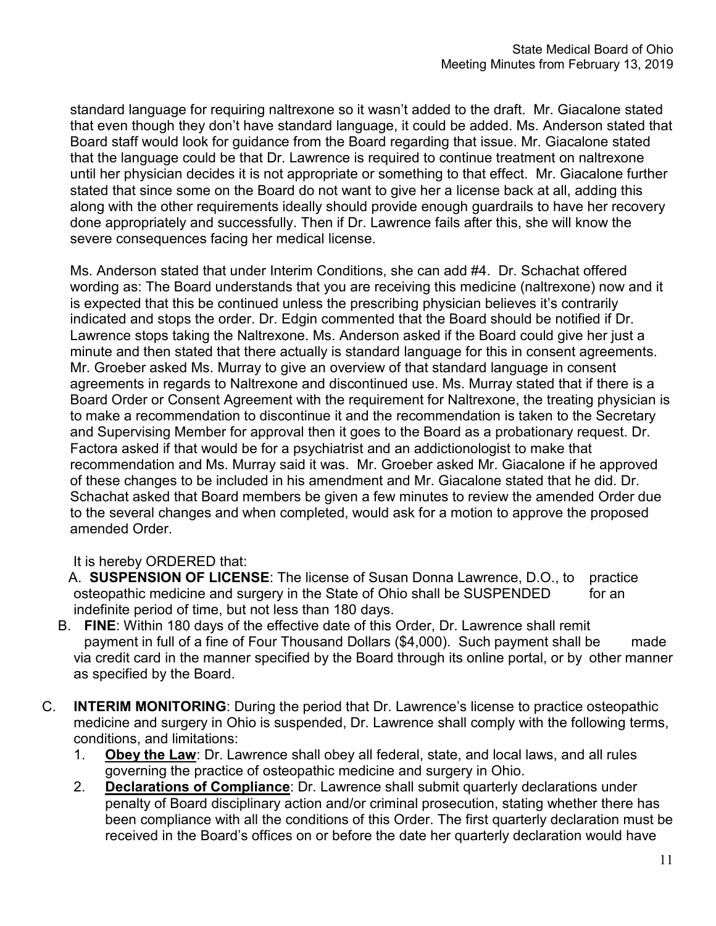standard language for requiring naltrexone so it wasn't added to the draft. Mr. Giacalone stated that even though they don't have standard language, it could be added. Ms. Anderson stated that Board staff would look for guidance from the Board regarding that issue. Mr. Giacalone stated that the language could be that Dr. Lawrence is required to continue treatment on naltrexone until her physician decides it is not appropriate or something to that effect. Mr. Giacalone further stated that since some on the Board do not want to give her a license back at all, adding this along with the other requirements ideally should provide enough guardrails to have her recovery done appropriately and successfully. Then if Dr. Lawrence fails after this, she will know the severe consequences facing her medical license.

Ms. Anderson stated that under Interim Conditions, she can add #4. Dr. Schachat offered wording as: The Board understands that you are receiving this medicine (naltrexone) now and it is expected that this be continued unless the prescribing physician believes it's contrarily indicated and stops the order. Dr. Edgin commented that the Board should be notified if Dr. Lawrence stops taking the Naltrexone. Ms. Anderson asked if the Board could give her just a minute and then stated that there actually is standard language for this in consent agreements. Mr. Groeber asked Ms. Murray to give an overview of that standard language in consent agreements in regards to Naltrexone and discontinued use. Ms. Murray stated that if there is a Board Order or Consent Agreement with the requirement for Naltrexone, the treating physician is to make a recommendation to discontinue it and the recommendation is taken to the Secretary and Supervising Member for approval then it goes to the Board as a probationary request. Dr. Factora asked if that would be for a psychiatrist and an addictionologist to make that recommendation and Ms. Murray said it was. Mr. Groeber asked Mr. Giacalone if he approved of these changes to be included in his amendment and Mr. Giacalone stated that he did. Dr. Schachat asked that Board members be given a few minutes to review the amended Order due to the several changes and when completed, would ask for a motion to approve the proposed amended Order.

# It is hereby ORDERED that:

- A. **SUSPENSION OF LICENSE**: The license of Susan Donna Lawrence, D.O., to practice osteopathic medicine and surgery in the State of Ohio shall be SUSPENDED for an indefinite period of time, but not less than 180 days.
- B. **FINE**: Within 180 days of the effective date of this Order, Dr. Lawrence shall remit payment in full of a fine of Four Thousand Dollars (\$4,000). Such payment shall be made via credit card in the manner specified by the Board through its online portal, or by other manner as specified by the Board.
- C. **INTERIM MONITORING**: During the period that Dr. Lawrence's license to practice osteopathic medicine and surgery in Ohio is suspended, Dr. Lawrence shall comply with the following terms, conditions, and limitations:
	- 1. **Obey the Law**: Dr. Lawrence shall obey all federal, state, and local laws, and all rules governing the practice of osteopathic medicine and surgery in Ohio.
	- 2. **Declarations of Compliance**: Dr. Lawrence shall submit quarterly declarations under penalty of Board disciplinary action and/or criminal prosecution, stating whether there has been compliance with all the conditions of this Order. The first quarterly declaration must be received in the Board's offices on or before the date her quarterly declaration would have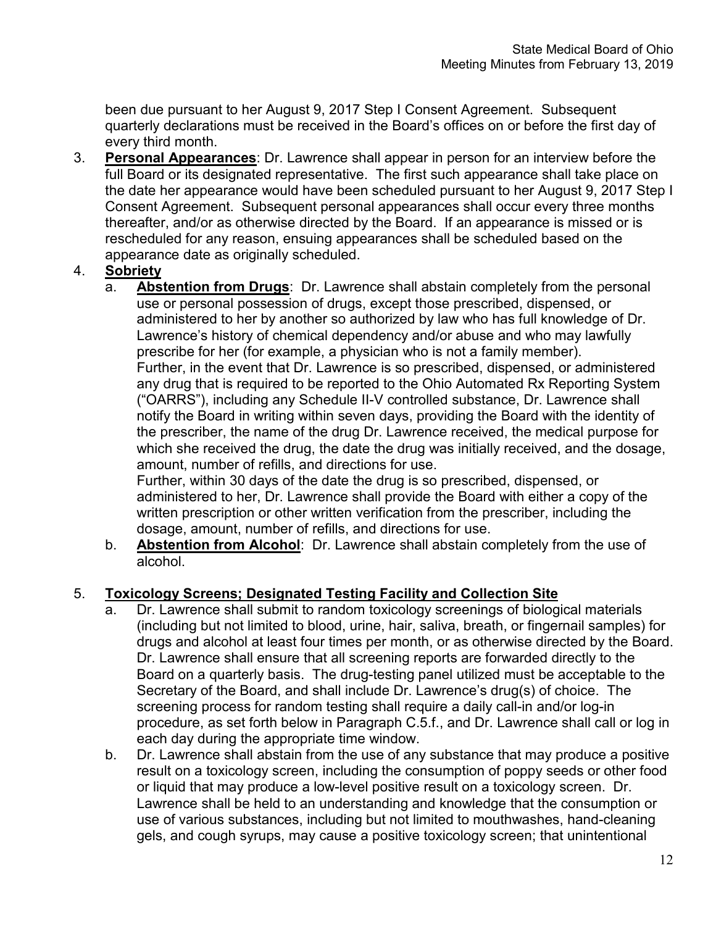been due pursuant to her August 9, 2017 Step I Consent Agreement. Subsequent quarterly declarations must be received in the Board's offices on or before the first day of every third month.

3. **Personal Appearances**: Dr. Lawrence shall appear in person for an interview before the full Board or its designated representative. The first such appearance shall take place on the date her appearance would have been scheduled pursuant to her August 9, 2017 Step I Consent Agreement. Subsequent personal appearances shall occur every three months thereafter, and/or as otherwise directed by the Board. If an appearance is missed or is rescheduled for any reason, ensuing appearances shall be scheduled based on the appearance date as originally scheduled.

# 4. **Sobriety**

a. **Abstention from Drugs**: Dr. Lawrence shall abstain completely from the personal use or personal possession of drugs, except those prescribed, dispensed, or administered to her by another so authorized by law who has full knowledge of Dr. Lawrence's history of chemical dependency and/or abuse and who may lawfully prescribe for her (for example, a physician who is not a family member). Further, in the event that Dr. Lawrence is so prescribed, dispensed, or administered any drug that is required to be reported to the Ohio Automated Rx Reporting System ("OARRS"), including any Schedule II-V controlled substance, Dr. Lawrence shall notify the Board in writing within seven days, providing the Board with the identity of the prescriber, the name of the drug Dr. Lawrence received, the medical purpose for which she received the drug, the date the drug was initially received, and the dosage, amount, number of refills, and directions for use.

Further, within 30 days of the date the drug is so prescribed, dispensed, or administered to her, Dr. Lawrence shall provide the Board with either a copy of the written prescription or other written verification from the prescriber, including the dosage, amount, number of refills, and directions for use.

b. **Abstention from Alcohol**: Dr. Lawrence shall abstain completely from the use of alcohol.

# 5. **Toxicology Screens; Designated Testing Facility and Collection Site**

- a. Dr. Lawrence shall submit to random toxicology screenings of biological materials (including but not limited to blood, urine, hair, saliva, breath, or fingernail samples) for drugs and alcohol at least four times per month, or as otherwise directed by the Board. Dr. Lawrence shall ensure that all screening reports are forwarded directly to the Board on a quarterly basis. The drug-testing panel utilized must be acceptable to the Secretary of the Board, and shall include Dr. Lawrence's drug(s) of choice. The screening process for random testing shall require a daily call-in and/or log-in procedure, as set forth below in Paragraph C.5.f., and Dr. Lawrence shall call or log in each day during the appropriate time window.
- b. Dr. Lawrence shall abstain from the use of any substance that may produce a positive result on a toxicology screen, including the consumption of poppy seeds or other food or liquid that may produce a low-level positive result on a toxicology screen. Dr. Lawrence shall be held to an understanding and knowledge that the consumption or use of various substances, including but not limited to mouthwashes, hand-cleaning gels, and cough syrups, may cause a positive toxicology screen; that unintentional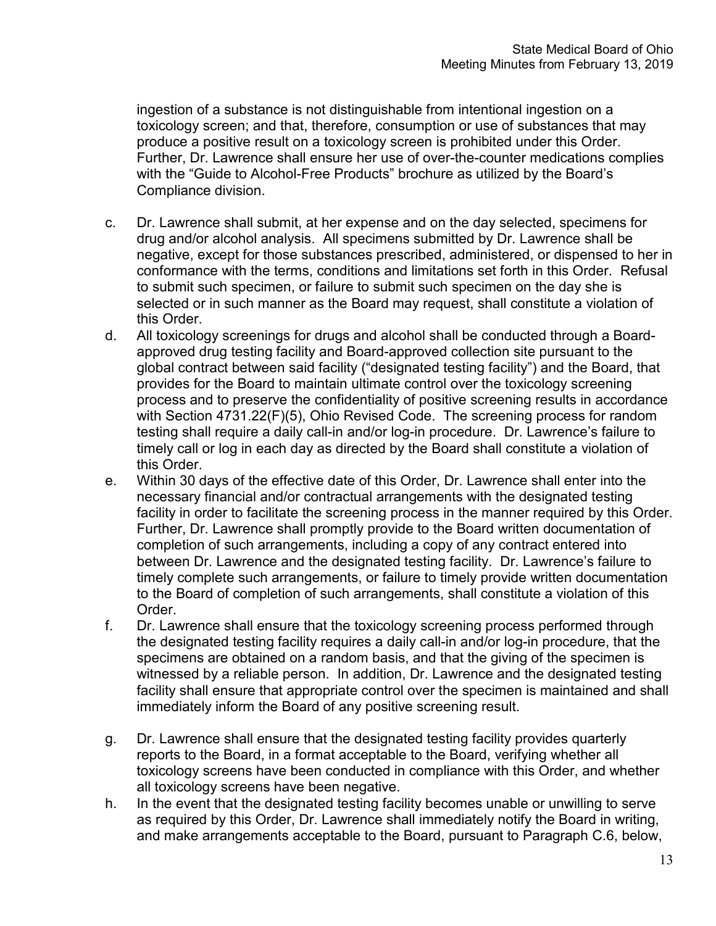ingestion of a substance is not distinguishable from intentional ingestion on a toxicology screen; and that, therefore, consumption or use of substances that may produce a positive result on a toxicology screen is prohibited under this Order. Further, Dr. Lawrence shall ensure her use of over-the-counter medications complies with the "Guide to Alcohol-Free Products" brochure as utilized by the Board's Compliance division.

- c. Dr. Lawrence shall submit, at her expense and on the day selected, specimens for drug and/or alcohol analysis. All specimens submitted by Dr. Lawrence shall be negative, except for those substances prescribed, administered, or dispensed to her in conformance with the terms, conditions and limitations set forth in this Order. Refusal to submit such specimen, or failure to submit such specimen on the day she is selected or in such manner as the Board may request, shall constitute a violation of this Order.
- d. All toxicology screenings for drugs and alcohol shall be conducted through a Boardapproved drug testing facility and Board-approved collection site pursuant to the global contract between said facility ("designated testing facility") and the Board, that provides for the Board to maintain ultimate control over the toxicology screening process and to preserve the confidentiality of positive screening results in accordance with Section 4731.22(F)(5), Ohio Revised Code. The screening process for random testing shall require a daily call-in and/or log-in procedure. Dr. Lawrence's failure to timely call or log in each day as directed by the Board shall constitute a violation of this Order.
- e. Within 30 days of the effective date of this Order, Dr. Lawrence shall enter into the necessary financial and/or contractual arrangements with the designated testing facility in order to facilitate the screening process in the manner required by this Order. Further, Dr. Lawrence shall promptly provide to the Board written documentation of completion of such arrangements, including a copy of any contract entered into between Dr. Lawrence and the designated testing facility. Dr. Lawrence's failure to timely complete such arrangements, or failure to timely provide written documentation to the Board of completion of such arrangements, shall constitute a violation of this Order.
- f. Dr. Lawrence shall ensure that the toxicology screening process performed through the designated testing facility requires a daily call-in and/or log-in procedure, that the specimens are obtained on a random basis, and that the giving of the specimen is witnessed by a reliable person. In addition, Dr. Lawrence and the designated testing facility shall ensure that appropriate control over the specimen is maintained and shall immediately inform the Board of any positive screening result.
- g. Dr. Lawrence shall ensure that the designated testing facility provides quarterly reports to the Board, in a format acceptable to the Board, verifying whether all toxicology screens have been conducted in compliance with this Order, and whether all toxicology screens have been negative.
- h. In the event that the designated testing facility becomes unable or unwilling to serve as required by this Order, Dr. Lawrence shall immediately notify the Board in writing, and make arrangements acceptable to the Board, pursuant to Paragraph C.6, below,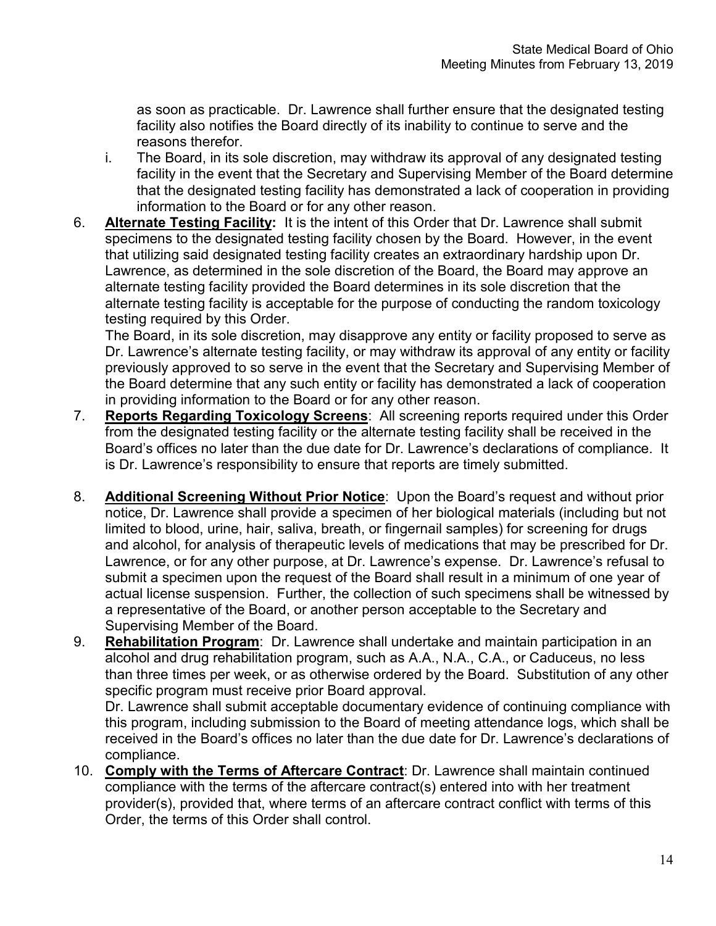as soon as practicable. Dr. Lawrence shall further ensure that the designated testing facility also notifies the Board directly of its inability to continue to serve and the reasons therefor.

- i. The Board, in its sole discretion, may withdraw its approval of any designated testing facility in the event that the Secretary and Supervising Member of the Board determine that the designated testing facility has demonstrated a lack of cooperation in providing information to the Board or for any other reason.
- 6. **Alternate Testing Facility:** It is the intent of this Order that Dr. Lawrence shall submit specimens to the designated testing facility chosen by the Board. However, in the event that utilizing said designated testing facility creates an extraordinary hardship upon Dr. Lawrence, as determined in the sole discretion of the Board, the Board may approve an alternate testing facility provided the Board determines in its sole discretion that the alternate testing facility is acceptable for the purpose of conducting the random toxicology testing required by this Order.

The Board, in its sole discretion, may disapprove any entity or facility proposed to serve as Dr. Lawrence's alternate testing facility, or may withdraw its approval of any entity or facility previously approved to so serve in the event that the Secretary and Supervising Member of the Board determine that any such entity or facility has demonstrated a lack of cooperation in providing information to the Board or for any other reason.

- 7. **Reports Regarding Toxicology Screens**: All screening reports required under this Order from the designated testing facility or the alternate testing facility shall be received in the Board's offices no later than the due date for Dr. Lawrence's declarations of compliance. It is Dr. Lawrence's responsibility to ensure that reports are timely submitted.
- 8. **Additional Screening Without Prior Notice**: Upon the Board's request and without prior notice, Dr. Lawrence shall provide a specimen of her biological materials (including but not limited to blood, urine, hair, saliva, breath, or fingernail samples) for screening for drugs and alcohol, for analysis of therapeutic levels of medications that may be prescribed for Dr. Lawrence, or for any other purpose, at Dr. Lawrence's expense. Dr. Lawrence's refusal to submit a specimen upon the request of the Board shall result in a minimum of one year of actual license suspension. Further, the collection of such specimens shall be witnessed by a representative of the Board, or another person acceptable to the Secretary and Supervising Member of the Board.
- 9. **Rehabilitation Program**: Dr. Lawrence shall undertake and maintain participation in an alcohol and drug rehabilitation program, such as A.A., N.A., C.A., or Caduceus, no less than three times per week, or as otherwise ordered by the Board. Substitution of any other specific program must receive prior Board approval.

Dr. Lawrence shall submit acceptable documentary evidence of continuing compliance with this program, including submission to the Board of meeting attendance logs, which shall be received in the Board's offices no later than the due date for Dr. Lawrence's declarations of compliance.

10. **Comply with the Terms of Aftercare Contract**: Dr. Lawrence shall maintain continued compliance with the terms of the aftercare contract(s) entered into with her treatment provider(s), provided that, where terms of an aftercare contract conflict with terms of this Order, the terms of this Order shall control.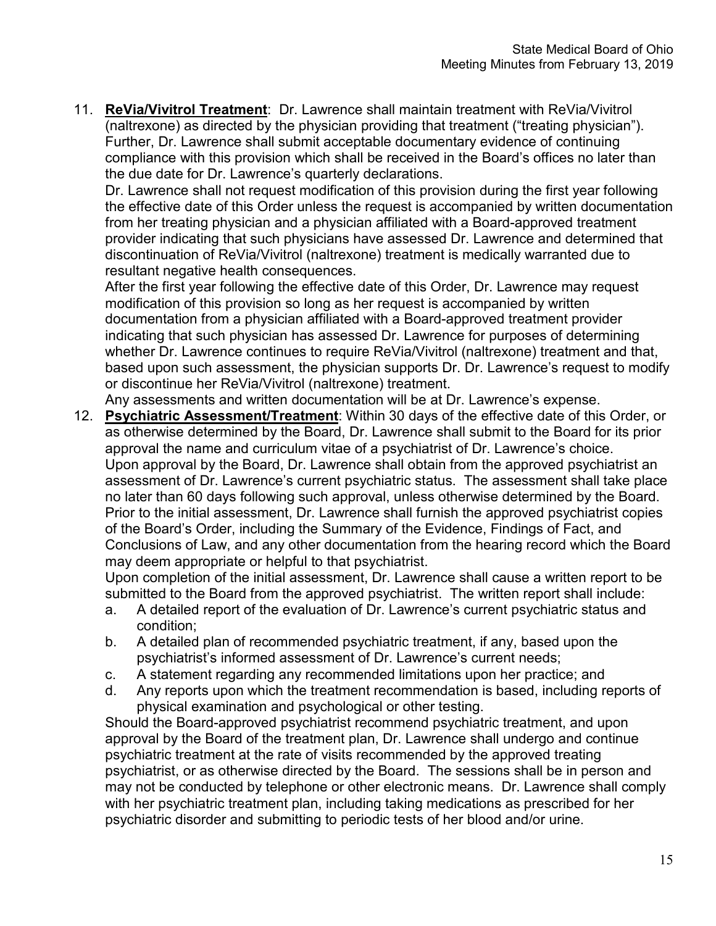11. **ReVia/Vivitrol Treatment**: Dr. Lawrence shall maintain treatment with ReVia/Vivitrol (naltrexone) as directed by the physician providing that treatment ("treating physician"). Further, Dr. Lawrence shall submit acceptable documentary evidence of continuing compliance with this provision which shall be received in the Board's offices no later than the due date for Dr. Lawrence's quarterly declarations.

Dr. Lawrence shall not request modification of this provision during the first year following the effective date of this Order unless the request is accompanied by written documentation from her treating physician and a physician affiliated with a Board-approved treatment provider indicating that such physicians have assessed Dr. Lawrence and determined that discontinuation of ReVia/Vivitrol (naltrexone) treatment is medically warranted due to resultant negative health consequences.

After the first year following the effective date of this Order, Dr. Lawrence may request modification of this provision so long as her request is accompanied by written documentation from a physician affiliated with a Board-approved treatment provider indicating that such physician has assessed Dr. Lawrence for purposes of determining whether Dr. Lawrence continues to require ReVia/Vivitrol (naltrexone) treatment and that, based upon such assessment, the physician supports Dr. Dr. Lawrence's request to modify or discontinue her ReVia/Vivitrol (naltrexone) treatment.

Any assessments and written documentation will be at Dr. Lawrence's expense.

12. **Psychiatric Assessment/Treatment**: Within 30 days of the effective date of this Order, or as otherwise determined by the Board, Dr. Lawrence shall submit to the Board for its prior approval the name and curriculum vitae of a psychiatrist of Dr. Lawrence's choice. Upon approval by the Board, Dr. Lawrence shall obtain from the approved psychiatrist an assessment of Dr. Lawrence's current psychiatric status. The assessment shall take place no later than 60 days following such approval, unless otherwise determined by the Board. Prior to the initial assessment, Dr. Lawrence shall furnish the approved psychiatrist copies of the Board's Order, including the Summary of the Evidence, Findings of Fact, and Conclusions of Law, and any other documentation from the hearing record which the Board may deem appropriate or helpful to that psychiatrist.

Upon completion of the initial assessment, Dr. Lawrence shall cause a written report to be submitted to the Board from the approved psychiatrist. The written report shall include:

- a. A detailed report of the evaluation of Dr. Lawrence's current psychiatric status and condition;
- b. A detailed plan of recommended psychiatric treatment, if any, based upon the psychiatrist's informed assessment of Dr. Lawrence's current needs;
- c. A statement regarding any recommended limitations upon her practice; and
- d. Any reports upon which the treatment recommendation is based, including reports of physical examination and psychological or other testing.

Should the Board-approved psychiatrist recommend psychiatric treatment, and upon approval by the Board of the treatment plan, Dr. Lawrence shall undergo and continue psychiatric treatment at the rate of visits recommended by the approved treating psychiatrist, or as otherwise directed by the Board. The sessions shall be in person and may not be conducted by telephone or other electronic means. Dr. Lawrence shall comply with her psychiatric treatment plan, including taking medications as prescribed for her psychiatric disorder and submitting to periodic tests of her blood and/or urine.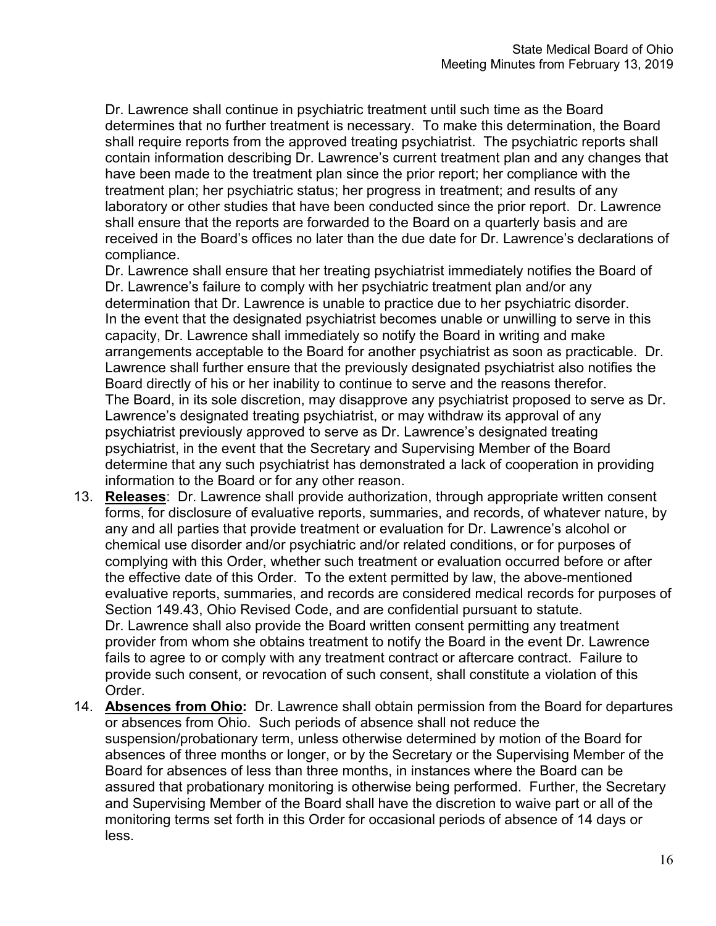Dr. Lawrence shall continue in psychiatric treatment until such time as the Board determines that no further treatment is necessary. To make this determination, the Board shall require reports from the approved treating psychiatrist. The psychiatric reports shall contain information describing Dr. Lawrence's current treatment plan and any changes that have been made to the treatment plan since the prior report; her compliance with the treatment plan; her psychiatric status; her progress in treatment; and results of any laboratory or other studies that have been conducted since the prior report. Dr. Lawrence shall ensure that the reports are forwarded to the Board on a quarterly basis and are received in the Board's offices no later than the due date for Dr. Lawrence's declarations of compliance.

Dr. Lawrence shall ensure that her treating psychiatrist immediately notifies the Board of Dr. Lawrence's failure to comply with her psychiatric treatment plan and/or any determination that Dr. Lawrence is unable to practice due to her psychiatric disorder. In the event that the designated psychiatrist becomes unable or unwilling to serve in this capacity, Dr. Lawrence shall immediately so notify the Board in writing and make arrangements acceptable to the Board for another psychiatrist as soon as practicable. Dr. Lawrence shall further ensure that the previously designated psychiatrist also notifies the Board directly of his or her inability to continue to serve and the reasons therefor. The Board, in its sole discretion, may disapprove any psychiatrist proposed to serve as Dr. Lawrence's designated treating psychiatrist, or may withdraw its approval of any psychiatrist previously approved to serve as Dr. Lawrence's designated treating psychiatrist, in the event that the Secretary and Supervising Member of the Board determine that any such psychiatrist has demonstrated a lack of cooperation in providing information to the Board or for any other reason.

- 13. **Releases**: Dr. Lawrence shall provide authorization, through appropriate written consent forms, for disclosure of evaluative reports, summaries, and records, of whatever nature, by any and all parties that provide treatment or evaluation for Dr. Lawrence's alcohol or chemical use disorder and/or psychiatric and/or related conditions, or for purposes of complying with this Order, whether such treatment or evaluation occurred before or after the effective date of this Order. To the extent permitted by law, the above-mentioned evaluative reports, summaries, and records are considered medical records for purposes of Section 149.43, Ohio Revised Code, and are confidential pursuant to statute. Dr. Lawrence shall also provide the Board written consent permitting any treatment provider from whom she obtains treatment to notify the Board in the event Dr. Lawrence fails to agree to or comply with any treatment contract or aftercare contract. Failure to provide such consent, or revocation of such consent, shall constitute a violation of this Order.
- 14. **Absences from Ohio:** Dr. Lawrence shall obtain permission from the Board for departures or absences from Ohio. Such periods of absence shall not reduce the suspension/probationary term, unless otherwise determined by motion of the Board for absences of three months or longer, or by the Secretary or the Supervising Member of the Board for absences of less than three months, in instances where the Board can be assured that probationary monitoring is otherwise being performed. Further, the Secretary and Supervising Member of the Board shall have the discretion to waive part or all of the monitoring terms set forth in this Order for occasional periods of absence of 14 days or less.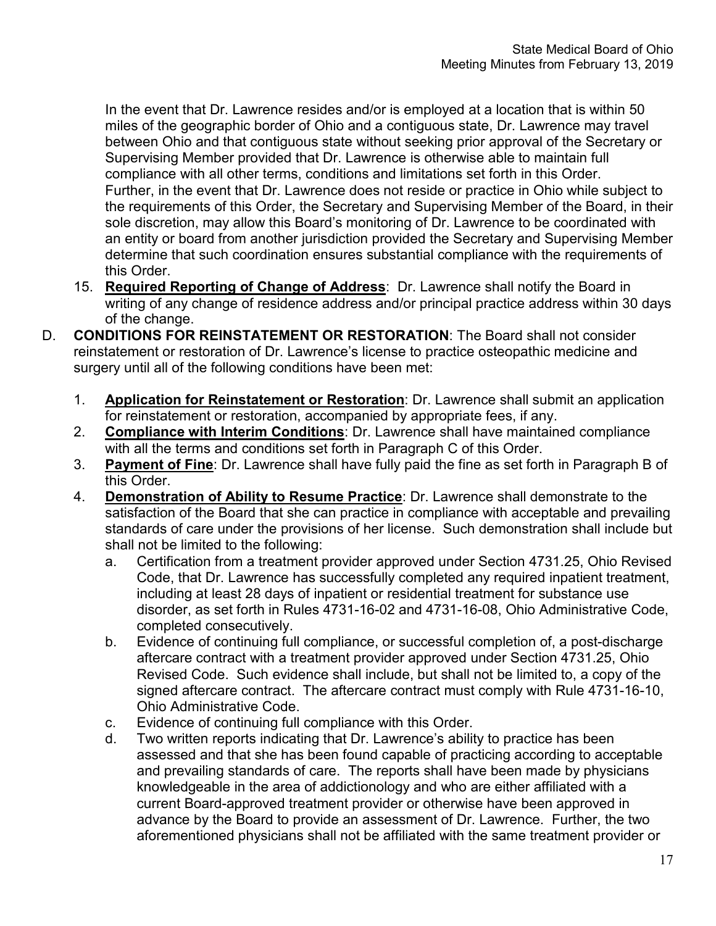In the event that Dr. Lawrence resides and/or is employed at a location that is within 50 miles of the geographic border of Ohio and a contiguous state, Dr. Lawrence may travel between Ohio and that contiguous state without seeking prior approval of the Secretary or Supervising Member provided that Dr. Lawrence is otherwise able to maintain full compliance with all other terms, conditions and limitations set forth in this Order. Further, in the event that Dr. Lawrence does not reside or practice in Ohio while subject to the requirements of this Order, the Secretary and Supervising Member of the Board, in their sole discretion, may allow this Board's monitoring of Dr. Lawrence to be coordinated with an entity or board from another jurisdiction provided the Secretary and Supervising Member determine that such coordination ensures substantial compliance with the requirements of this Order.

- 15. **Required Reporting of Change of Address**: Dr. Lawrence shall notify the Board in writing of any change of residence address and/or principal practice address within 30 days of the change.
- D. **CONDITIONS FOR REINSTATEMENT OR RESTORATION**: The Board shall not consider reinstatement or restoration of Dr. Lawrence's license to practice osteopathic medicine and surgery until all of the following conditions have been met:
	- 1. **Application for Reinstatement or Restoration**: Dr. Lawrence shall submit an application for reinstatement or restoration, accompanied by appropriate fees, if any.
	- 2. **Compliance with Interim Conditions**: Dr. Lawrence shall have maintained compliance with all the terms and conditions set forth in Paragraph C of this Order.
	- 3. **Payment of Fine**: Dr. Lawrence shall have fully paid the fine as set forth in Paragraph B of this Order.
	- 4. **Demonstration of Ability to Resume Practice**: Dr. Lawrence shall demonstrate to the satisfaction of the Board that she can practice in compliance with acceptable and prevailing standards of care under the provisions of her license. Such demonstration shall include but shall not be limited to the following:
		- a. Certification from a treatment provider approved under Section 4731.25, Ohio Revised Code, that Dr. Lawrence has successfully completed any required inpatient treatment, including at least 28 days of inpatient or residential treatment for substance use disorder, as set forth in Rules 4731-16-02 and 4731-16-08, Ohio Administrative Code, completed consecutively.
		- b. Evidence of continuing full compliance, or successful completion of, a post-discharge aftercare contract with a treatment provider approved under Section 4731.25, Ohio Revised Code. Such evidence shall include, but shall not be limited to, a copy of the signed aftercare contract. The aftercare contract must comply with Rule 4731-16-10, Ohio Administrative Code.
		- c. Evidence of continuing full compliance with this Order.
		- d. Two written reports indicating that Dr. Lawrence's ability to practice has been assessed and that she has been found capable of practicing according to acceptable and prevailing standards of care. The reports shall have been made by physicians knowledgeable in the area of addictionology and who are either affiliated with a current Board-approved treatment provider or otherwise have been approved in advance by the Board to provide an assessment of Dr. Lawrence. Further, the two aforementioned physicians shall not be affiliated with the same treatment provider or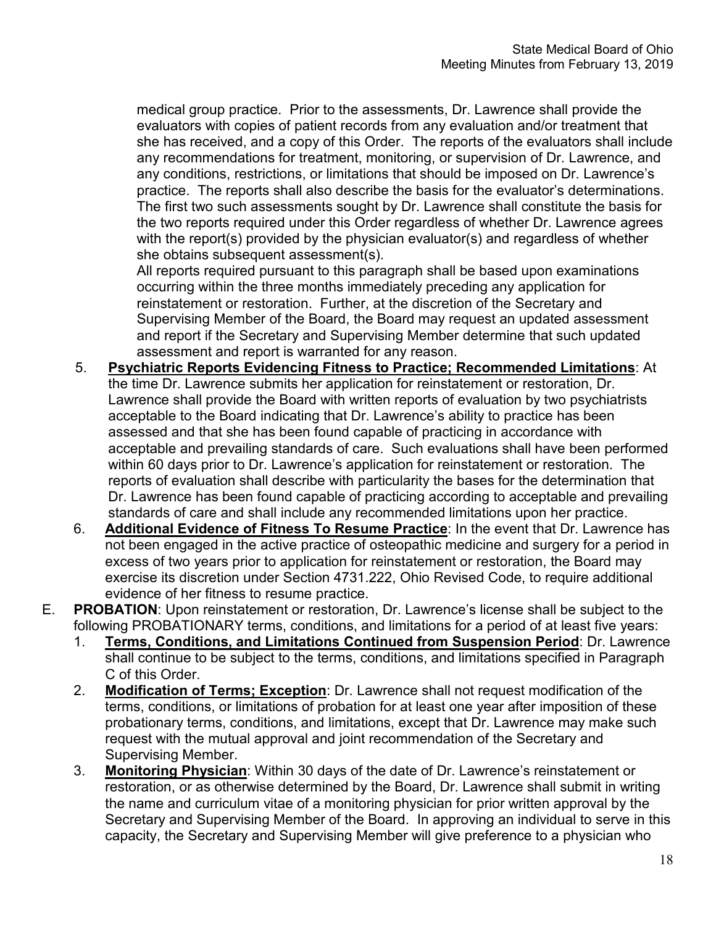medical group practice. Prior to the assessments, Dr. Lawrence shall provide the evaluators with copies of patient records from any evaluation and/or treatment that she has received, and a copy of this Order. The reports of the evaluators shall include any recommendations for treatment, monitoring, or supervision of Dr. Lawrence, and any conditions, restrictions, or limitations that should be imposed on Dr. Lawrence's practice. The reports shall also describe the basis for the evaluator's determinations. The first two such assessments sought by Dr. Lawrence shall constitute the basis for the two reports required under this Order regardless of whether Dr. Lawrence agrees with the report(s) provided by the physician evaluator(s) and regardless of whether she obtains subsequent assessment(s).

All reports required pursuant to this paragraph shall be based upon examinations occurring within the three months immediately preceding any application for reinstatement or restoration. Further, at the discretion of the Secretary and Supervising Member of the Board, the Board may request an updated assessment and report if the Secretary and Supervising Member determine that such updated assessment and report is warranted for any reason.

- 5. **Psychiatric Reports Evidencing Fitness to Practice; Recommended Limitations**: At the time Dr. Lawrence submits her application for reinstatement or restoration, Dr. Lawrence shall provide the Board with written reports of evaluation by two psychiatrists acceptable to the Board indicating that Dr. Lawrence's ability to practice has been assessed and that she has been found capable of practicing in accordance with acceptable and prevailing standards of care. Such evaluations shall have been performed within 60 days prior to Dr. Lawrence's application for reinstatement or restoration. The reports of evaluation shall describe with particularity the bases for the determination that Dr. Lawrence has been found capable of practicing according to acceptable and prevailing standards of care and shall include any recommended limitations upon her practice.
- 6. **Additional Evidence of Fitness To Resume Practice**: In the event that Dr. Lawrence has not been engaged in the active practice of osteopathic medicine and surgery for a period in excess of two years prior to application for reinstatement or restoration, the Board may exercise its discretion under Section 4731.222, Ohio Revised Code, to require additional evidence of her fitness to resume practice.
- E. **PROBATION**: Upon reinstatement or restoration, Dr. Lawrence's license shall be subject to the following PROBATIONARY terms, conditions, and limitations for a period of at least five years:
	- 1. **Terms, Conditions, and Limitations Continued from Suspension Period**: Dr. Lawrence shall continue to be subject to the terms, conditions, and limitations specified in Paragraph C of this Order.
	- 2. **Modification of Terms; Exception**: Dr. Lawrence shall not request modification of the terms, conditions, or limitations of probation for at least one year after imposition of these probationary terms, conditions, and limitations, except that Dr. Lawrence may make such request with the mutual approval and joint recommendation of the Secretary and Supervising Member.
	- 3. **Monitoring Physician**: Within 30 days of the date of Dr. Lawrence's reinstatement or restoration, or as otherwise determined by the Board, Dr. Lawrence shall submit in writing the name and curriculum vitae of a monitoring physician for prior written approval by the Secretary and Supervising Member of the Board. In approving an individual to serve in this capacity, the Secretary and Supervising Member will give preference to a physician who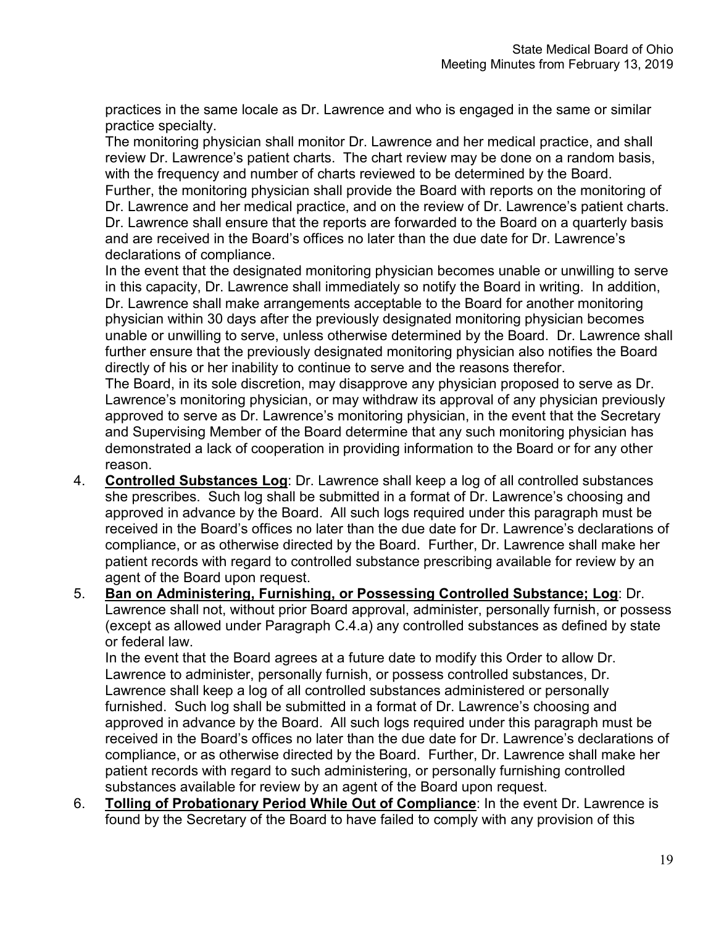practices in the same locale as Dr. Lawrence and who is engaged in the same or similar practice specialty.

The monitoring physician shall monitor Dr. Lawrence and her medical practice, and shall review Dr. Lawrence's patient charts. The chart review may be done on a random basis, with the frequency and number of charts reviewed to be determined by the Board. Further, the monitoring physician shall provide the Board with reports on the monitoring of Dr. Lawrence and her medical practice, and on the review of Dr. Lawrence's patient charts. Dr. Lawrence shall ensure that the reports are forwarded to the Board on a quarterly basis and are received in the Board's offices no later than the due date for Dr. Lawrence's

declarations of compliance.

In the event that the designated monitoring physician becomes unable or unwilling to serve in this capacity, Dr. Lawrence shall immediately so notify the Board in writing. In addition, Dr. Lawrence shall make arrangements acceptable to the Board for another monitoring physician within 30 days after the previously designated monitoring physician becomes unable or unwilling to serve, unless otherwise determined by the Board. Dr. Lawrence shall further ensure that the previously designated monitoring physician also notifies the Board directly of his or her inability to continue to serve and the reasons therefor.

The Board, in its sole discretion, may disapprove any physician proposed to serve as Dr. Lawrence's monitoring physician, or may withdraw its approval of any physician previously approved to serve as Dr. Lawrence's monitoring physician, in the event that the Secretary and Supervising Member of the Board determine that any such monitoring physician has demonstrated a lack of cooperation in providing information to the Board or for any other reason.

- 4. **Controlled Substances Log**: Dr. Lawrence shall keep a log of all controlled substances she prescribes. Such log shall be submitted in a format of Dr. Lawrence's choosing and approved in advance by the Board. All such logs required under this paragraph must be received in the Board's offices no later than the due date for Dr. Lawrence's declarations of compliance, or as otherwise directed by the Board. Further, Dr. Lawrence shall make her patient records with regard to controlled substance prescribing available for review by an agent of the Board upon request.
- 5. **Ban on Administering, Furnishing, or Possessing Controlled Substance; Log**: Dr. Lawrence shall not, without prior Board approval, administer, personally furnish, or possess (except as allowed under Paragraph C.4.a) any controlled substances as defined by state or federal law.

In the event that the Board agrees at a future date to modify this Order to allow Dr. Lawrence to administer, personally furnish, or possess controlled substances, Dr. Lawrence shall keep a log of all controlled substances administered or personally furnished. Such log shall be submitted in a format of Dr. Lawrence's choosing and approved in advance by the Board. All such logs required under this paragraph must be received in the Board's offices no later than the due date for Dr. Lawrence's declarations of compliance, or as otherwise directed by the Board. Further, Dr. Lawrence shall make her patient records with regard to such administering, or personally furnishing controlled substances available for review by an agent of the Board upon request.

6. **Tolling of Probationary Period While Out of Compliance**: In the event Dr. Lawrence is found by the Secretary of the Board to have failed to comply with any provision of this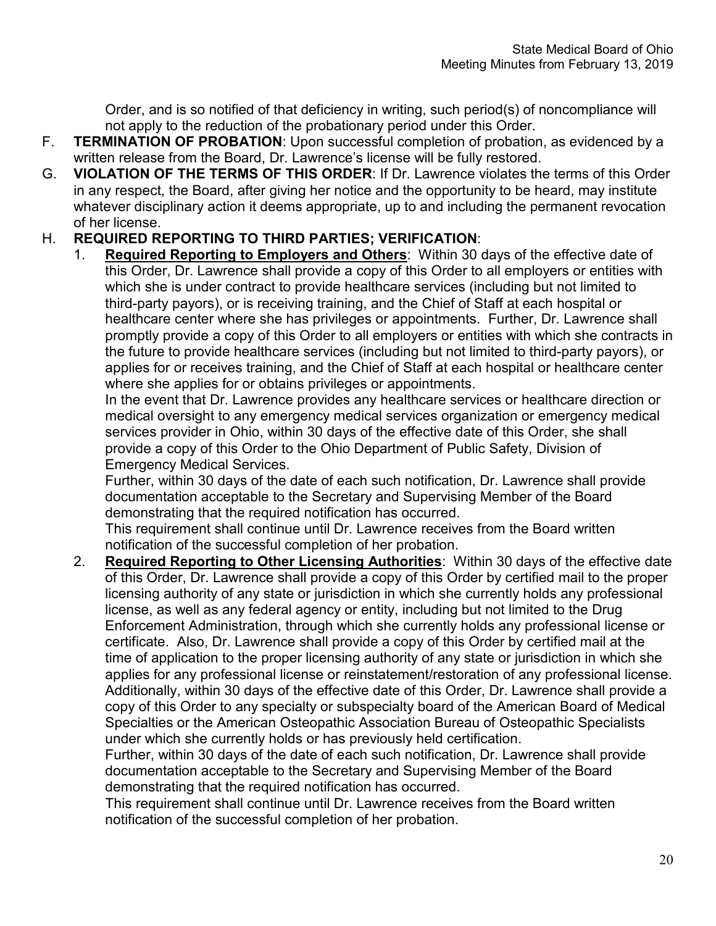Order, and is so notified of that deficiency in writing, such period(s) of noncompliance will not apply to the reduction of the probationary period under this Order.

- F. **TERMINATION OF PROBATION**: Upon successful completion of probation, as evidenced by a written release from the Board, Dr. Lawrence's license will be fully restored.
- G. **VIOLATION OF THE TERMS OF THIS ORDER**: If Dr. Lawrence violates the terms of this Order in any respect, the Board, after giving her notice and the opportunity to be heard, may institute whatever disciplinary action it deems appropriate, up to and including the permanent revocation of her license.

# H. **REQUIRED REPORTING TO THIRD PARTIES; VERIFICATION**:

1. **Required Reporting to Employers and Others**: Within 30 days of the effective date of this Order, Dr. Lawrence shall provide a copy of this Order to all employers or entities with which she is under contract to provide healthcare services (including but not limited to third-party payors), or is receiving training, and the Chief of Staff at each hospital or healthcare center where she has privileges or appointments. Further, Dr. Lawrence shall promptly provide a copy of this Order to all employers or entities with which she contracts in the future to provide healthcare services (including but not limited to third-party payors), or applies for or receives training, and the Chief of Staff at each hospital or healthcare center where she applies for or obtains privileges or appointments.

In the event that Dr. Lawrence provides any healthcare services or healthcare direction or medical oversight to any emergency medical services organization or emergency medical services provider in Ohio, within 30 days of the effective date of this Order, she shall provide a copy of this Order to the Ohio Department of Public Safety, Division of Emergency Medical Services.

Further, within 30 days of the date of each such notification, Dr. Lawrence shall provide documentation acceptable to the Secretary and Supervising Member of the Board demonstrating that the required notification has occurred.

This requirement shall continue until Dr. Lawrence receives from the Board written notification of the successful completion of her probation.

2. **Required Reporting to Other Licensing Authorities**: Within 30 days of the effective date of this Order, Dr. Lawrence shall provide a copy of this Order by certified mail to the proper licensing authority of any state or jurisdiction in which she currently holds any professional license, as well as any federal agency or entity, including but not limited to the Drug Enforcement Administration, through which she currently holds any professional license or certificate. Also, Dr. Lawrence shall provide a copy of this Order by certified mail at the time of application to the proper licensing authority of any state or jurisdiction in which she applies for any professional license or reinstatement/restoration of any professional license. Additionally, within 30 days of the effective date of this Order, Dr. Lawrence shall provide a copy of this Order to any specialty or subspecialty board of the American Board of Medical Specialties or the American Osteopathic Association Bureau of Osteopathic Specialists under which she currently holds or has previously held certification.

Further, within 30 days of the date of each such notification, Dr. Lawrence shall provide documentation acceptable to the Secretary and Supervising Member of the Board demonstrating that the required notification has occurred.

This requirement shall continue until Dr. Lawrence receives from the Board written notification of the successful completion of her probation.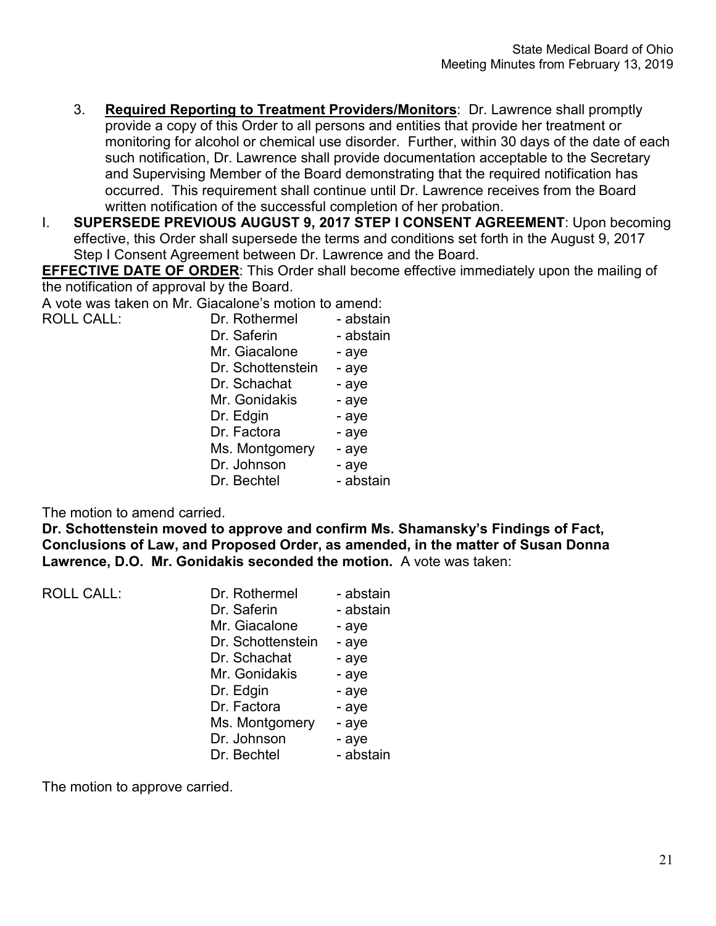- 3. **Required Reporting to Treatment Providers/Monitors**: Dr. Lawrence shall promptly provide a copy of this Order to all persons and entities that provide her treatment or monitoring for alcohol or chemical use disorder. Further, within 30 days of the date of each such notification, Dr. Lawrence shall provide documentation acceptable to the Secretary and Supervising Member of the Board demonstrating that the required notification has occurred. This requirement shall continue until Dr. Lawrence receives from the Board written notification of the successful completion of her probation.
- I. **SUPERSEDE PREVIOUS AUGUST 9, 2017 STEP I CONSENT AGREEMENT**: Upon becoming effective, this Order shall supersede the terms and conditions set forth in the August 9, 2017 Step I Consent Agreement between Dr. Lawrence and the Board.

**EFFECTIVE DATE OF ORDER:** This Order shall become effective immediately upon the mailing of the notification of approval by the Board.

A vote was taken on Mr. Giacalone's motion to amend:

| <b>ROLL CALL:</b> | Dr. Rothermel | - abstain |
|-------------------|---------------|-----------|
|                   |               |           |

| DI. RUURIIIEI     | - abstall l |
|-------------------|-------------|
| Dr. Saferin       | - abstain   |
| Mr. Giacalone     | - aye       |
| Dr. Schottenstein | - aye       |
| Dr. Schachat      | - aye       |
| Mr. Gonidakis     | - aye       |
| Dr. Edgin         | - aye       |
| Dr. Factora       | - aye       |
| Ms. Montgomery    | - aye       |
| Dr. Johnson       | - aye       |
| Dr. Bechtel       | - abstain   |
|                   |             |

The motion to amend carried.

**Dr. Schottenstein moved to approve and confirm Ms. Shamansky's Findings of Fact, Conclusions of Law, and Proposed Order, as amended, in the matter of Susan Donna Lawrence, D.O. Mr. Gonidakis seconded the motion.** A vote was taken:

ROLL CALL: Dr. Rothermel - abstain Dr. Saferin - abstain Mr. Giacalone - aye Dr. Schottenstein - aye Dr. Schachat - aye Mr. Gonidakis - aye Dr. Edgin - ave Dr. Factora - aye Ms. Montgomery - aye Dr. Johnson - aye Dr. Bechtel - abstain

The motion to approve carried.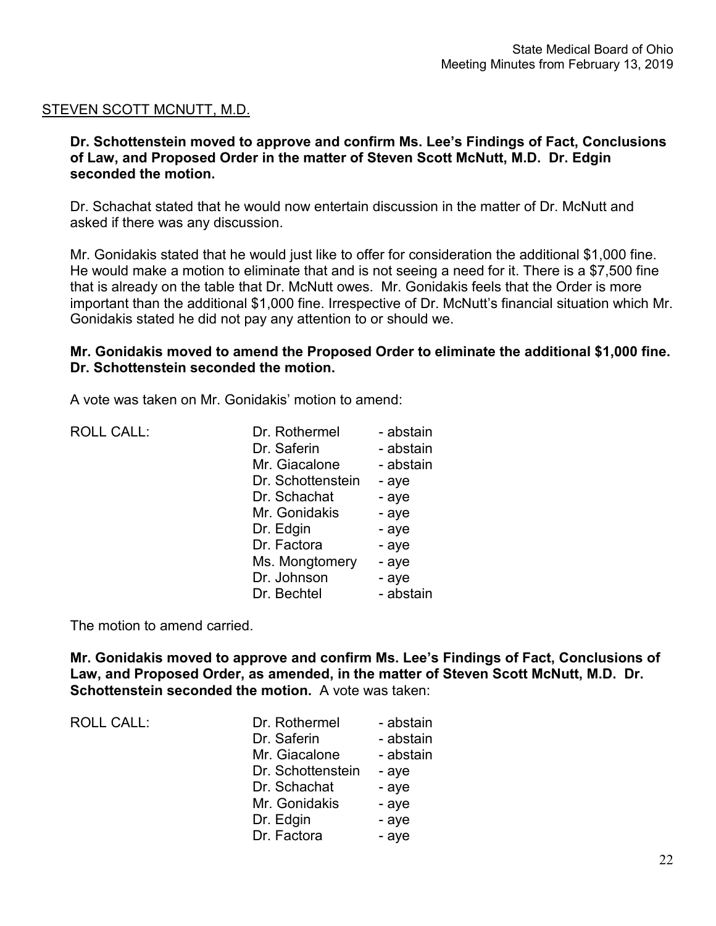# STEVEN SCOTT MCNUTT, M.D.

**Dr. Schottenstein moved to approve and confirm Ms. Lee's Findings of Fact, Conclusions of Law, and Proposed Order in the matter of Steven Scott McNutt, M.D. Dr. Edgin seconded the motion.**

Dr. Schachat stated that he would now entertain discussion in the matter of Dr. McNutt and asked if there was any discussion.

Mr. Gonidakis stated that he would just like to offer for consideration the additional \$1,000 fine. He would make a motion to eliminate that and is not seeing a need for it. There is a \$7,500 fine that is already on the table that Dr. McNutt owes. Mr. Gonidakis feels that the Order is more important than the additional \$1,000 fine. Irrespective of Dr. McNutt's financial situation which Mr. Gonidakis stated he did not pay any attention to or should we.

# **Mr. Gonidakis moved to amend the Proposed Order to eliminate the additional \$1,000 fine. Dr. Schottenstein seconded the motion.**

A vote was taken on Mr. Gonidakis' motion to amend:

| <b>ROLL CALL:</b> | Dr. Rothermel     | - abstain |
|-------------------|-------------------|-----------|
|                   | Dr. Saferin       | - abstain |
|                   | Mr. Giacalone     | - abstain |
|                   | Dr. Schottenstein | - aye     |
|                   | Dr. Schachat      | - aye     |
|                   | Mr. Gonidakis     | - aye     |
|                   | Dr. Edgin         | - aye     |
|                   | Dr. Factora       | - aye     |
|                   | Ms. Mongtomery    | - aye     |
|                   | Dr. Johnson       | - aye     |
|                   | Dr. Bechtel       | - abstain |
|                   |                   |           |

The motion to amend carried.

**Mr. Gonidakis moved to approve and confirm Ms. Lee's Findings of Fact, Conclusions of Law, and Proposed Order, as amended, in the matter of Steven Scott McNutt, M.D. Dr. Schottenstein seconded the motion.** A vote was taken:

ROLL CALL:

| Dr. Rothermel     | - abstain |
|-------------------|-----------|
| Dr. Saferin       | - abstain |
| Mr. Giacalone     | - abstain |
| Dr. Schottenstein | - aye     |
| Dr. Schachat      | - aye     |
| Mr. Gonidakis     | - aye     |
| Dr. Edgin         | - aye     |
| Dr. Factora       | - aye     |
|                   |           |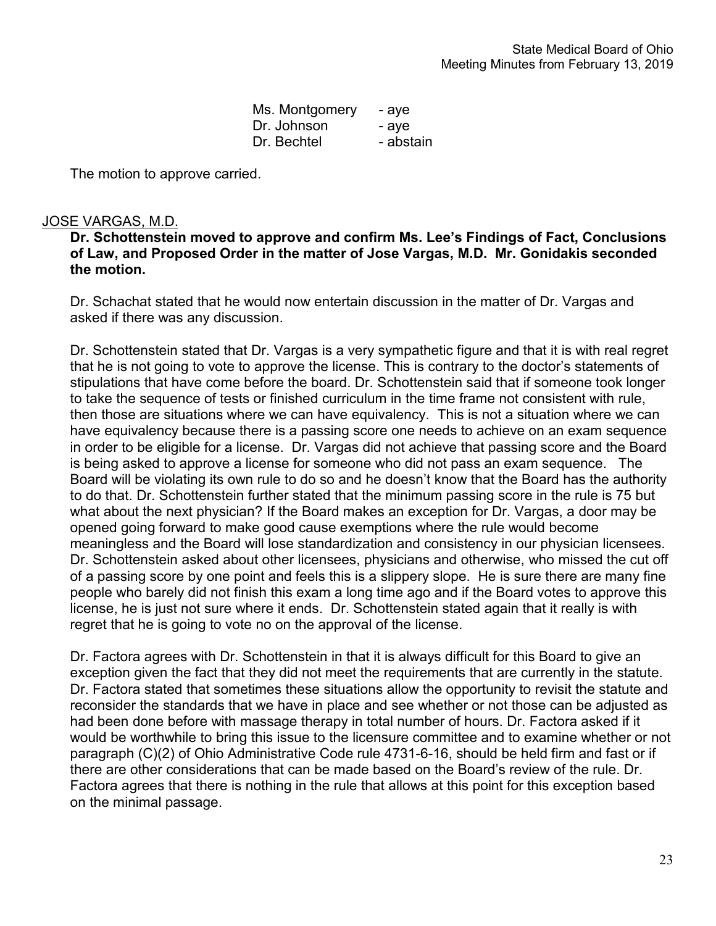| Ms. Montgomery | - aye     |
|----------------|-----------|
| Dr. Johnson    | - aye     |
| Dr. Bechtel    | - abstain |

The motion to approve carried.

# JOSE VARGAS, M.D.

**Dr. Schottenstein moved to approve and confirm Ms. Lee's Findings of Fact, Conclusions of Law, and Proposed Order in the matter of Jose Vargas, M.D. Mr. Gonidakis seconded the motion.**

Dr. Schachat stated that he would now entertain discussion in the matter of Dr. Vargas and asked if there was any discussion.

Dr. Schottenstein stated that Dr. Vargas is a very sympathetic figure and that it is with real regret that he is not going to vote to approve the license. This is contrary to the doctor's statements of stipulations that have come before the board. Dr. Schottenstein said that if someone took longer to take the sequence of tests or finished curriculum in the time frame not consistent with rule, then those are situations where we can have equivalency. This is not a situation where we can have equivalency because there is a passing score one needs to achieve on an exam sequence in order to be eligible for a license. Dr. Vargas did not achieve that passing score and the Board is being asked to approve a license for someone who did not pass an exam sequence. The Board will be violating its own rule to do so and he doesn't know that the Board has the authority to do that. Dr. Schottenstein further stated that the minimum passing score in the rule is 75 but what about the next physician? If the Board makes an exception for Dr. Vargas, a door may be opened going forward to make good cause exemptions where the rule would become meaningless and the Board will lose standardization and consistency in our physician licensees. Dr. Schottenstein asked about other licensees, physicians and otherwise, who missed the cut off of a passing score by one point and feels this is a slippery slope. He is sure there are many fine people who barely did not finish this exam a long time ago and if the Board votes to approve this license, he is just not sure where it ends. Dr. Schottenstein stated again that it really is with regret that he is going to vote no on the approval of the license.

Dr. Factora agrees with Dr. Schottenstein in that it is always difficult for this Board to give an exception given the fact that they did not meet the requirements that are currently in the statute. Dr. Factora stated that sometimes these situations allow the opportunity to revisit the statute and reconsider the standards that we have in place and see whether or not those can be adjusted as had been done before with massage therapy in total number of hours. Dr. Factora asked if it would be worthwhile to bring this issue to the licensure committee and to examine whether or not paragraph (C)(2) of Ohio Administrative Code rule 4731-6-16, should be held firm and fast or if there are other considerations that can be made based on the Board's review of the rule. Dr. Factora agrees that there is nothing in the rule that allows at this point for this exception based on the minimal passage.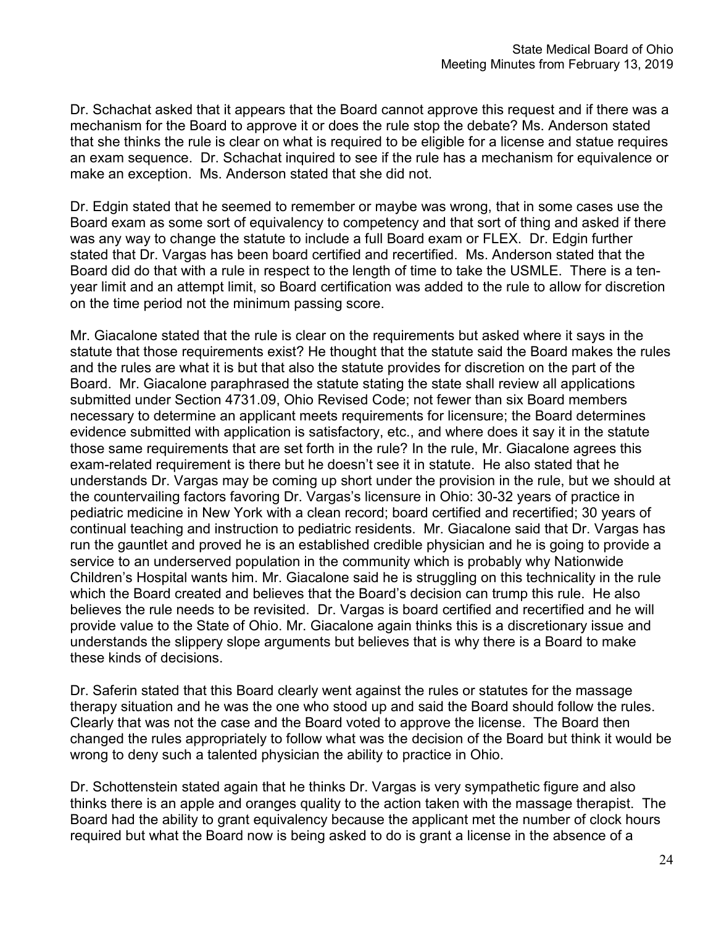Dr. Schachat asked that it appears that the Board cannot approve this request and if there was a mechanism for the Board to approve it or does the rule stop the debate? Ms. Anderson stated that she thinks the rule is clear on what is required to be eligible for a license and statue requires an exam sequence. Dr. Schachat inquired to see if the rule has a mechanism for equivalence or make an exception. Ms. Anderson stated that she did not.

Dr. Edgin stated that he seemed to remember or maybe was wrong, that in some cases use the Board exam as some sort of equivalency to competency and that sort of thing and asked if there was any way to change the statute to include a full Board exam or FLEX. Dr. Edgin further stated that Dr. Vargas has been board certified and recertified. Ms. Anderson stated that the Board did do that with a rule in respect to the length of time to take the USMLE. There is a tenyear limit and an attempt limit, so Board certification was added to the rule to allow for discretion on the time period not the minimum passing score.

Mr. Giacalone stated that the rule is clear on the requirements but asked where it says in the statute that those requirements exist? He thought that the statute said the Board makes the rules and the rules are what it is but that also the statute provides for discretion on the part of the Board. Mr. Giacalone paraphrased the statute stating the state shall review all applications submitted under Section 4731.09, Ohio Revised Code; not fewer than six Board members necessary to determine an applicant meets requirements for licensure; the Board determines evidence submitted with application is satisfactory, etc., and where does it say it in the statute those same requirements that are set forth in the rule? In the rule, Mr. Giacalone agrees this exam-related requirement is there but he doesn't see it in statute. He also stated that he understands Dr. Vargas may be coming up short under the provision in the rule, but we should at the countervailing factors favoring Dr. Vargas's licensure in Ohio: 30-32 years of practice in pediatric medicine in New York with a clean record; board certified and recertified; 30 years of continual teaching and instruction to pediatric residents. Mr. Giacalone said that Dr. Vargas has run the gauntlet and proved he is an established credible physician and he is going to provide a service to an underserved population in the community which is probably why Nationwide Children's Hospital wants him. Mr. Giacalone said he is struggling on this technicality in the rule which the Board created and believes that the Board's decision can trump this rule. He also believes the rule needs to be revisited. Dr. Vargas is board certified and recertified and he will provide value to the State of Ohio. Mr. Giacalone again thinks this is a discretionary issue and understands the slippery slope arguments but believes that is why there is a Board to make these kinds of decisions.

Dr. Saferin stated that this Board clearly went against the rules or statutes for the massage therapy situation and he was the one who stood up and said the Board should follow the rules. Clearly that was not the case and the Board voted to approve the license. The Board then changed the rules appropriately to follow what was the decision of the Board but think it would be wrong to deny such a talented physician the ability to practice in Ohio.

Dr. Schottenstein stated again that he thinks Dr. Vargas is very sympathetic figure and also thinks there is an apple and oranges quality to the action taken with the massage therapist. The Board had the ability to grant equivalency because the applicant met the number of clock hours required but what the Board now is being asked to do is grant a license in the absence of a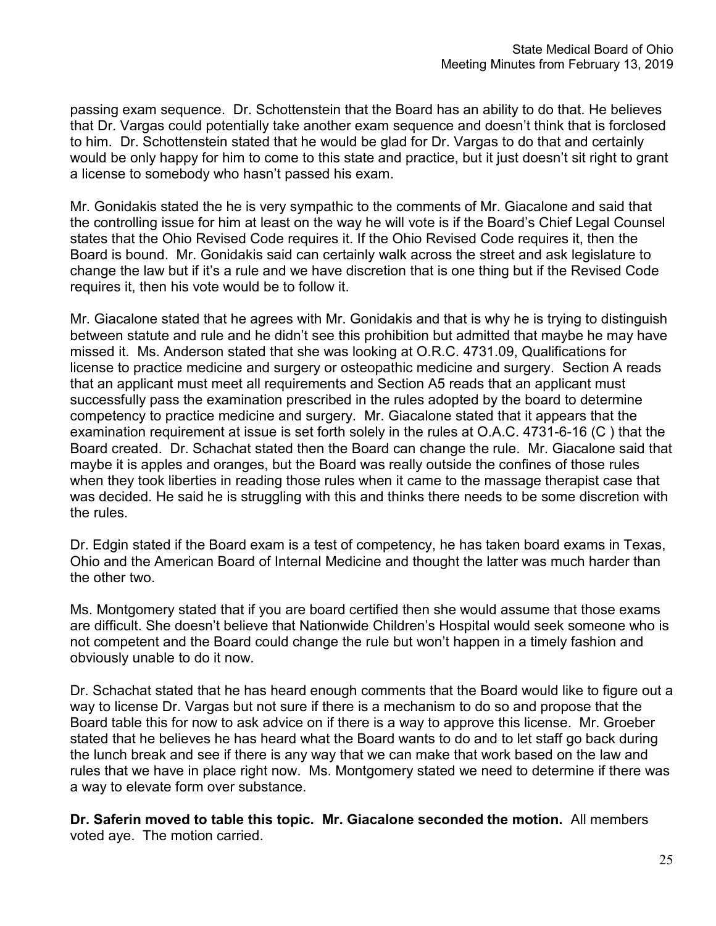passing exam sequence. Dr. Schottenstein that the Board has an ability to do that. He believes that Dr. Vargas could potentially take another exam sequence and doesn't think that is forclosed to him. Dr. Schottenstein stated that he would be glad for Dr. Vargas to do that and certainly would be only happy for him to come to this state and practice, but it just doesn't sit right to grant a license to somebody who hasn't passed his exam.

Mr. Gonidakis stated the he is very sympathic to the comments of Mr. Giacalone and said that the controlling issue for him at least on the way he will vote is if the Board's Chief Legal Counsel states that the Ohio Revised Code requires it. If the Ohio Revised Code requires it, then the Board is bound. Mr. Gonidakis said can certainly walk across the street and ask legislature to change the law but if it's a rule and we have discretion that is one thing but if the Revised Code requires it, then his vote would be to follow it.

Mr. Giacalone stated that he agrees with Mr. Gonidakis and that is why he is trying to distinguish between statute and rule and he didn't see this prohibition but admitted that maybe he may have missed it. Ms. Anderson stated that she was looking at O.R.C. 4731.09, Qualifications for license to practice medicine and surgery or osteopathic medicine and surgery. Section A reads that an applicant must meet all requirements and Section A5 reads that an applicant must successfully pass the examination prescribed in the rules adopted by the board to determine competency to practice medicine and surgery. Mr. Giacalone stated that it appears that the examination requirement at issue is set forth solely in the rules at O.A.C. 4731-6-16 (C ) that the Board created. Dr. Schachat stated then the Board can change the rule. Mr. Giacalone said that maybe it is apples and oranges, but the Board was really outside the confines of those rules when they took liberties in reading those rules when it came to the massage therapist case that was decided. He said he is struggling with this and thinks there needs to be some discretion with the rules.

Dr. Edgin stated if the Board exam is a test of competency, he has taken board exams in Texas, Ohio and the American Board of Internal Medicine and thought the latter was much harder than the other two.

Ms. Montgomery stated that if you are board certified then she would assume that those exams are difficult. She doesn't believe that Nationwide Children's Hospital would seek someone who is not competent and the Board could change the rule but won't happen in a timely fashion and obviously unable to do it now.

Dr. Schachat stated that he has heard enough comments that the Board would like to figure out a way to license Dr. Vargas but not sure if there is a mechanism to do so and propose that the Board table this for now to ask advice on if there is a way to approve this license. Mr. Groeber stated that he believes he has heard what the Board wants to do and to let staff go back during the lunch break and see if there is any way that we can make that work based on the law and rules that we have in place right now. Ms. Montgomery stated we need to determine if there was a way to elevate form over substance.

**Dr. Saferin moved to table this topic. Mr. Giacalone seconded the motion.** All members voted aye. The motion carried.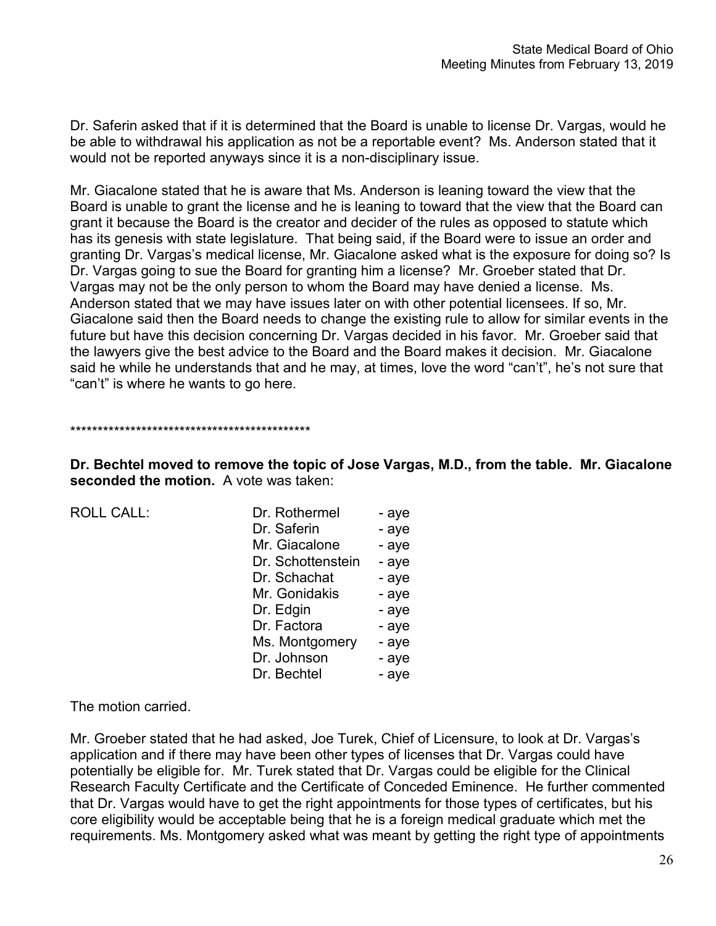Dr. Saferin asked that if it is determined that the Board is unable to license Dr. Vargas, would he be able to withdrawal his application as not be a reportable event? Ms. Anderson stated that it would not be reported anyways since it is a non-disciplinary issue.

Mr. Giacalone stated that he is aware that Ms. Anderson is leaning toward the view that the Board is unable to grant the license and he is leaning to toward that the view that the Board can grant it because the Board is the creator and decider of the rules as opposed to statute which has its genesis with state legislature. That being said, if the Board were to issue an order and granting Dr. Vargas's medical license, Mr. Giacalone asked what is the exposure for doing so? Is Dr. Vargas going to sue the Board for granting him a license? Mr. Groeber stated that Dr. Vargas may not be the only person to whom the Board may have denied a license. Ms. Anderson stated that we may have issues later on with other potential licensees. If so, Mr. Giacalone said then the Board needs to change the existing rule to allow for similar events in the future but have this decision concerning Dr. Vargas decided in his favor. Mr. Groeber said that the lawyers give the best advice to the Board and the Board makes it decision. Mr. Giacalone said he while he understands that and he may, at times, love the word "can't", he's not sure that "can't" is where he wants to go here.

\*\*\*\*\*\*\*\*\*\*\*\*\*\*\*\*\*\*\*\*\*\*\*\*\*\*\*\*\*\*\*\*\*\*\*\*\*\*\*\*\*\*\*\*

**Dr. Bechtel moved to remove the topic of Jose Vargas, M.D., from the table. Mr. Giacalone seconded the motion.** A vote was taken:

 $ROILCAIL$ :

| Dr. Rothermel     | - aye |
|-------------------|-------|
| Dr. Saferin       | - aye |
| Mr. Giacalone     | - aye |
| Dr. Schottenstein | - aye |
| Dr. Schachat      | - aye |
| Mr. Gonidakis     | - aye |
| Dr. Edgin         | - aye |
| Dr. Factora       | - aye |
| Ms. Montgomery    | - aye |
| Dr. Johnson       | - aye |
| Dr. Bechtel       | - aye |
|                   |       |

The motion carried.

Mr. Groeber stated that he had asked, Joe Turek, Chief of Licensure, to look at Dr. Vargas's application and if there may have been other types of licenses that Dr. Vargas could have potentially be eligible for. Mr. Turek stated that Dr. Vargas could be eligible for the Clinical Research Faculty Certificate and the Certificate of Conceded Eminence. He further commented that Dr. Vargas would have to get the right appointments for those types of certificates, but his core eligibility would be acceptable being that he is a foreign medical graduate which met the requirements. Ms. Montgomery asked what was meant by getting the right type of appointments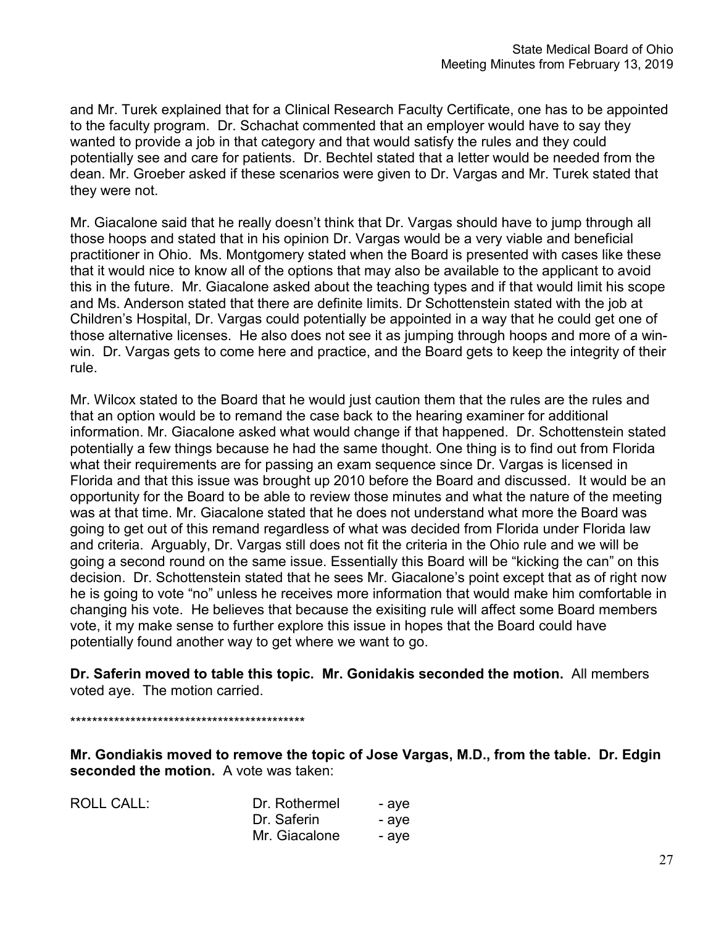and Mr. Turek explained that for a Clinical Research Faculty Certificate, one has to be appointed to the faculty program. Dr. Schachat commented that an employer would have to say they wanted to provide a job in that category and that would satisfy the rules and they could potentially see and care for patients. Dr. Bechtel stated that a letter would be needed from the dean. Mr. Groeber asked if these scenarios were given to Dr. Vargas and Mr. Turek stated that they were not.

Mr. Giacalone said that he really doesn't think that Dr. Vargas should have to jump through all those hoops and stated that in his opinion Dr. Vargas would be a very viable and beneficial practitioner in Ohio. Ms. Montgomery stated when the Board is presented with cases like these that it would nice to know all of the options that may also be available to the applicant to avoid this in the future. Mr. Giacalone asked about the teaching types and if that would limit his scope and Ms. Anderson stated that there are definite limits. Dr Schottenstein stated with the job at Children's Hospital, Dr. Vargas could potentially be appointed in a way that he could get one of those alternative licenses. He also does not see it as jumping through hoops and more of a winwin. Dr. Vargas gets to come here and practice, and the Board gets to keep the integrity of their rule.

Mr. Wilcox stated to the Board that he would just caution them that the rules are the rules and that an option would be to remand the case back to the hearing examiner for additional information. Mr. Giacalone asked what would change if that happened. Dr. Schottenstein stated potentially a few things because he had the same thought. One thing is to find out from Florida what their requirements are for passing an exam sequence since Dr. Vargas is licensed in Florida and that this issue was brought up 2010 before the Board and discussed. It would be an opportunity for the Board to be able to review those minutes and what the nature of the meeting was at that time. Mr. Giacalone stated that he does not understand what more the Board was going to get out of this remand regardless of what was decided from Florida under Florida law and criteria. Arguably, Dr. Vargas still does not fit the criteria in the Ohio rule and we will be going a second round on the same issue. Essentially this Board will be "kicking the can" on this decision. Dr. Schottenstein stated that he sees Mr. Giacalone's point except that as of right now he is going to vote "no" unless he receives more information that would make him comfortable in changing his vote. He believes that because the exisiting rule will affect some Board members vote, it my make sense to further explore this issue in hopes that the Board could have potentially found another way to get where we want to go.

**Dr. Saferin moved to table this topic. Mr. Gonidakis seconded the motion.** All members voted aye. The motion carried.

\*\*\*\*\*\*\*\*\*\*\*\*\*\*\*\*\*\*\*\*\*\*\*\*\*\*\*\*\*\*\*\*\*\*\*\*\*\*\*\*\*\*\*

**Mr. Gondiakis moved to remove the topic of Jose Vargas, M.D., from the table. Dr. Edgin seconded the motion.** A vote was taken:

| <b>ROLL CALL:</b> | Dr. Rothermel | - ave |
|-------------------|---------------|-------|
|                   | Dr. Saferin   | - ave |
|                   | Mr. Giacalone | - ave |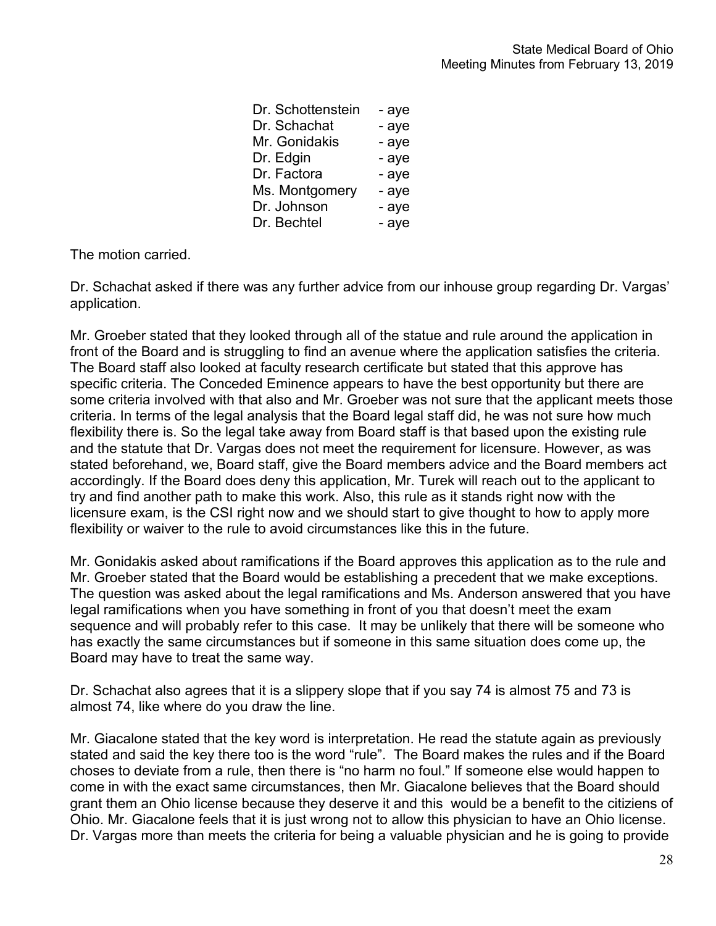| Dr. Schottenstein | - aye |
|-------------------|-------|
| Dr. Schachat      | - aye |
| Mr. Gonidakis     | - aye |
| Dr. Edgin         | - aye |
| Dr. Factora       | - aye |
| Ms. Montgomery    | - aye |
| Dr. Johnson       | - aye |
| Dr. Bechtel       | - aye |
|                   |       |

The motion carried.

Dr. Schachat asked if there was any further advice from our inhouse group regarding Dr. Vargas' application.

Mr. Groeber stated that they looked through all of the statue and rule around the application in front of the Board and is struggling to find an avenue where the application satisfies the criteria. The Board staff also looked at faculty research certificate but stated that this approve has specific criteria. The Conceded Eminence appears to have the best opportunity but there are some criteria involved with that also and Mr. Groeber was not sure that the applicant meets those criteria. In terms of the legal analysis that the Board legal staff did, he was not sure how much flexibility there is. So the legal take away from Board staff is that based upon the existing rule and the statute that Dr. Vargas does not meet the requirement for licensure. However, as was stated beforehand, we, Board staff, give the Board members advice and the Board members act accordingly. If the Board does deny this application, Mr. Turek will reach out to the applicant to try and find another path to make this work. Also, this rule as it stands right now with the licensure exam, is the CSI right now and we should start to give thought to how to apply more flexibility or waiver to the rule to avoid circumstances like this in the future.

Mr. Gonidakis asked about ramifications if the Board approves this application as to the rule and Mr. Groeber stated that the Board would be establishing a precedent that we make exceptions. The question was asked about the legal ramifications and Ms. Anderson answered that you have legal ramifications when you have something in front of you that doesn't meet the exam sequence and will probably refer to this case. It may be unlikely that there will be someone who has exactly the same circumstances but if someone in this same situation does come up, the Board may have to treat the same way.

Dr. Schachat also agrees that it is a slippery slope that if you say 74 is almost 75 and 73 is almost 74, like where do you draw the line.

Mr. Giacalone stated that the key word is interpretation. He read the statute again as previously stated and said the key there too is the word "rule". The Board makes the rules and if the Board choses to deviate from a rule, then there is "no harm no foul." If someone else would happen to come in with the exact same circumstances, then Mr. Giacalone believes that the Board should grant them an Ohio license because they deserve it and this would be a benefit to the citiziens of Ohio. Mr. Giacalone feels that it is just wrong not to allow this physician to have an Ohio license. Dr. Vargas more than meets the criteria for being a valuable physician and he is going to provide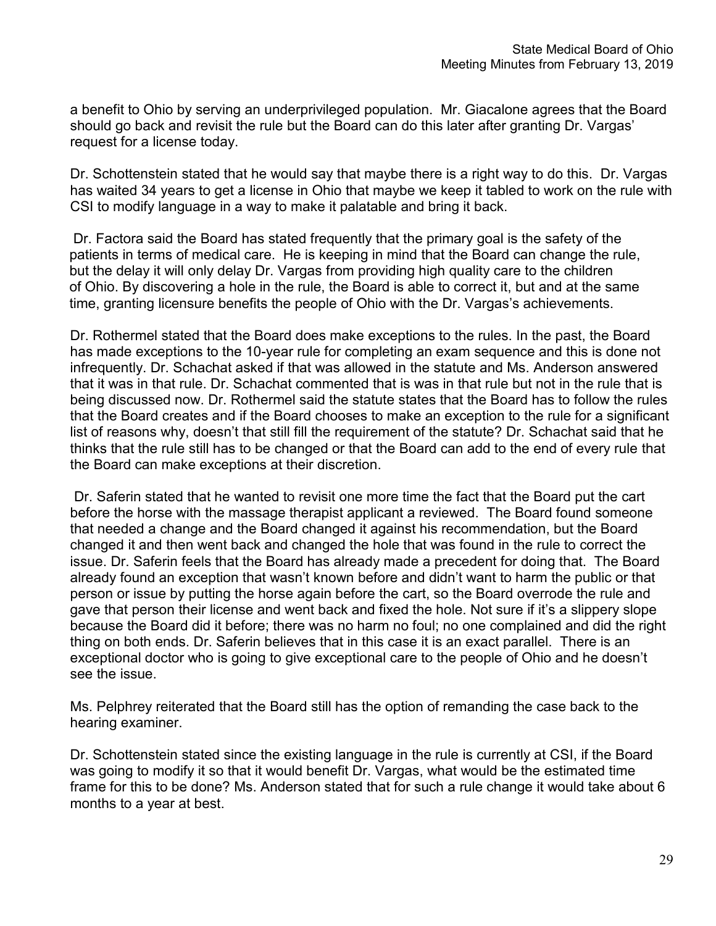a benefit to Ohio by serving an underprivileged population. Mr. Giacalone agrees that the Board should go back and revisit the rule but the Board can do this later after granting Dr. Vargas' request for a license today.

Dr. Schottenstein stated that he would say that maybe there is a right way to do this. Dr. Vargas has waited 34 years to get a license in Ohio that maybe we keep it tabled to work on the rule with CSI to modify language in a way to make it palatable and bring it back.

 Dr. Factora said the Board has stated frequently that the primary goal is the safety of the patients in terms of medical care. He is keeping in mind that the Board can change the rule, but the delay it will only delay Dr. Vargas from providing high quality care to the children of Ohio. By discovering a hole in the rule, the Board is able to correct it, but and at the same time, granting licensure benefits the people of Ohio with the Dr. Vargas's achievements.

Dr. Rothermel stated that the Board does make exceptions to the rules. In the past, the Board has made exceptions to the 10-year rule for completing an exam sequence and this is done not infrequently. Dr. Schachat asked if that was allowed in the statute and Ms. Anderson answered that it was in that rule. Dr. Schachat commented that is was in that rule but not in the rule that is being discussed now. Dr. Rothermel said the statute states that the Board has to follow the rules that the Board creates and if the Board chooses to make an exception to the rule for a significant list of reasons why, doesn't that still fill the requirement of the statute? Dr. Schachat said that he thinks that the rule still has to be changed or that the Board can add to the end of every rule that the Board can make exceptions at their discretion.

Dr. Saferin stated that he wanted to revisit one more time the fact that the Board put the cart before the horse with the massage therapist applicant a reviewed. The Board found someone that needed a change and the Board changed it against his recommendation, but the Board changed it and then went back and changed the hole that was found in the rule to correct the issue. Dr. Saferin feels that the Board has already made a precedent for doing that. The Board already found an exception that wasn't known before and didn't want to harm the public or that person or issue by putting the horse again before the cart, so the Board overrode the rule and gave that person their license and went back and fixed the hole. Not sure if it's a slippery slope because the Board did it before; there was no harm no foul; no one complained and did the right thing on both ends. Dr. Saferin believes that in this case it is an exact parallel. There is an exceptional doctor who is going to give exceptional care to the people of Ohio and he doesn't see the issue.

Ms. Pelphrey reiterated that the Board still has the option of remanding the case back to the hearing examiner.

Dr. Schottenstein stated since the existing language in the rule is currently at CSI, if the Board was going to modify it so that it would benefit Dr. Vargas, what would be the estimated time frame for this to be done? Ms. Anderson stated that for such a rule change it would take about 6 months to a year at best.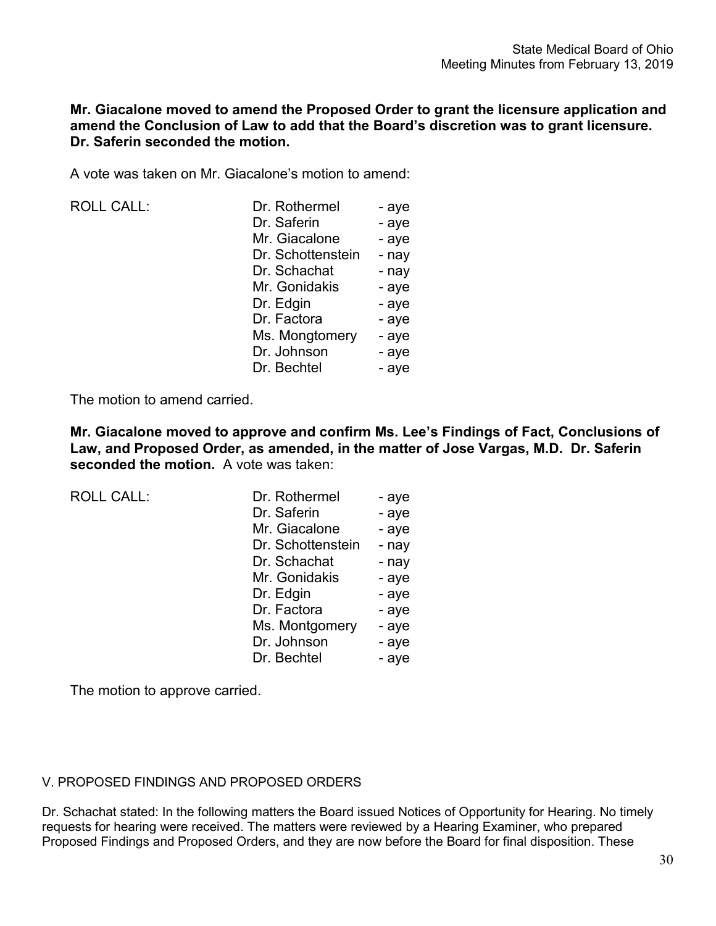# **Mr. Giacalone moved to amend the Proposed Order to grant the licensure application and amend the Conclusion of Law to add that the Board's discretion was to grant licensure. Dr. Saferin seconded the motion.**

A vote was taken on Mr. Giacalone's motion to amend:

| <b>ROLL CALL:</b> | Dr. Rothermel     | - aye |
|-------------------|-------------------|-------|
|                   | Dr. Saferin       | - aye |
|                   | Mr. Giacalone     | - aye |
|                   | Dr. Schottenstein | - nay |
|                   | Dr. Schachat      | - nay |
|                   | Mr. Gonidakis     | - aye |
|                   | Dr. Edgin         | - aye |
|                   | Dr. Factora       | - aye |
|                   | Ms. Mongtomery    | - aye |
|                   | Dr. Johnson       | - aye |
|                   | Dr. Bechtel       | - aye |
|                   |                   |       |

The motion to amend carried.

**Mr. Giacalone moved to approve and confirm Ms. Lee's Findings of Fact, Conclusions of Law, and Proposed Order, as amended, in the matter of Jose Vargas, M.D. Dr. Saferin seconded the motion.** A vote was taken:

| <b>ROLL CALL:</b> | Dr. Rothermel     | - aye |
|-------------------|-------------------|-------|
|                   | Dr. Saferin       | - aye |
|                   | Mr. Giacalone     | - aye |
|                   | Dr. Schottenstein | - nay |
|                   | Dr. Schachat      | - nay |
|                   | Mr. Gonidakis     | - aye |
|                   | Dr. Edgin         | - aye |
|                   | Dr. Factora       | - aye |
|                   | Ms. Montgomery    | - aye |
|                   | Dr. Johnson       | - aye |
|                   | Dr. Bechtel       | - aye |
|                   |                   |       |

The motion to approve carried.

## V. PROPOSED FINDINGS AND PROPOSED ORDERS

Dr. Schachat stated: In the following matters the Board issued Notices of Opportunity for Hearing. No timely requests for hearing were received. The matters were reviewed by a Hearing Examiner, who prepared Proposed Findings and Proposed Orders, and they are now before the Board for final disposition. These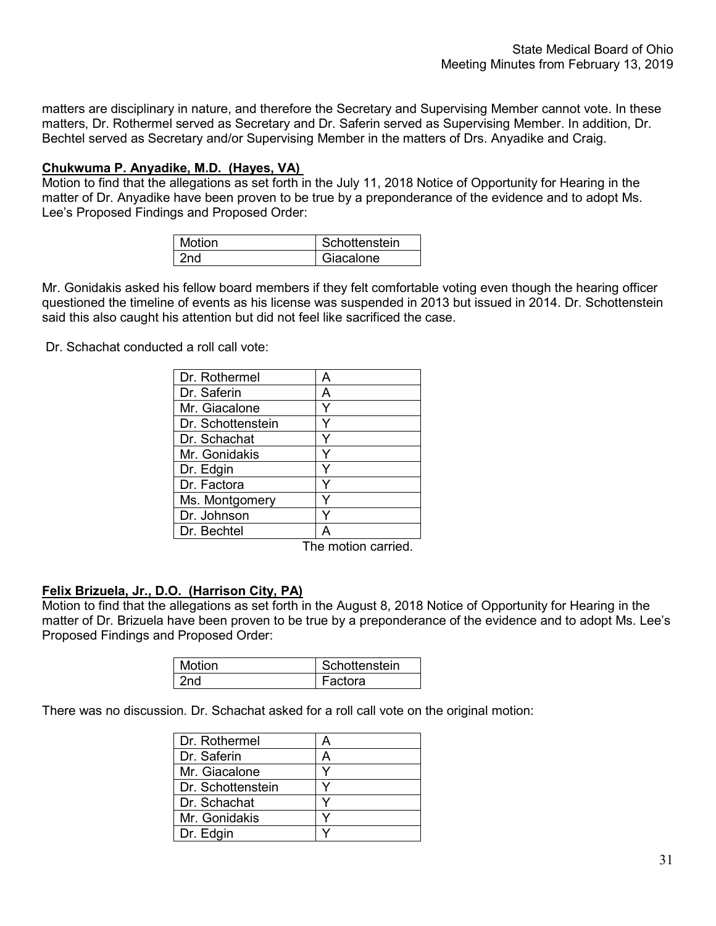matters are disciplinary in nature, and therefore the Secretary and Supervising Member cannot vote. In these matters, Dr. Rothermel served as Secretary and Dr. Saferin served as Supervising Member. In addition, Dr. Bechtel served as Secretary and/or Supervising Member in the matters of Drs. Anyadike and Craig.

### **Chukwuma P. Anyadike, M.D. (Hayes, VA)**

Motion to find that the allegations as set forth in the July 11, 2018 Notice of Opportunity for Hearing in the matter of Dr. Anyadike have been proven to be true by a preponderance of the evidence and to adopt Ms. Lee's Proposed Findings and Proposed Order:

| Motion | Schottenstein |
|--------|---------------|
|        | Giacalone     |

Mr. Gonidakis asked his fellow board members if they felt comfortable voting even though the hearing officer questioned the timeline of events as his license was suspended in 2013 but issued in 2014. Dr. Schottenstein said this also caught his attention but did not feel like sacrificed the case.

Dr. Schachat conducted a roll call vote:

| Dr. Rothermel     |   |
|-------------------|---|
| Dr. Saferin       | д |
| Mr. Giacalone     |   |
| Dr. Schottenstein |   |
| Dr. Schachat      |   |
| Mr. Gonidakis     |   |
| Dr. Edgin         |   |
| Dr. Factora       |   |
| Ms. Montgomery    |   |
| Dr. Johnson       |   |
| Dr. Bechtel       |   |

The motion carried.

#### **Felix Brizuela, Jr., D.O. (Harrison City, PA)**

Motion to find that the allegations as set forth in the August 8, 2018 Notice of Opportunity for Hearing in the matter of Dr. Brizuela have been proven to be true by a preponderance of the evidence and to adopt Ms. Lee's Proposed Findings and Proposed Order:

| <b>Motion</b> | Schottenstein |
|---------------|---------------|
| 'nn           | Factora       |

There was no discussion. Dr. Schachat asked for a roll call vote on the original motion:

| Dr. Rothermel     |   |
|-------------------|---|
| Dr. Saferin       | А |
| Mr. Giacalone     |   |
| Dr. Schottenstein |   |
| Dr. Schachat      |   |
| Mr. Gonidakis     |   |
| Dr. Edgin         |   |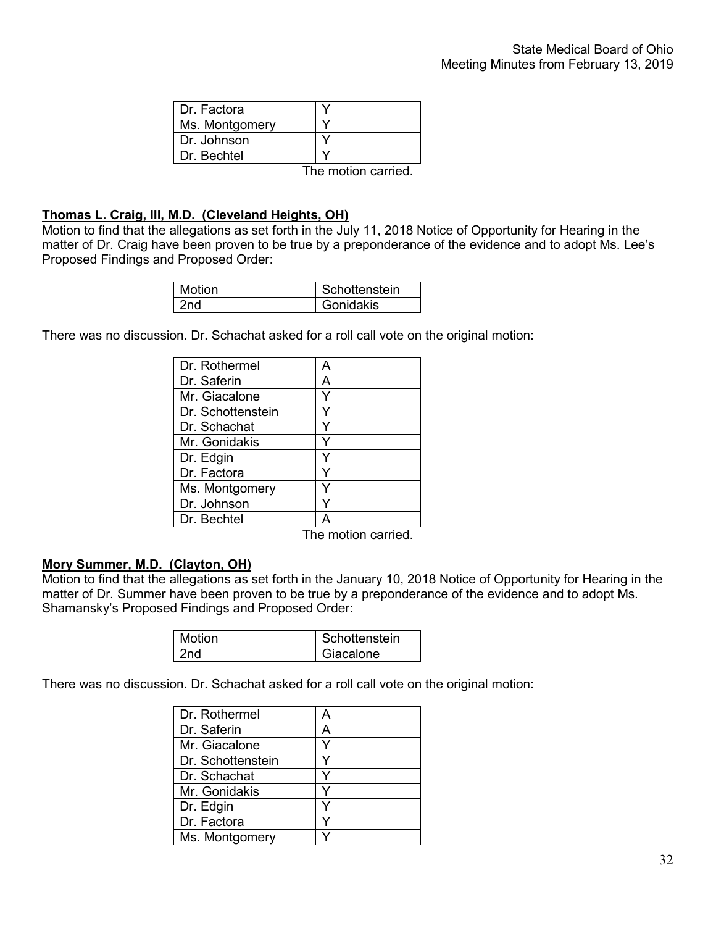The motion carried.

### **Thomas L. Craig, III, M.D. (Cleveland Heights, OH)**

Motion to find that the allegations as set forth in the July 11, 2018 Notice of Opportunity for Hearing in the matter of Dr. Craig have been proven to be true by a preponderance of the evidence and to adopt Ms. Lee's Proposed Findings and Proposed Order:

| Motion | Schottenstein |
|--------|---------------|
| nd,    | Gonidakis     |

There was no discussion. Dr. Schachat asked for a roll call vote on the original motion:

| Dr. Rothermel     |   |
|-------------------|---|
| Dr. Saferin       | А |
| Mr. Giacalone     |   |
| Dr. Schottenstein |   |
| Dr. Schachat      |   |
| Mr. Gonidakis     |   |
| Dr. Edgin         |   |
| Dr. Factora       |   |
| Ms. Montgomery    |   |
| Dr. Johnson       |   |
| Dr. Bechtel       |   |

The motion carried.

## **Mory Summer, M.D. (Clayton, OH)**

Motion to find that the allegations as set forth in the January 10, 2018 Notice of Opportunity for Hearing in the matter of Dr. Summer have been proven to be true by a preponderance of the evidence and to adopt Ms. Shamansky's Proposed Findings and Proposed Order:

| Motion | Schottenstein |
|--------|---------------|
| 'nd    | Giacalone     |

There was no discussion. Dr. Schachat asked for a roll call vote on the original motion:

| Dr. Rothermel     |   |
|-------------------|---|
| Dr. Saferin       | А |
| Mr. Giacalone     |   |
| Dr. Schottenstein |   |
| Dr. Schachat      |   |
| Mr. Gonidakis     |   |
| Dr. Edgin         |   |
| Dr. Factora       |   |
| Ms. Montgomery    |   |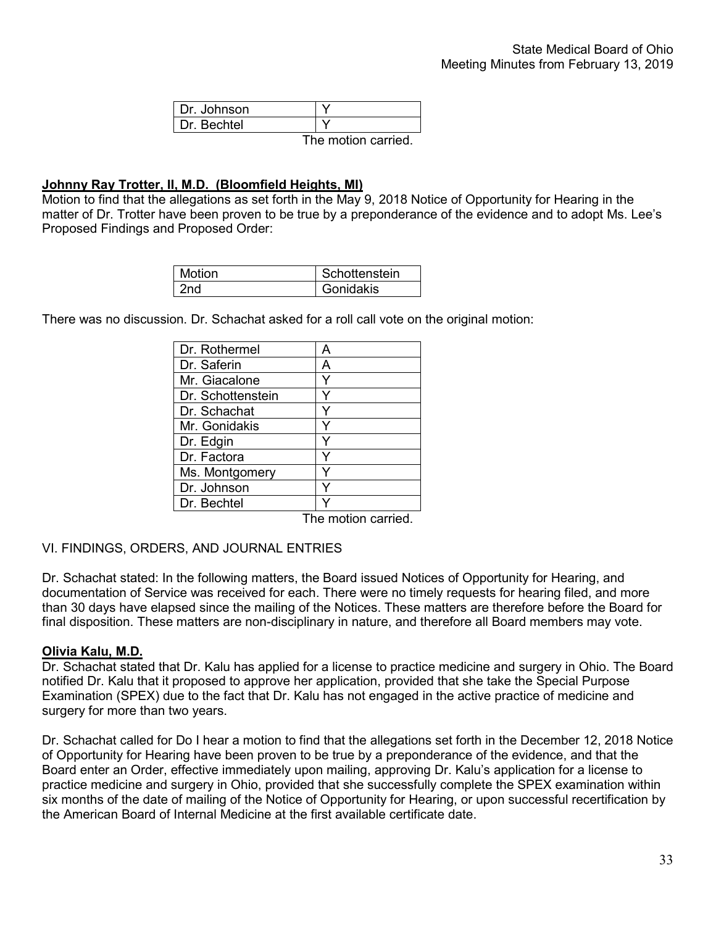| I Dr. Johnson |                     |  |
|---------------|---------------------|--|
| I Dr. Bechtel |                     |  |
|               | The motion carried. |  |

#### **Johnny Ray Trotter, II, M.D. (Bloomfield Heights, MI)**

Motion to find that the allegations as set forth in the May 9, 2018 Notice of Opportunity for Hearing in the matter of Dr. Trotter have been proven to be true by a preponderance of the evidence and to adopt Ms. Lee's Proposed Findings and Proposed Order:

| Motion | Schottenstein |
|--------|---------------|
| 'nd    | Gonidakis     |

There was no discussion. Dr. Schachat asked for a roll call vote on the original motion:

| Dr. Rothermel     |   |
|-------------------|---|
| Dr. Saferin       | Д |
| Mr. Giacalone     |   |
| Dr. Schottenstein |   |
| Dr. Schachat      |   |
| Mr. Gonidakis     |   |
| Dr. Edgin         |   |
| Dr. Factora       |   |
| Ms. Montgomery    |   |
| Dr. Johnson       |   |
| Dr. Bechtel       |   |

The motion carried.

#### VI. FINDINGS, ORDERS, AND JOURNAL ENTRIES

Dr. Schachat stated: In the following matters, the Board issued Notices of Opportunity for Hearing, and documentation of Service was received for each. There were no timely requests for hearing filed, and more than 30 days have elapsed since the mailing of the Notices. These matters are therefore before the Board for final disposition. These matters are non-disciplinary in nature, and therefore all Board members may vote.

#### **Olivia Kalu, M.D.**

Dr. Schachat stated that Dr. Kalu has applied for a license to practice medicine and surgery in Ohio. The Board notified Dr. Kalu that it proposed to approve her application, provided that she take the Special Purpose Examination (SPEX) due to the fact that Dr. Kalu has not engaged in the active practice of medicine and surgery for more than two years.

Dr. Schachat called for Do I hear a motion to find that the allegations set forth in the December 12, 2018 Notice of Opportunity for Hearing have been proven to be true by a preponderance of the evidence, and that the Board enter an Order, effective immediately upon mailing, approving Dr. Kalu's application for a license to practice medicine and surgery in Ohio, provided that she successfully complete the SPEX examination within six months of the date of mailing of the Notice of Opportunity for Hearing, or upon successful recertification by the American Board of Internal Medicine at the first available certificate date.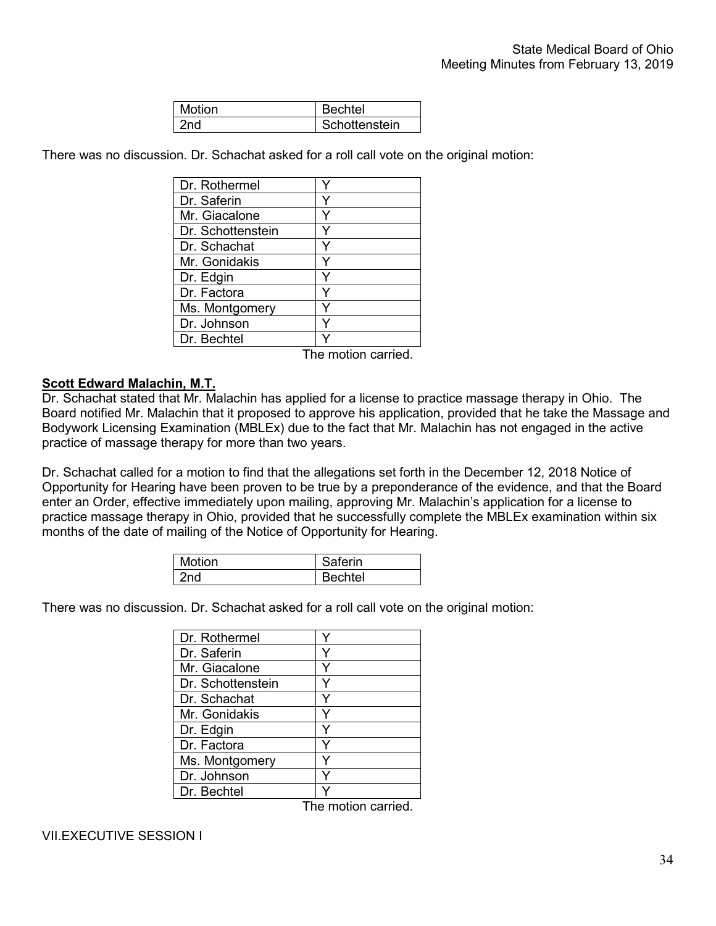| <b>Motion</b> | echtel               |
|---------------|----------------------|
|               | <b>Schottenstein</b> |

There was no discussion. Dr. Schachat asked for a roll call vote on the original motion:

The motion carried.

#### **Scott Edward Malachin, M.T.**

Dr. Schachat stated that Mr. Malachin has applied for a license to practice massage therapy in Ohio. The Board notified Mr. Malachin that it proposed to approve his application, provided that he take the Massage and Bodywork Licensing Examination (MBLEx) due to the fact that Mr. Malachin has not engaged in the active practice of massage therapy for more than two years.

Dr. Schachat called for a motion to find that the allegations set forth in the December 12, 2018 Notice of Opportunity for Hearing have been proven to be true by a preponderance of the evidence, and that the Board enter an Order, effective immediately upon mailing, approving Mr. Malachin's application for a license to practice massage therapy in Ohio, provided that he successfully complete the MBLEx examination within six months of the date of mailing of the Notice of Opportunity for Hearing.

| Motion | Saferin |
|--------|---------|
| 2nd    | Bechtel |

There was no discussion. Dr. Schachat asked for a roll call vote on the original motion:

| Dr. Rothermel     |  |
|-------------------|--|
| Dr. Saferin       |  |
| Mr. Giacalone     |  |
| Dr. Schottenstein |  |
| Dr. Schachat      |  |
| Mr. Gonidakis     |  |
| Dr. Edgin         |  |
| Dr. Factora       |  |
| Ms. Montgomery    |  |
| Dr. Johnson       |  |
| Dr. Bechtel       |  |

The motion carried.

VII.EXECUTIVE SESSION I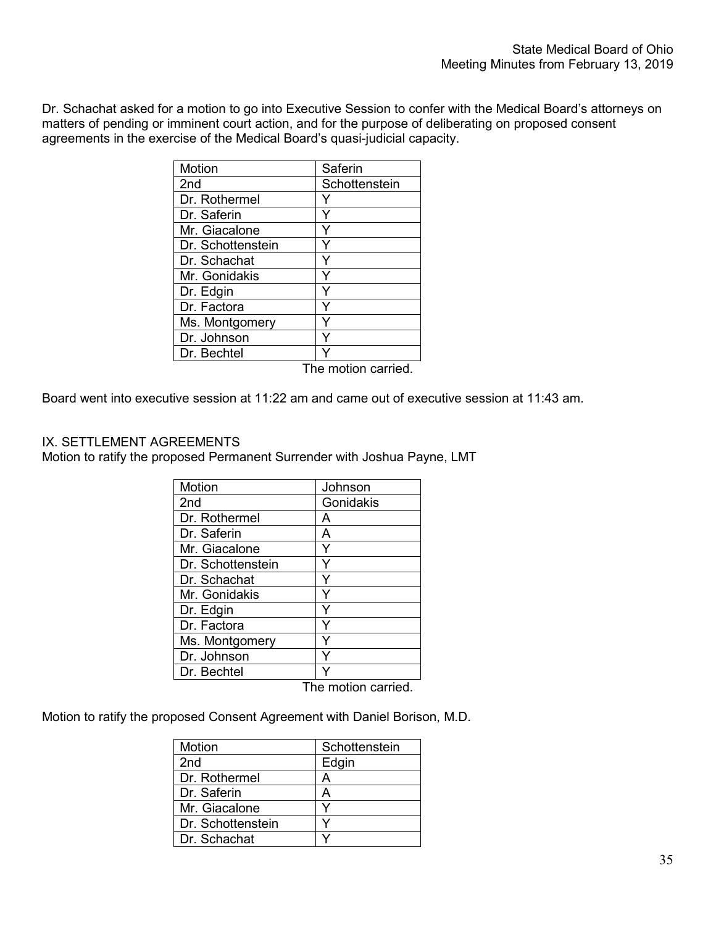Dr. Schachat asked for a motion to go into Executive Session to confer with the Medical Board's attorneys on matters of pending or imminent court action, and for the purpose of deliberating on proposed consent agreements in the exercise of the Medical Board's quasi-judicial capacity.

| Motion            | Saferin       |
|-------------------|---------------|
| 2 <sub>nd</sub>   | Schottenstein |
| Dr. Rothermel     |               |
| Dr. Saferin       | Y             |
| Mr. Giacalone     | Y             |
| Dr. Schottenstein | Y             |
| Dr. Schachat      | Y             |
| Mr. Gonidakis     |               |
| Dr. Edgin         | Y             |
| Dr. Factora       | Y             |
| Ms. Montgomery    | Y             |
| Dr. Johnson       |               |
| Dr. Bechtel       |               |
|                   |               |

The motion carried.

Board went into executive session at 11:22 am and came out of executive session at 11:43 am.

#### IX. SETTLEMENT AGREEMENTS

Motion to ratify the proposed Permanent Surrender with Joshua Payne, LMT

| Motion            | Johnson   |
|-------------------|-----------|
| 2nd               | Gonidakis |
| Dr. Rothermel     | А         |
| Dr. Saferin       | А         |
| Mr. Giacalone     |           |
| Dr. Schottenstein |           |
| Dr. Schachat      |           |
| Mr. Gonidakis     |           |
| Dr. Edgin         |           |
| Dr. Factora       |           |
| Ms. Montgomery    |           |
| Dr. Johnson       |           |
| Dr. Bechtel       |           |

The motion carried.

Motion to ratify the proposed Consent Agreement with Daniel Borison, M.D.

| Motion            | Schottenstein |
|-------------------|---------------|
| 2nd               | Edgin         |
| Dr. Rothermel     |               |
| Dr. Saferin       |               |
| Mr. Giacalone     |               |
| Dr. Schottenstein |               |
| Dr. Schachat      |               |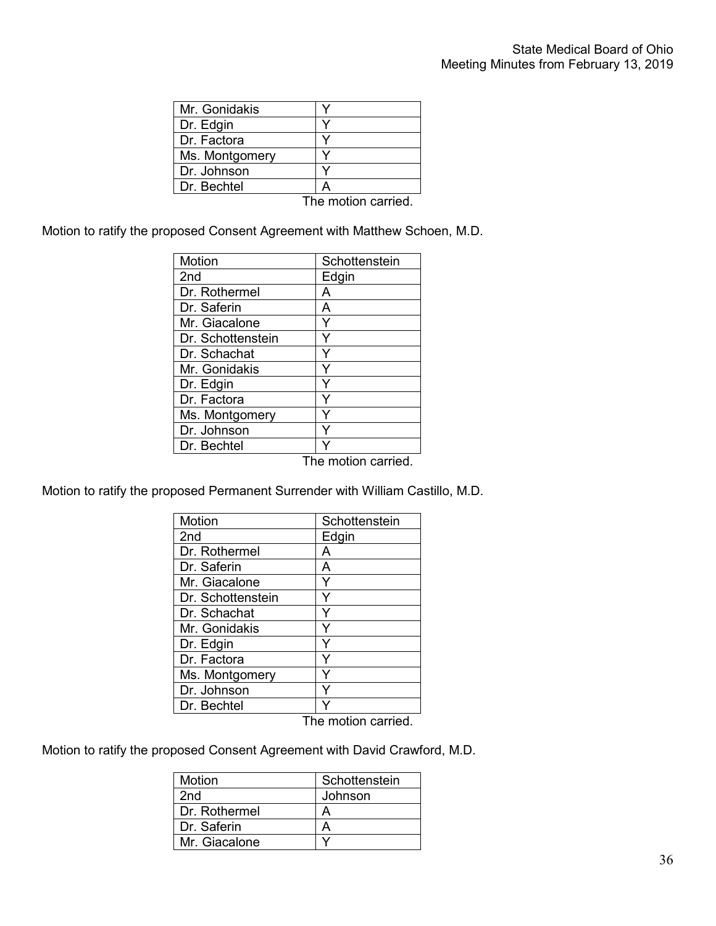| Mr. Gonidakis  |                                                                          |
|----------------|--------------------------------------------------------------------------|
| Dr. Edgin      |                                                                          |
| Dr. Factora    |                                                                          |
| Ms. Montgomery |                                                                          |
| Dr. Johnson    |                                                                          |
| Dr. Bechtel    |                                                                          |
|                | ran da an an 1960 an an an 1960. Tha an an 1960 an 1970 an 1970 an 1970. |

The motion carried.

Motion to ratify the proposed Consent Agreement with Matthew Schoen, M.D.

| Motion            | Schottenstein      |
|-------------------|--------------------|
| 2 <sub>nd</sub>   | Edgin              |
| Dr. Rothermel     | А                  |
| Dr. Saferin       | А                  |
| Mr. Giacalone     | Y                  |
| Dr. Schottenstein |                    |
| Dr. Schachat      |                    |
| Mr. Gonidakis     |                    |
| Dr. Edgin         | Y                  |
| Dr. Factora       | Y                  |
| Ms. Montgomery    |                    |
| Dr. Johnson       |                    |
| Dr. Bechtel       |                    |
|                   | The motion carried |

The motion carried.

Motion to ratify the proposed Permanent Surrender with William Castillo, M.D.

| Motion            | Schottenstein |
|-------------------|---------------|
| 2nd               | Edgin         |
| Dr. Rothermel     | А             |
| Dr. Saferin       | А             |
| Mr. Giacalone     |               |
| Dr. Schottenstein |               |
| Dr. Schachat      |               |
| Mr. Gonidakis     |               |
| Dr. Edgin         |               |
| Dr. Factora       |               |
| Ms. Montgomery    |               |
| Dr. Johnson       |               |
| Dr. Bechtel       |               |

The motion carried.

Motion to ratify the proposed Consent Agreement with David Crawford, M.D.

| Motion        | Schottenstein |
|---------------|---------------|
| 2nd           | Johnson       |
| Dr. Rothermel |               |
| Dr. Saferin   |               |
| Mr. Giacalone |               |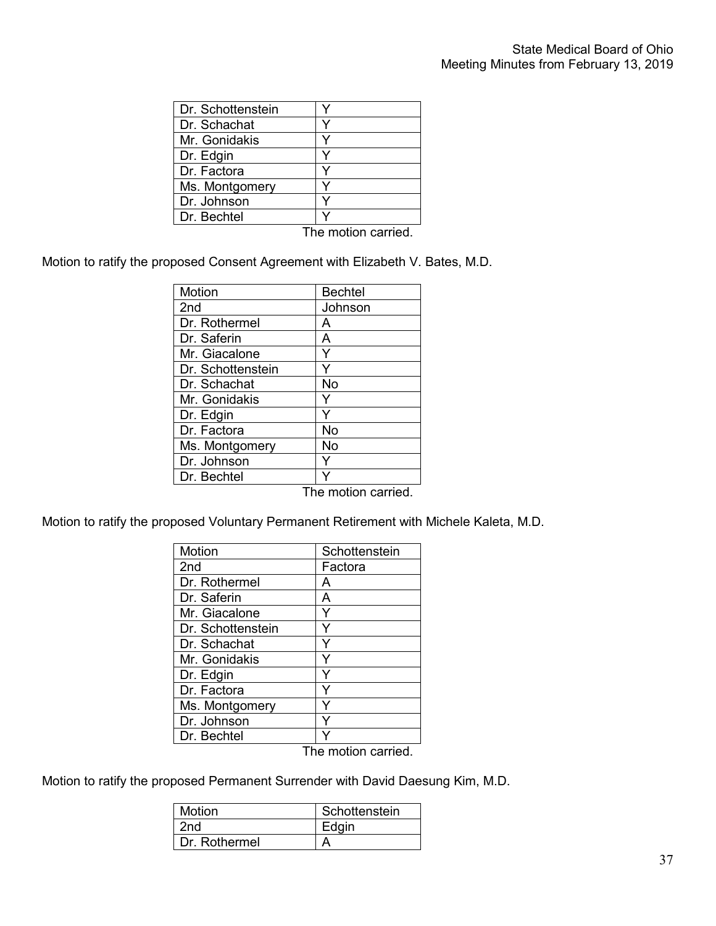| Dr. Schottenstein |                     |
|-------------------|---------------------|
| Dr. Schachat      |                     |
| Mr. Gonidakis     |                     |
| Dr. Edgin         |                     |
| Dr. Factora       |                     |
| Ms. Montgomery    |                     |
| Dr. Johnson       |                     |
| Dr. Bechtel       |                     |
|                   | The motion carried. |

Motion to ratify the proposed Consent Agreement with Elizabeth V. Bates, M.D.

| <b>Motion</b>     | <b>Bechtel</b> |
|-------------------|----------------|
| 2nd               | Johnson        |
| Dr. Rothermel     | А              |
| Dr. Saferin       | A              |
| Mr. Giacalone     | Y              |
| Dr. Schottenstein |                |
| Dr. Schachat      | No             |
| Mr. Gonidakis     | Y              |
| Dr. Edgin         |                |
| Dr. Factora       | No             |
| Ms. Montgomery    | No             |
| Dr. Johnson       |                |
| Dr. Bechtel       |                |

The motion carried.

Motion to ratify the proposed Voluntary Permanent Retirement with Michele Kaleta, M.D.

| Motion            | Schottenstein      |
|-------------------|--------------------|
| 2nd               | Factora            |
| Dr. Rothermel     | А                  |
| Dr. Saferin       | A                  |
| Mr. Giacalone     | Y                  |
| Dr. Schottenstein |                    |
| Dr. Schachat      |                    |
| Mr. Gonidakis     |                    |
| Dr. Edgin         |                    |
| Dr. Factora       |                    |
| Ms. Montgomery    |                    |
| Dr. Johnson       |                    |
| Dr. Bechtel       |                    |
|                   | The metien cerried |

The motion carried.

Motion to ratify the proposed Permanent Surrender with David Daesung Kim, M.D.

| Motion        | Schottenstein |
|---------------|---------------|
| 2nd           | Edain         |
| Dr. Rothermel |               |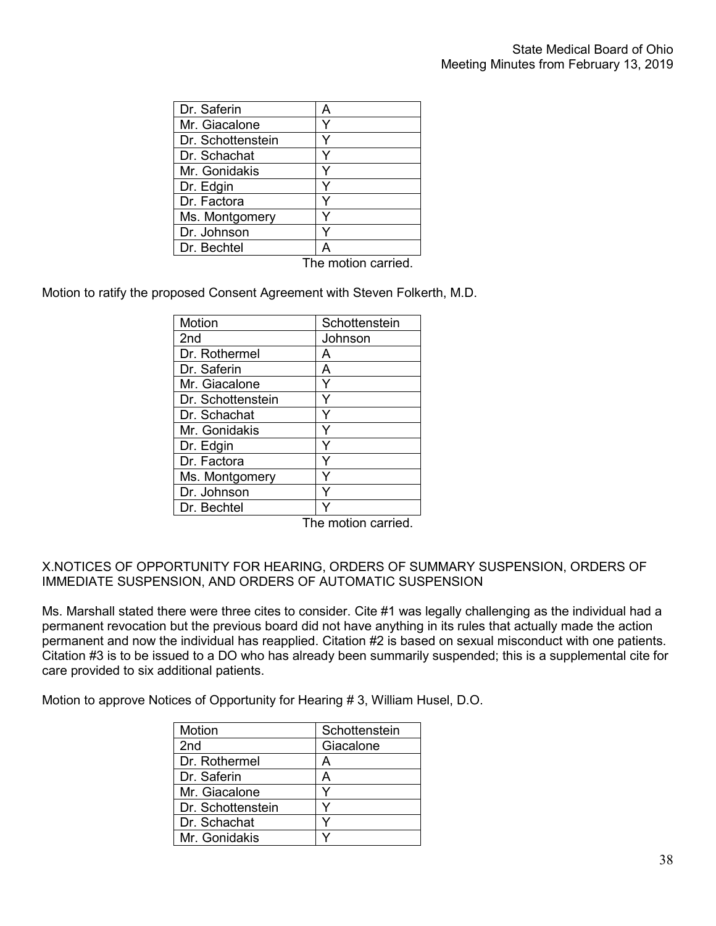| Dr. Saferin       | А |
|-------------------|---|
| Mr. Giacalone     |   |
| Dr. Schottenstein |   |
| Dr. Schachat      |   |
| Mr. Gonidakis     |   |
| Dr. Edgin         |   |
| Dr. Factora       |   |
| Ms. Montgomery    |   |
| Dr. Johnson       |   |
| Dr. Bechtel       |   |

The motion carried.

Motion to ratify the proposed Consent Agreement with Steven Folkerth, M.D.

| <b>Motion</b>     | Schottenstein |
|-------------------|---------------|
| 2 <sub>nd</sub>   | Johnson       |
| Dr. Rothermel     | А             |
| Dr. Saferin       | А             |
| Mr. Giacalone     |               |
| Dr. Schottenstein |               |
| Dr. Schachat      |               |
| Mr. Gonidakis     |               |
| Dr. Edgin         |               |
| Dr. Factora       |               |
| Ms. Montgomery    |               |
| Dr. Johnson       |               |
| Dr. Bechtel       |               |

The motion carried.

## X.NOTICES OF OPPORTUNITY FOR HEARING, ORDERS OF SUMMARY SUSPENSION, ORDERS OF IMMEDIATE SUSPENSION, AND ORDERS OF AUTOMATIC SUSPENSION

Ms. Marshall stated there were three cites to consider. Cite #1 was legally challenging as the individual had a permanent revocation but the previous board did not have anything in its rules that actually made the action permanent and now the individual has reapplied. Citation #2 is based on sexual misconduct with one patients. Citation #3 is to be issued to a DO who has already been summarily suspended; this is a supplemental cite for care provided to six additional patients.

Motion to approve Notices of Opportunity for Hearing # 3, William Husel, D.O.

| Motion            | Schottenstein |
|-------------------|---------------|
| 2 <sub>nd</sub>   | Giacalone     |
| Dr. Rothermel     | A             |
| Dr. Saferin       | А             |
| Mr. Giacalone     |               |
| Dr. Schottenstein |               |
| Dr. Schachat      |               |
| Mr. Gonidakis     |               |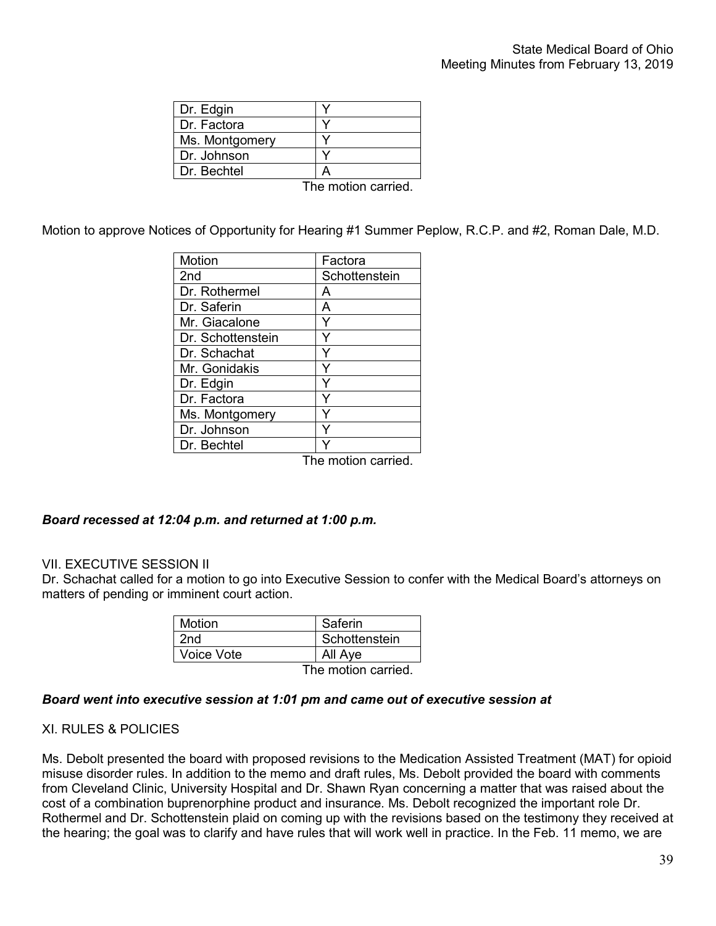| Dr. Edgin      |     |
|----------------|-----|
| Dr. Factora    |     |
| Ms. Montgomery |     |
| Dr. Johnson    |     |
| Dr. Bechtel    |     |
|                | . . |

The motion carried.

Motion to approve Notices of Opportunity for Hearing #1 Summer Peplow, R.C.P. and #2, Roman Dale, M.D.

| Motion            | Factora            |
|-------------------|--------------------|
| 2 <sub>nd</sub>   | Schottenstein      |
| Dr. Rothermel     | А                  |
| Dr. Saferin       | A                  |
| Mr. Giacalone     |                    |
| Dr. Schottenstein |                    |
| Dr. Schachat      |                    |
| Mr. Gonidakis     |                    |
| Dr. Edgin         |                    |
| Dr. Factora       |                    |
| Ms. Montgomery    |                    |
| Dr. Johnson       |                    |
| Dr. Bechtel       |                    |
|                   | The motion carried |

The motion carried.

## *Board recessed at 12:04 p.m. and returned at 1:00 p.m.*

## VII. EXECUTIVE SESSION II

Dr. Schachat called for a motion to go into Executive Session to confer with the Medical Board's attorneys on matters of pending or imminent court action.

| <b>Motion</b> | Saferin             |
|---------------|---------------------|
| 2nd           | Schottenstein       |
| Voice Vote    | All Aye             |
|               | The motion carried. |

#### *Board went into executive session at 1:01 pm and came out of executive session at*

## XI. RULES & POLICIES

Ms. Debolt presented the board with proposed revisions to the Medication Assisted Treatment (MAT) for opioid misuse disorder rules. In addition to the memo and draft rules, Ms. Debolt provided the board with comments from Cleveland Clinic, University Hospital and Dr. Shawn Ryan concerning a matter that was raised about the cost of a combination buprenorphine product and insurance. Ms. Debolt recognized the important role Dr. Rothermel and Dr. Schottenstein plaid on coming up with the revisions based on the testimony they received at the hearing; the goal was to clarify and have rules that will work well in practice. In the Feb. 11 memo, we are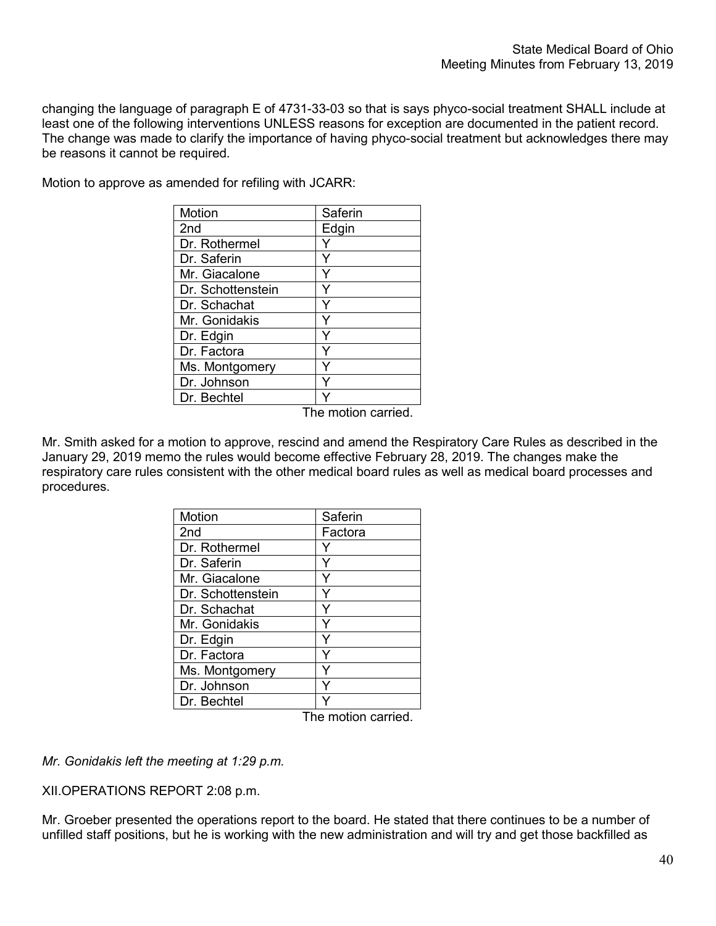changing the language of paragraph E of 4731-33-03 so that is says phyco-social treatment SHALL include at least one of the following interventions UNLESS reasons for exception are documented in the patient record. The change was made to clarify the importance of having phyco-social treatment but acknowledges there may be reasons it cannot be required.

Motion to approve as amended for refiling with JCARR:

| Motion            | Saferin |
|-------------------|---------|
| 2nd               | Edgin   |
| Dr. Rothermel     |         |
| Dr. Saferin       | Y       |
| Mr. Giacalone     | Y       |
| Dr. Schottenstein |         |
| Dr. Schachat      | Y       |
| Mr. Gonidakis     | Y       |
| Dr. Edgin         | Υ       |
| Dr. Factora       | Y       |
| Ms. Montgomery    |         |
| Dr. Johnson       | Y       |
| Dr. Bechtel       |         |

The motion carried.

Mr. Smith asked for a motion to approve, rescind and amend the Respiratory Care Rules as described in the January 29, 2019 memo the rules would become effective February 28, 2019. The changes make the respiratory care rules consistent with the other medical board rules as well as medical board processes and procedures.

| Motion            | Saferin |
|-------------------|---------|
| 2 <sub>nd</sub>   | Factora |
| Dr. Rothermel     |         |
| Dr. Saferin       |         |
| Mr. Giacalone     |         |
| Dr. Schottenstein |         |
| Dr. Schachat      | Y       |
| Mr. Gonidakis     |         |
| Dr. Edgin         |         |
| Dr. Factora       |         |
| Ms. Montgomery    |         |
| Dr. Johnson       |         |
| Dr. Bechtel       |         |

The motion carried.

*Mr. Gonidakis left the meeting at 1:29 p.m.*

XII.OPERATIONS REPORT 2:08 p.m.

Mr. Groeber presented the operations report to the board. He stated that there continues to be a number of unfilled staff positions, but he is working with the new administration and will try and get those backfilled as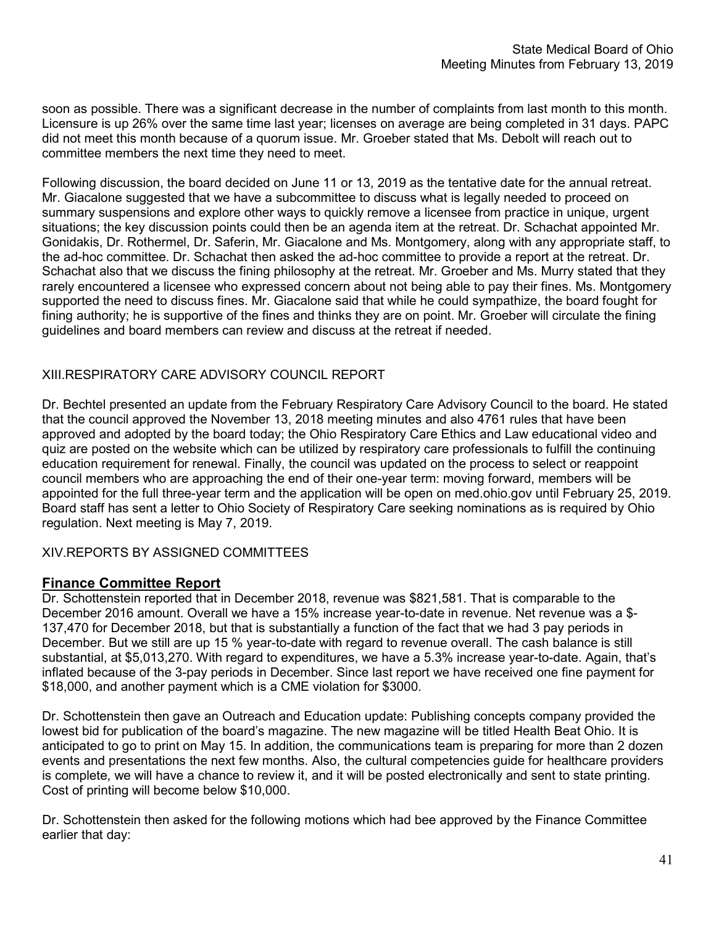soon as possible. There was a significant decrease in the number of complaints from last month to this month. Licensure is up 26% over the same time last year; licenses on average are being completed in 31 days. PAPC did not meet this month because of a quorum issue. Mr. Groeber stated that Ms. Debolt will reach out to committee members the next time they need to meet.

Following discussion, the board decided on June 11 or 13, 2019 as the tentative date for the annual retreat. Mr. Giacalone suggested that we have a subcommittee to discuss what is legally needed to proceed on summary suspensions and explore other ways to quickly remove a licensee from practice in unique, urgent situations; the key discussion points could then be an agenda item at the retreat. Dr. Schachat appointed Mr. Gonidakis, Dr. Rothermel, Dr. Saferin, Mr. Giacalone and Ms. Montgomery, along with any appropriate staff, to the ad-hoc committee. Dr. Schachat then asked the ad-hoc committee to provide a report at the retreat. Dr. Schachat also that we discuss the fining philosophy at the retreat. Mr. Groeber and Ms. Murry stated that they rarely encountered a licensee who expressed concern about not being able to pay their fines. Ms. Montgomery supported the need to discuss fines. Mr. Giacalone said that while he could sympathize, the board fought for fining authority; he is supportive of the fines and thinks they are on point. Mr. Groeber will circulate the fining guidelines and board members can review and discuss at the retreat if needed.

# XIII.RESPIRATORY CARE ADVISORY COUNCIL REPORT

Dr. Bechtel presented an update from the February Respiratory Care Advisory Council to the board. He stated that the council approved the November 13, 2018 meeting minutes and also 4761 rules that have been approved and adopted by the board today; the Ohio Respiratory Care Ethics and Law educational video and quiz are posted on the website which can be utilized by respiratory care professionals to fulfill the continuing education requirement for renewal. Finally, the council was updated on the process to select or reappoint council members who are approaching the end of their one-year term: moving forward, members will be appointed for the full three-year term and the application will be open on med.ohio.gov until February 25, 2019. Board staff has sent a letter to Ohio Society of Respiratory Care seeking nominations as is required by Ohio regulation. Next meeting is May 7, 2019.

## XIV.REPORTS BY ASSIGNED COMMITTEES

# **Finance Committee Report**

Dr. Schottenstein reported that in December 2018, revenue was \$821,581. That is comparable to the December 2016 amount. Overall we have a 15% increase year-to-date in revenue. Net revenue was a \$- 137,470 for December 2018, but that is substantially a function of the fact that we had 3 pay periods in December. But we still are up 15 % year-to-date with regard to revenue overall. The cash balance is still substantial, at \$5,013,270. With regard to expenditures, we have a 5.3% increase year-to-date. Again, that's inflated because of the 3-pay periods in December. Since last report we have received one fine payment for \$18,000, and another payment which is a CME violation for \$3000.

Dr. Schottenstein then gave an Outreach and Education update: Publishing concepts company provided the lowest bid for publication of the board's magazine. The new magazine will be titled Health Beat Ohio. It is anticipated to go to print on May 15. In addition, the communications team is preparing for more than 2 dozen events and presentations the next few months. Also, the cultural competencies guide for healthcare providers is complete, we will have a chance to review it, and it will be posted electronically and sent to state printing. Cost of printing will become below \$10,000.

Dr. Schottenstein then asked for the following motions which had bee approved by the Finance Committee earlier that day: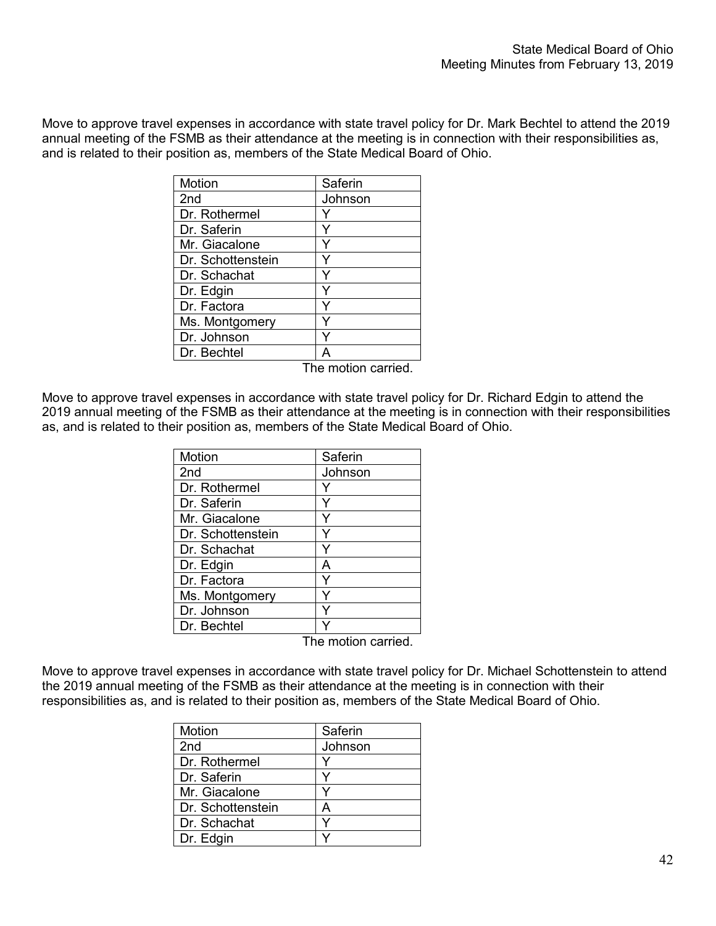Move to approve travel expenses in accordance with state travel policy for Dr. Mark Bechtel to attend the 2019 annual meeting of the FSMB as their attendance at the meeting is in connection with their responsibilities as, and is related to their position as, members of the State Medical Board of Ohio.

| Motion            | Saferin |
|-------------------|---------|
| 2 <sub>nd</sub>   | Johnson |
| Dr. Rothermel     |         |
| Dr. Saferin       | Y       |
| Mr. Giacalone     | Y       |
| Dr. Schottenstein |         |
| Dr. Schachat      |         |
| Dr. Edgin         |         |
| Dr. Factora       |         |
| Ms. Montgomery    |         |
| Dr. Johnson       |         |
| Dr. Bechtel       |         |

The motion carried.

Move to approve travel expenses in accordance with state travel policy for Dr. Richard Edgin to attend the 2019 annual meeting of the FSMB as their attendance at the meeting is in connection with their responsibilities as, and is related to their position as, members of the State Medical Board of Ohio.

| Motion            | Saferin |
|-------------------|---------|
| 2 <sub>nd</sub>   | Johnson |
| Dr. Rothermel     |         |
| Dr. Saferin       |         |
| Mr. Giacalone     |         |
| Dr. Schottenstein |         |
| Dr. Schachat      |         |
| Dr. Edgin         | А       |
| Dr. Factora       |         |
| Ms. Montgomery    |         |
| Dr. Johnson       |         |
| Dr. Bechtel       |         |

The motion carried.

Move to approve travel expenses in accordance with state travel policy for Dr. Michael Schottenstein to attend the 2019 annual meeting of the FSMB as their attendance at the meeting is in connection with their responsibilities as, and is related to their position as, members of the State Medical Board of Ohio.

| Motion            | Saferin |
|-------------------|---------|
| 2 <sub>nd</sub>   | Johnson |
| Dr. Rothermel     |         |
| Dr. Saferin       |         |
| Mr. Giacalone     |         |
| Dr. Schottenstein | Д       |
| Dr. Schachat      | v       |
| Dr. Edgin         |         |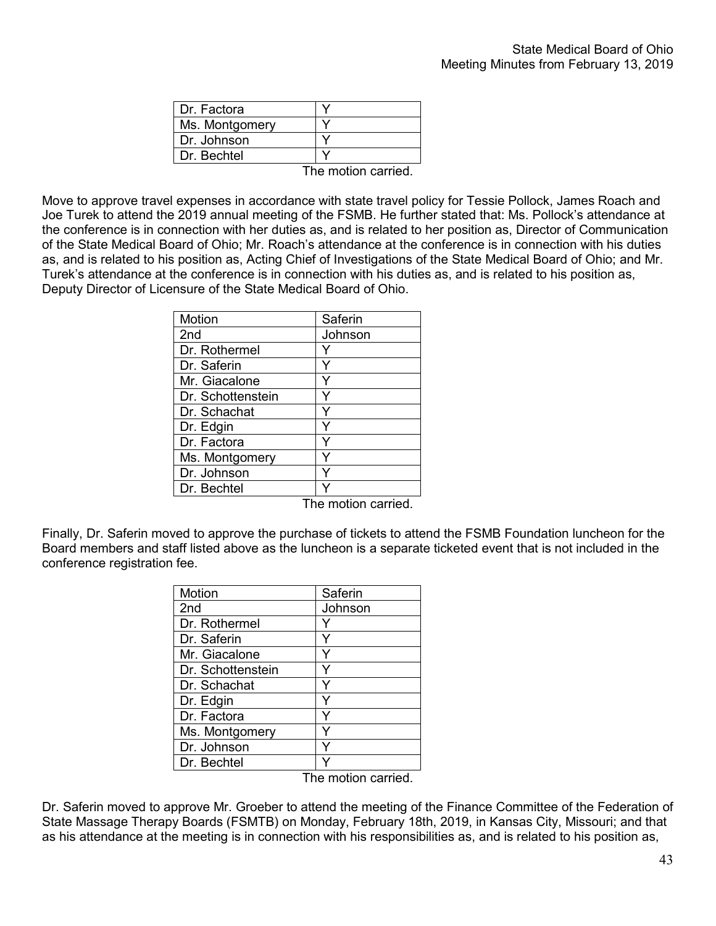| Dr. Factora    |     |
|----------------|-----|
| Ms. Montgomery |     |
| Dr. Johnson    |     |
| Dr. Bechtel    |     |
|                | . . |

The motion carried.

Move to approve travel expenses in accordance with state travel policy for Tessie Pollock, James Roach and Joe Turek to attend the 2019 annual meeting of the FSMB. He further stated that: Ms. Pollock's attendance at the conference is in connection with her duties as, and is related to her position as, Director of Communication of the State Medical Board of Ohio; Mr. Roach's attendance at the conference is in connection with his duties as, and is related to his position as, Acting Chief of Investigations of the State Medical Board of Ohio; and Mr. Turek's attendance at the conference is in connection with his duties as, and is related to his position as, Deputy Director of Licensure of the State Medical Board of Ohio.

| Motion            | Saferin |
|-------------------|---------|
| 2 <sub>nd</sub>   | Johnson |
| Dr. Rothermel     |         |
| Dr. Saferin       |         |
| Mr. Giacalone     |         |
| Dr. Schottenstein |         |
| Dr. Schachat      | Y       |
| Dr. Edgin         | Y       |
| Dr. Factora       |         |
| Ms. Montgomery    |         |
| Dr. Johnson       | ٧       |
| Dr. Bechtel       |         |

The motion carried.

Finally, Dr. Saferin moved to approve the purchase of tickets to attend the FSMB Foundation luncheon for the Board members and staff listed above as the luncheon is a separate ticketed event that is not included in the conference registration fee.

| Motion            | Saferin            |
|-------------------|--------------------|
| 2 <sub>nd</sub>   | Johnson            |
| Dr. Rothermel     |                    |
| Dr. Saferin       | Y                  |
| Mr. Giacalone     | Y                  |
| Dr. Schottenstein | Y                  |
| Dr. Schachat      |                    |
| Dr. Edgin         |                    |
| Dr. Factora       |                    |
| Ms. Montgomery    | Y                  |
| Dr. Johnson       | ٧                  |
| Dr. Bechtel       |                    |
|                   | The motion carried |

Dr. Saferin moved to approve Mr. Groeber to attend the meeting of the Finance Committee of the Federation of State Massage Therapy Boards (FSMTB) on Monday, February 18th, 2019, in Kansas City, Missouri; and that as his attendance at the meeting is in connection with his responsibilities as, and is related to his position as,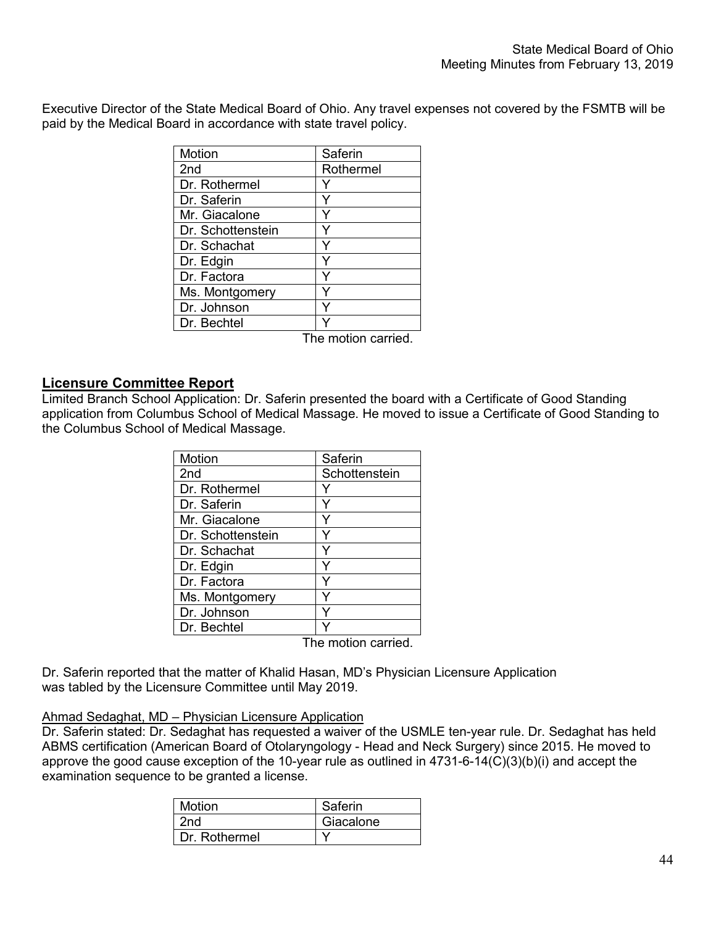Executive Director of the State Medical Board of Ohio. Any travel expenses not covered by the FSMTB will be paid by the Medical Board in accordance with state travel policy.

| <b>Motion</b>     | Saferin   |
|-------------------|-----------|
| 2 <sub>nd</sub>   | Rothermel |
| Dr. Rothermel     |           |
| Dr. Saferin       |           |
| Mr. Giacalone     |           |
| Dr. Schottenstein |           |
| Dr. Schachat      | Y         |
| Dr. Edgin         | Y         |
| Dr. Factora       | Υ         |
| Ms. Montgomery    |           |
| Dr. Johnson       |           |
| Dr. Bechtel       |           |

The motion carried.

### **Licensure Committee Report**

Limited Branch School Application: Dr. Saferin presented the board with a Certificate of Good Standing application from Columbus School of Medical Massage. He moved to issue a Certificate of Good Standing to the Columbus School of Medical Massage.

| <b>Motion</b>     | Saferin       |
|-------------------|---------------|
| 2 <sub>nd</sub>   | Schottenstein |
| Dr. Rothermel     |               |
| Dr. Saferin       |               |
| Mr. Giacalone     |               |
| Dr. Schottenstein |               |
| Dr. Schachat      |               |
| Dr. Edgin         |               |
| Dr. Factora       |               |
| Ms. Montgomery    |               |
| Dr. Johnson       |               |
| Dr. Bechtel       |               |

The motion carried.

Dr. Saferin reported that the matter of Khalid Hasan, MD's Physician Licensure Application was tabled by the Licensure Committee until May 2019.

#### Ahmad Sedaghat, MD – Physician Licensure Application

Dr. Saferin stated: Dr. Sedaghat has requested a waiver of the USMLE ten-year rule. Dr. Sedaghat has held ABMS certification (American Board of Otolaryngology - Head and Neck Surgery) since 2015. He moved to approve the good cause exception of the 10-year rule as outlined in 4731-6-14(C)(3)(b)(i) and accept the examination sequence to be granted a license.

| <b>Motion</b> | Saferin   |
|---------------|-----------|
| 2nd           | Giacalone |
| Dr. Rothermel |           |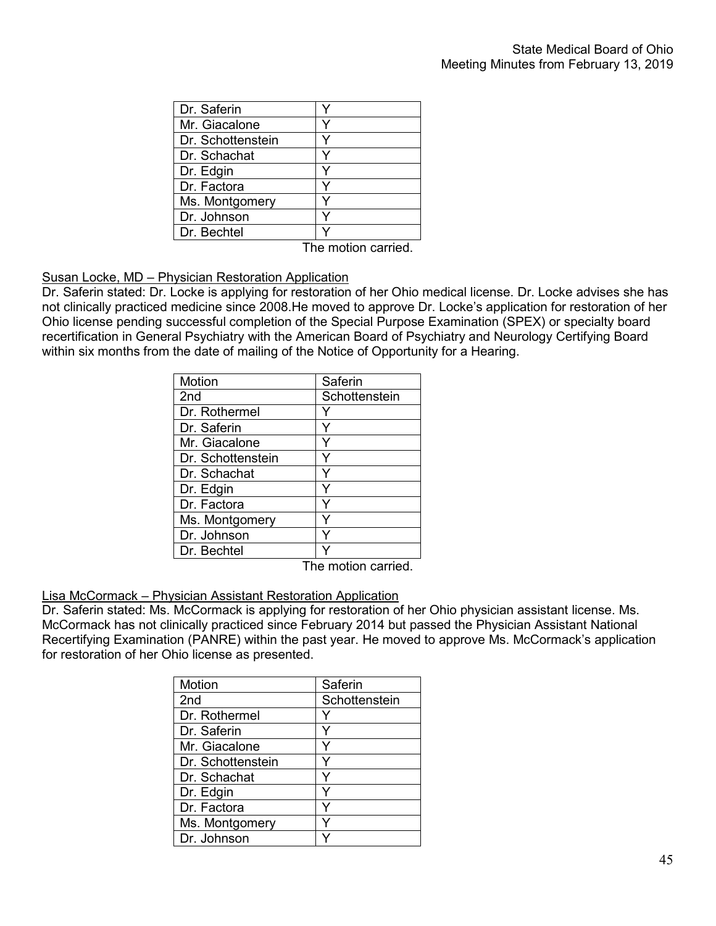The motion carried.

## Susan Locke, MD – Physician Restoration Application

Dr. Saferin stated: Dr. Locke is applying for restoration of her Ohio medical license. Dr. Locke advises she has not clinically practiced medicine since 2008.He moved to approve Dr. Locke's application for restoration of her Ohio license pending successful completion of the Special Purpose Examination (SPEX) or specialty board recertification in General Psychiatry with the American Board of Psychiatry and Neurology Certifying Board within six months from the date of mailing of the Notice of Opportunity for a Hearing.

| <b>Motion</b>     | Saferin       |
|-------------------|---------------|
| 2 <sub>nd</sub>   | Schottenstein |
| Dr. Rothermel     |               |
| Dr. Saferin       |               |
| Mr. Giacalone     |               |
| Dr. Schottenstein |               |
| Dr. Schachat      |               |
| Dr. Edgin         |               |
| Dr. Factora       |               |
| Ms. Montgomery    |               |
| Dr. Johnson       |               |
| Dr. Bechtel       |               |

The motion carried.

#### Lisa McCormack – Physician Assistant Restoration Application

Dr. Saferin stated: Ms. McCormack is applying for restoration of her Ohio physician assistant license. Ms. McCormack has not clinically practiced since February 2014 but passed the Physician Assistant National Recertifying Examination (PANRE) within the past year. He moved to approve Ms. McCormack's application for restoration of her Ohio license as presented.

| Motion            | Saferin       |
|-------------------|---------------|
| 2 <sub>nd</sub>   | Schottenstein |
| Dr. Rothermel     |               |
| Dr. Saferin       |               |
| Mr. Giacalone     |               |
| Dr. Schottenstein |               |
| Dr. Schachat      |               |
| Dr. Edgin         |               |
| Dr. Factora       |               |
| Ms. Montgomery    |               |
| Dr. Johnson       |               |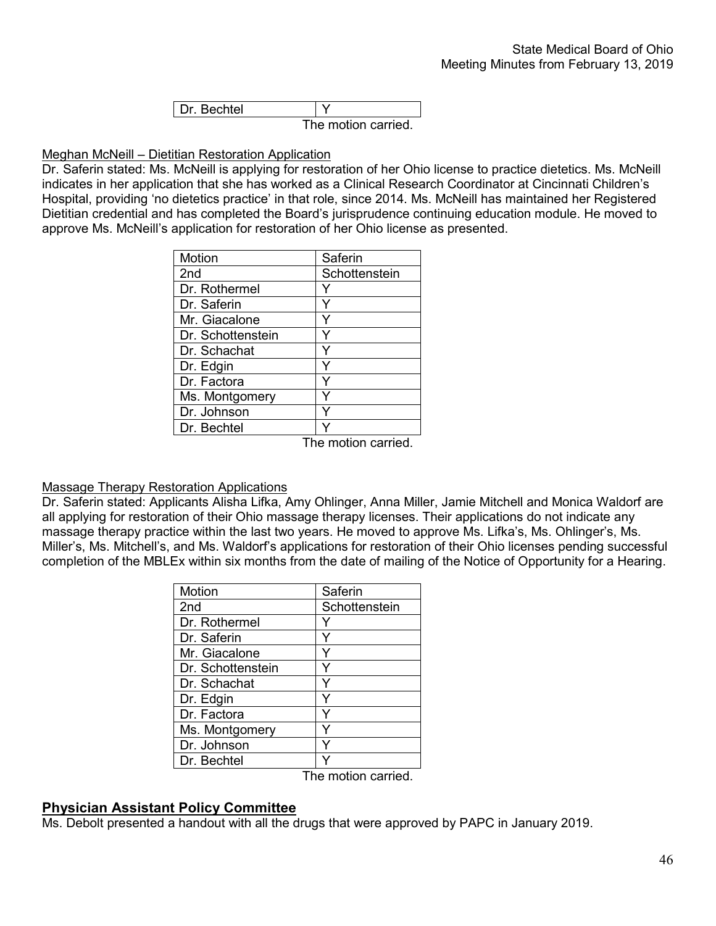| l Dr. Bechtel. |                     |
|----------------|---------------------|
|                | The motion carried. |

#### Meghan McNeill – Dietitian Restoration Application

Dr. Saferin stated: Ms. McNeill is applying for restoration of her Ohio license to practice dietetics. Ms. McNeill indicates in her application that she has worked as a Clinical Research Coordinator at Cincinnati Children's Hospital, providing 'no dietetics practice' in that role, since 2014. Ms. McNeill has maintained her Registered Dietitian credential and has completed the Board's jurisprudence continuing education module. He moved to approve Ms. McNeill's application for restoration of her Ohio license as presented.

| <b>Motion</b>     | Saferin       |
|-------------------|---------------|
| 2nd               | Schottenstein |
| Dr. Rothermel     |               |
| Dr. Saferin       |               |
| Mr. Giacalone     |               |
| Dr. Schottenstein |               |
| Dr. Schachat      |               |
| Dr. Edgin         |               |
| Dr. Factora       |               |
| Ms. Montgomery    |               |
| Dr. Johnson       |               |
| Dr. Bechtel       |               |
|                   | للمراسط الملا |

The motion carried.

#### Massage Therapy Restoration Applications

Dr. Saferin stated: Applicants Alisha Lifka, Amy Ohlinger, Anna Miller, Jamie Mitchell and Monica Waldorf are all applying for restoration of their Ohio massage therapy licenses. Their applications do not indicate any massage therapy practice within the last two years. He moved to approve Ms. Lifka's, Ms. Ohlinger's, Ms. Miller's, Ms. Mitchell's, and Ms. Waldorf's applications for restoration of their Ohio licenses pending successful completion of the MBLEx within six months from the date of mailing of the Notice of Opportunity for a Hearing.

| Motion            | Saferin       |
|-------------------|---------------|
| 2nd               | Schottenstein |
| Dr. Rothermel     |               |
| Dr. Saferin       |               |
| Mr. Giacalone     |               |
| Dr. Schottenstein |               |
| Dr. Schachat      |               |
| Dr. Edgin         |               |
| Dr. Factora       |               |
| Ms. Montgomery    |               |
| Dr. Johnson       |               |
| Dr. Bechtel       |               |
| ŦЬ.               | $4.5 - 1$     |

The motion carried.

#### **Physician Assistant Policy Committee**

Ms. Debolt presented a handout with all the drugs that were approved by PAPC in January 2019.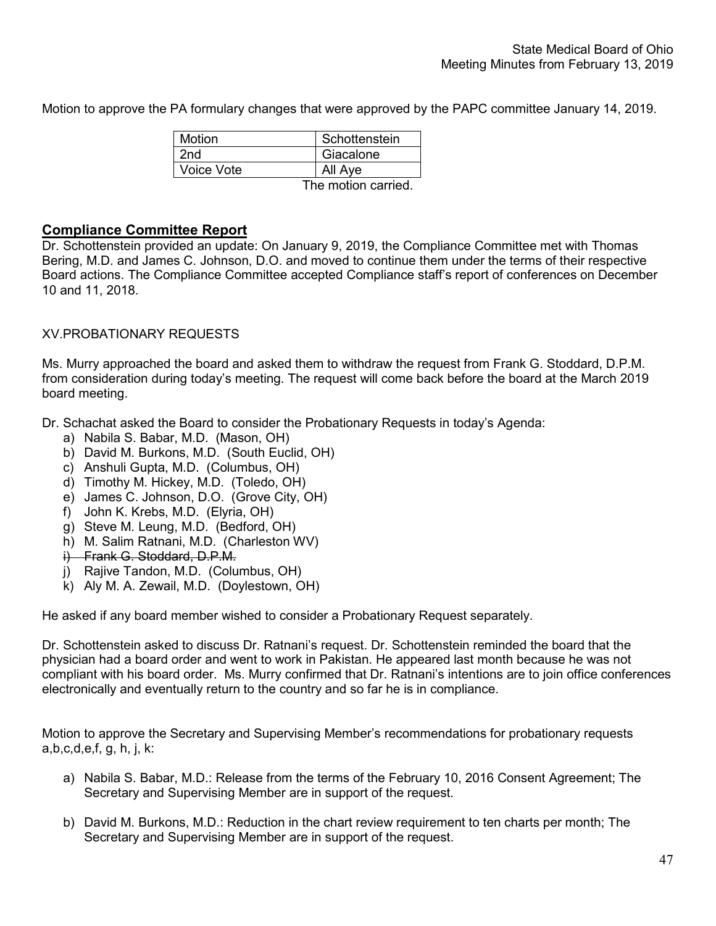Motion to approve the PA formulary changes that were approved by the PAPC committee January 14, 2019.

| Motion                                | Schottenstein |
|---------------------------------------|---------------|
| 2nd                                   | Giacalone     |
| Voice Vote                            | All Aye       |
| المتحاسب والمستحدث والمتحدث والمستحدث |               |

The motion carried.

# **Compliance Committee Report**

Dr. Schottenstein provided an update: On January 9, 2019, the Compliance Committee met with Thomas Bering, M.D. and James C. Johnson, D.O. and moved to continue them under the terms of their respective Board actions. The Compliance Committee accepted Compliance staff's report of conferences on December 10 and 11, 2018.

# XV.PROBATIONARY REQUESTS

Ms. Murry approached the board and asked them to withdraw the request from Frank G. Stoddard, D.P.M. from consideration during today's meeting. The request will come back before the board at the March 2019 board meeting.

Dr. Schachat asked the Board to consider the Probationary Requests in today's Agenda:

- a) Nabila S. Babar, M.D. (Mason, OH)
- b) David M. Burkons, M.D. (South Euclid, OH)
- c) Anshuli Gupta, M.D. (Columbus, OH)
- d) Timothy M. Hickey, M.D. (Toledo, OH)
- e) James C. Johnson, D.O. (Grove City, OH)
- f) John K. Krebs, M.D. (Elyria, OH)
- g) Steve M. Leung, M.D. (Bedford, OH)
- h) M. Salim Ratnani, M.D. (Charleston WV)
- i) Frank G. Stoddard, D.P.M.
- j) Rajive Tandon, M.D. (Columbus, OH)
- k) Aly M. A. Zewail, M.D. (Doylestown, OH)

He asked if any board member wished to consider a Probationary Request separately.

Dr. Schottenstein asked to discuss Dr. Ratnani's request. Dr. Schottenstein reminded the board that the physician had a board order and went to work in Pakistan. He appeared last month because he was not compliant with his board order. Ms. Murry confirmed that Dr. Ratnani's intentions are to join office conferences electronically and eventually return to the country and so far he is in compliance.

Motion to approve the Secretary and Supervising Member's recommendations for probationary requests a,b,c,d,e,f, g, h, j, k:

- a) Nabila S. Babar, M.D.: Release from the terms of the February 10, 2016 Consent Agreement; The Secretary and Supervising Member are in support of the request.
- b) David M. Burkons, M.D.: Reduction in the chart review requirement to ten charts per month; The Secretary and Supervising Member are in support of the request.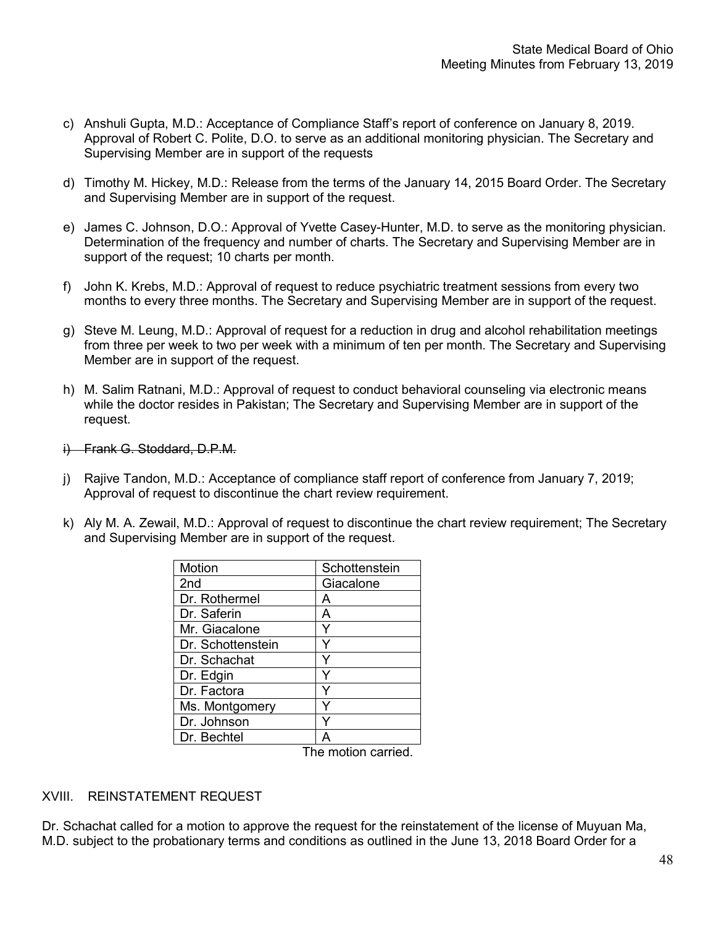- c) Anshuli Gupta, M.D.: Acceptance of Compliance Staff's report of conference on January 8, 2019. Approval of Robert C. Polite, D.O. to serve as an additional monitoring physician. The Secretary and Supervising Member are in support of the requests
- d) Timothy M. Hickey, M.D.: Release from the terms of the January 14, 2015 Board Order. The Secretary and Supervising Member are in support of the request.
- e) James C. Johnson, D.O.: Approval of Yvette Casey-Hunter, M.D. to serve as the monitoring physician. Determination of the frequency and number of charts. The Secretary and Supervising Member are in support of the request; 10 charts per month.
- f) John K. Krebs, M.D.: Approval of request to reduce psychiatric treatment sessions from every two months to every three months. The Secretary and Supervising Member are in support of the request.
- g) Steve M. Leung, M.D.: Approval of request for a reduction in drug and alcohol rehabilitation meetings from three per week to two per week with a minimum of ten per month. The Secretary and Supervising Member are in support of the request.
- h) M. Salim Ratnani, M.D.: Approval of request to conduct behavioral counseling via electronic means while the doctor resides in Pakistan; The Secretary and Supervising Member are in support of the request.
- i) Frank G. Stoddard, D.P.M.
- j) Rajive Tandon, M.D.: Acceptance of compliance staff report of conference from January 7, 2019; Approval of request to discontinue the chart review requirement.
- k) Aly M. A. Zewail, M.D.: Approval of request to discontinue the chart review requirement; The Secretary and Supervising Member are in support of the request.

| <b>Motion</b>     | Schottenstein |
|-------------------|---------------|
| 2nd               | Giacalone     |
| Dr. Rothermel     | А             |
| Dr. Saferin       | A             |
| Mr. Giacalone     |               |
| Dr. Schottenstein |               |
| Dr. Schachat      |               |
| Dr. Edgin         |               |
| Dr. Factora       |               |
| Ms. Montgomery    |               |
| Dr. Johnson       |               |
| Dr. Bechtel       |               |

The motion carried.

## XVIII. REINSTATEMENT REQUEST

Dr. Schachat called for a motion to approve the request for the reinstatement of the license of Muyuan Ma, M.D. subject to the probationary terms and conditions as outlined in the June 13, 2018 Board Order for a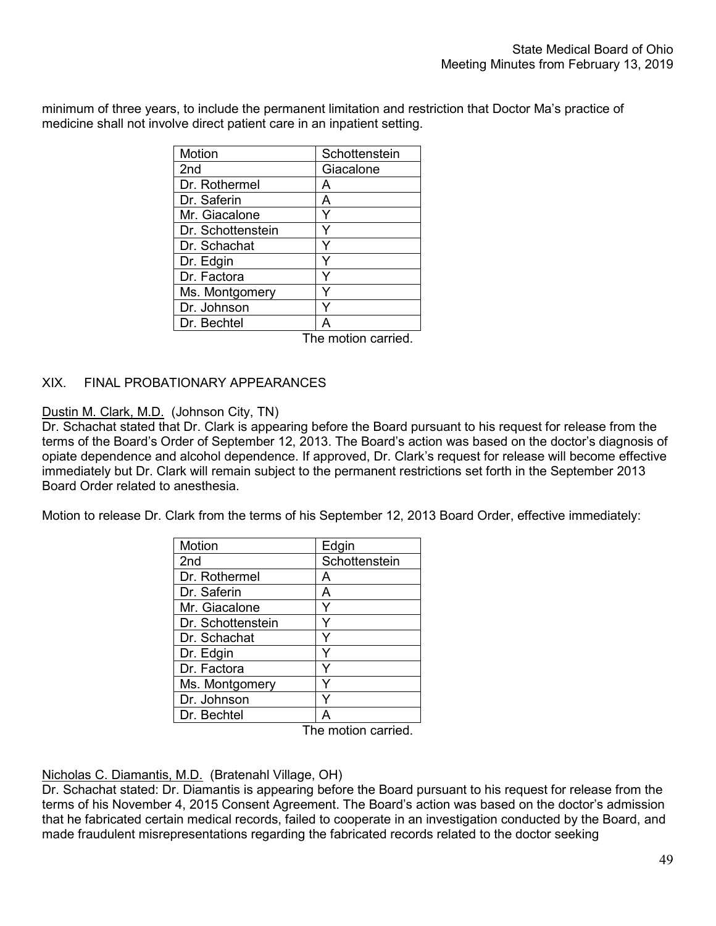minimum of three years, to include the permanent limitation and restriction that Doctor Ma's practice of medicine shall not involve direct patient care in an inpatient setting.

| Motion            | Schottenstein |
|-------------------|---------------|
| 2nd               | Giacalone     |
| Dr. Rothermel     | А             |
| Dr. Saferin       | А             |
| Mr. Giacalone     |               |
| Dr. Schottenstein |               |
| Dr. Schachat      |               |
| Dr. Edgin         |               |
| Dr. Factora       |               |
| Ms. Montgomery    |               |
| Dr. Johnson       |               |
| Dr. Bechtel       |               |

The motion carried.

# XIX. FINAL PROBATIONARY APPEARANCES

## Dustin M. Clark, M.D. (Johnson City, TN)

Dr. Schachat stated that Dr. Clark is appearing before the Board pursuant to his request for release from the terms of the Board's Order of September 12, 2013. The Board's action was based on the doctor's diagnosis of opiate dependence and alcohol dependence. If approved, Dr. Clark's request for release will become effective immediately but Dr. Clark will remain subject to the permanent restrictions set forth in the September 2013 Board Order related to anesthesia.

Motion to release Dr. Clark from the terms of his September 12, 2013 Board Order, effective immediately:

| Motion            | Edgin         |
|-------------------|---------------|
| 2 <sub>nd</sub>   | Schottenstein |
| Dr. Rothermel     | А             |
| Dr. Saferin       | A             |
| Mr. Giacalone     |               |
| Dr. Schottenstein |               |
| Dr. Schachat      |               |
| Dr. Edgin         |               |
| Dr. Factora       |               |
| Ms. Montgomery    |               |
| Dr. Johnson       |               |
| Dr. Bechtel       |               |

The motion carried.

## Nicholas C. Diamantis, M.D. (Bratenahl Village, OH)

Dr. Schachat stated: Dr. Diamantis is appearing before the Board pursuant to his request for release from the terms of his November 4, 2015 Consent Agreement. The Board's action was based on the doctor's admission that he fabricated certain medical records, failed to cooperate in an investigation conducted by the Board, and made fraudulent misrepresentations regarding the fabricated records related to the doctor seeking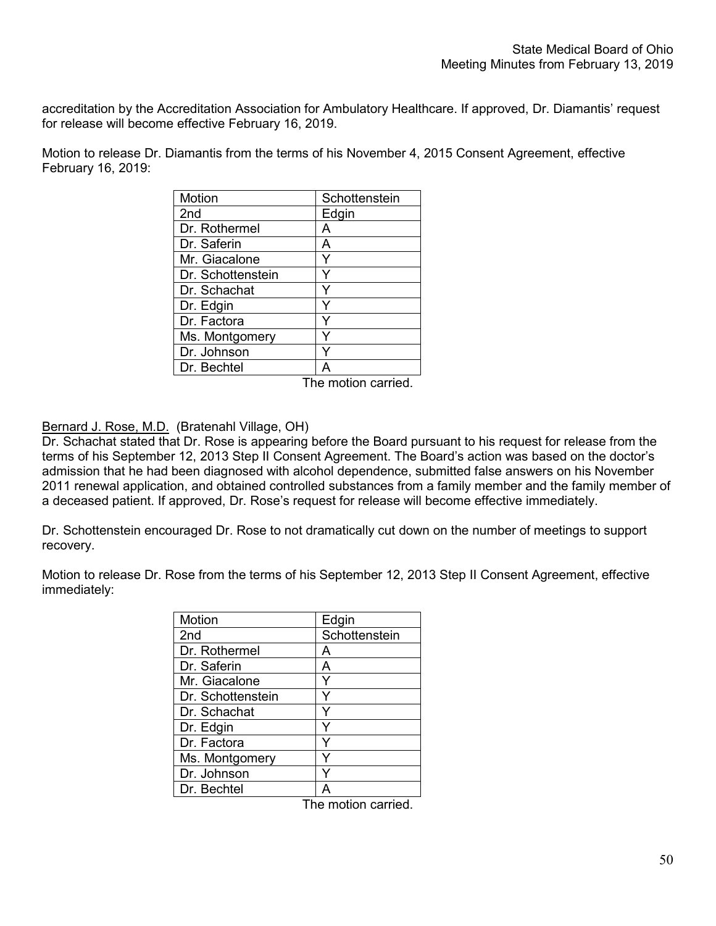accreditation by the Accreditation Association for Ambulatory Healthcare. If approved, Dr. Diamantis' request for release will become effective February 16, 2019.

Motion to release Dr. Diamantis from the terms of his November 4, 2015 Consent Agreement, effective February 16, 2019:

| Motion            | Schottenstein |
|-------------------|---------------|
| 2 <sub>nd</sub>   | Edgin         |
| Dr. Rothermel     | A             |
| Dr. Saferin       | А             |
| Mr. Giacalone     |               |
| Dr. Schottenstein |               |
| Dr. Schachat      |               |
| Dr. Edgin         | Y             |
| Dr. Factora       |               |
| Ms. Montgomery    |               |
| Dr. Johnson       |               |
| Dr. Bechtel       |               |
|                   | $4.1 - 1.2$   |

The motion carried.

Bernard J. Rose, M.D. (Bratenahl Village, OH)

Dr. Schachat stated that Dr. Rose is appearing before the Board pursuant to his request for release from the terms of his September 12, 2013 Step II Consent Agreement. The Board's action was based on the doctor's admission that he had been diagnosed with alcohol dependence, submitted false answers on his November 2011 renewal application, and obtained controlled substances from a family member and the family member of a deceased patient. If approved, Dr. Rose's request for release will become effective immediately.

Dr. Schottenstein encouraged Dr. Rose to not dramatically cut down on the number of meetings to support recovery.

Motion to release Dr. Rose from the terms of his September 12, 2013 Step II Consent Agreement, effective immediately:

| Motion            | Edgin         |
|-------------------|---------------|
| 2 <sub>nd</sub>   | Schottenstein |
| Dr. Rothermel     | А             |
| Dr. Saferin       | А             |
| Mr. Giacalone     |               |
| Dr. Schottenstein |               |
| Dr. Schachat      |               |
| Dr. Edgin         |               |
| Dr. Factora       |               |
| Ms. Montgomery    |               |
| Dr. Johnson       |               |
| Dr. Bechtel       |               |

The motion carried.